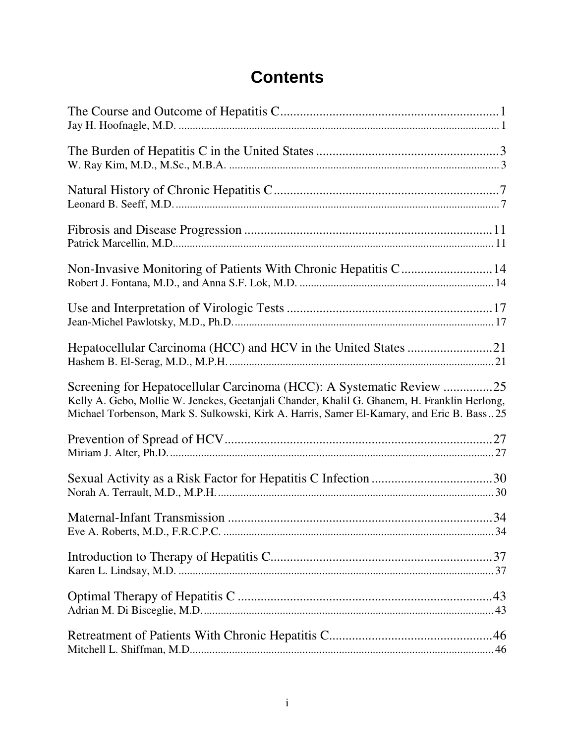# **Contents**

| Screening for Hepatocellular Carcinoma (HCC): A Systematic Review 25<br>Kelly A. Gebo, Mollie W. Jenckes, Geetanjali Chander, Khalil G. Ghanem, H. Franklin Herlong,<br>Michael Torbenson, Mark S. Sulkowski, Kirk A. Harris, Samer El-Kamary, and Eric B. Bass25 |  |
|-------------------------------------------------------------------------------------------------------------------------------------------------------------------------------------------------------------------------------------------------------------------|--|
|                                                                                                                                                                                                                                                                   |  |
|                                                                                                                                                                                                                                                                   |  |
|                                                                                                                                                                                                                                                                   |  |
|                                                                                                                                                                                                                                                                   |  |
|                                                                                                                                                                                                                                                                   |  |
|                                                                                                                                                                                                                                                                   |  |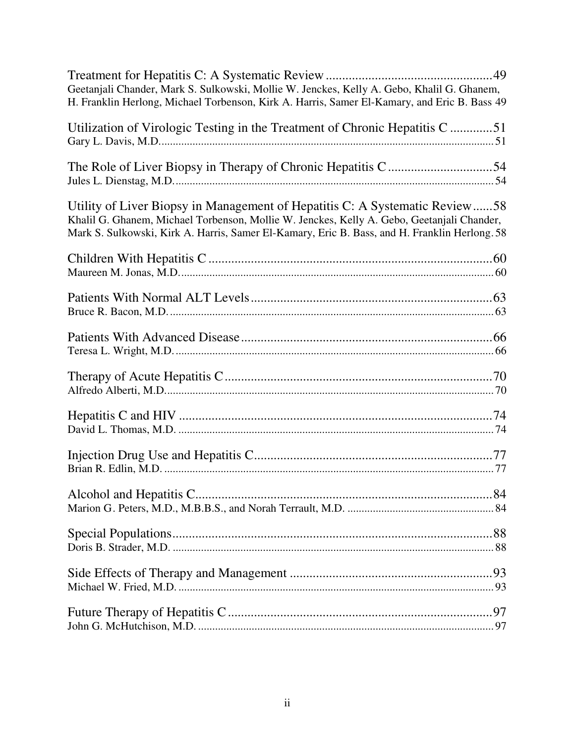| Geetanjali Chander, Mark S. Sulkowski, Mollie W. Jenckes, Kelly A. Gebo, Khalil G. Ghanem,<br>H. Franklin Herlong, Michael Torbenson, Kirk A. Harris, Samer El-Kamary, and Eric B. Bass 49                                                                                 |
|----------------------------------------------------------------------------------------------------------------------------------------------------------------------------------------------------------------------------------------------------------------------------|
| Utilization of Virologic Testing in the Treatment of Chronic Hepatitis C51                                                                                                                                                                                                 |
|                                                                                                                                                                                                                                                                            |
| Utility of Liver Biopsy in Management of Hepatitis C: A Systematic Review58<br>Khalil G. Ghanem, Michael Torbenson, Mollie W. Jenckes, Kelly A. Gebo, Geetanjali Chander,<br>Mark S. Sulkowski, Kirk A. Harris, Samer El-Kamary, Eric B. Bass, and H. Franklin Herlong. 58 |
|                                                                                                                                                                                                                                                                            |
|                                                                                                                                                                                                                                                                            |
|                                                                                                                                                                                                                                                                            |
|                                                                                                                                                                                                                                                                            |
|                                                                                                                                                                                                                                                                            |
|                                                                                                                                                                                                                                                                            |
|                                                                                                                                                                                                                                                                            |
|                                                                                                                                                                                                                                                                            |
|                                                                                                                                                                                                                                                                            |
|                                                                                                                                                                                                                                                                            |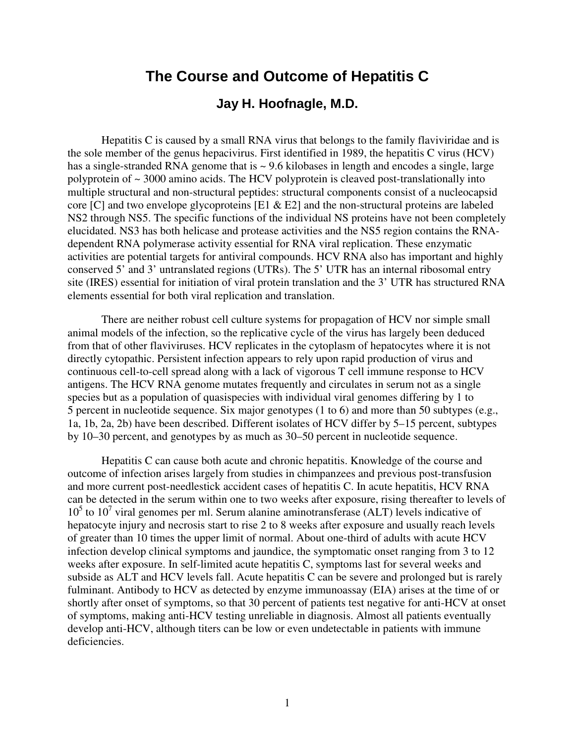# **The Course and Outcome of Hepatitis C**

## **Jay H. Hoofnagle, M.D.**

Hepatitis C is caused by a small RNA virus that belongs to the family flaviviridae and is the sole member of the genus hepacivirus. First identified in 1989, the hepatitis C virus (HCV) has a single-stranded RNA genome that is  $\sim$  9.6 kilobases in length and encodes a single, large polyprotein of ~ 3000 amino acids. The HCV polyprotein is cleaved post-translationally into multiple structural and non-structural peptides: structural components consist of a nucleocapsid core [C] and two envelope glycoproteins [E1 & E2] and the non-structural proteins are labeled NS2 through NS5. The specific functions of the individual NS proteins have not been completely elucidated. NS3 has both helicase and protease activities and the NS5 region contains the RNAdependent RNA polymerase activity essential for RNA viral replication. These enzymatic activities are potential targets for antiviral compounds. HCV RNA also has important and highly conserved 5' and 3' untranslated regions (UTRs). The 5' UTR has an internal ribosomal entry site (IRES) essential for initiation of viral protein translation and the 3' UTR has structured RNA elements essential for both viral replication and translation.

There are neither robust cell culture systems for propagation of HCV nor simple small animal models of the infection, so the replicative cycle of the virus has largely been deduced from that of other flaviviruses. HCV replicates in the cytoplasm of hepatocytes where it is not directly cytopathic. Persistent infection appears to rely upon rapid production of virus and continuous cell-to-cell spread along with a lack of vigorous T cell immune response to HCV antigens. The HCV RNA genome mutates frequently and circulates in serum not as a single species but as a population of quasispecies with individual viral genomes differing by 1 to 5 percent in nucleotide sequence. Six major genotypes (1 to 6) and more than 50 subtypes (e.g., 1a, 1b, 2a, 2b) have been described. Different isolates of HCV differ by 5–15 percent, subtypes by 10–30 percent, and genotypes by as much as 30–50 percent in nucleotide sequence.

Hepatitis C can cause both acute and chronic hepatitis. Knowledge of the course and outcome of infection arises largely from studies in chimpanzees and previous post-transfusion and more current post-needlestick accident cases of hepatitis C. In acute hepatitis, HCV RNA can be detected in the serum within one to two weeks after exposure, rising thereafter to levels of  $10<sup>5</sup>$  to  $10<sup>7</sup>$  viral genomes per ml. Serum alanine aminotransferase (ALT) levels indicative of hepatocyte injury and necrosis start to rise 2 to 8 weeks after exposure and usually reach levels of greater than 10 times the upper limit of normal. About one-third of adults with acute HCV infection develop clinical symptoms and jaundice, the symptomatic onset ranging from 3 to 12 weeks after exposure. In self-limited acute hepatitis C, symptoms last for several weeks and subside as ALT and HCV levels fall. Acute hepatitis C can be severe and prolonged but is rarely fulminant. Antibody to HCV as detected by enzyme immunoassay (EIA) arises at the time of or shortly after onset of symptoms, so that 30 percent of patients test negative for anti-HCV at onset of symptoms, making anti-HCV testing unreliable in diagnosis. Almost all patients eventually develop anti-HCV, although titers can be low or even undetectable in patients with immune deficiencies.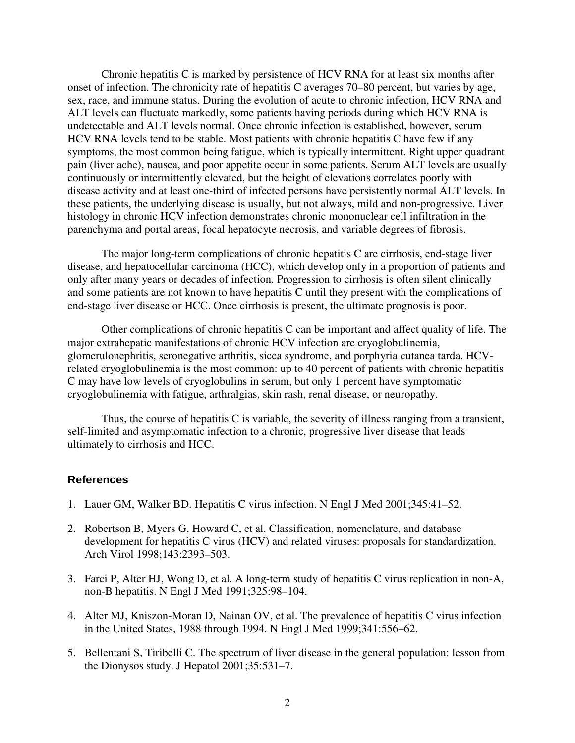Chronic hepatitis C is marked by persistence of HCV RNA for at least six months after onset of infection. The chronicity rate of hepatitis C averages 70–80 percent, but varies by age, sex, race, and immune status. During the evolution of acute to chronic infection, HCV RNA and ALT levels can fluctuate markedly, some patients having periods during which HCV RNA is undetectable and ALT levels normal. Once chronic infection is established, however, serum HCV RNA levels tend to be stable. Most patients with chronic hepatitis C have few if any symptoms, the most common being fatigue, which is typically intermittent. Right upper quadrant pain (liver ache), nausea, and poor appetite occur in some patients. Serum ALT levels are usually continuously or intermittently elevated, but the height of elevations correlates poorly with disease activity and at least one-third of infected persons have persistently normal ALT levels. In these patients, the underlying disease is usually, but not always, mild and non-progressive. Liver histology in chronic HCV infection demonstrates chronic mononuclear cell infiltration in the parenchyma and portal areas, focal hepatocyte necrosis, and variable degrees of fibrosis.

The major long-term complications of chronic hepatitis C are cirrhosis, end-stage liver disease, and hepatocellular carcinoma (HCC), which develop only in a proportion of patients and only after many years or decades of infection. Progression to cirrhosis is often silent clinically and some patients are not known to have hepatitis C until they present with the complications of end-stage liver disease or HCC. Once cirrhosis is present, the ultimate prognosis is poor.

Other complications of chronic hepatitis C can be important and affect quality of life. The major extrahepatic manifestations of chronic HCV infection are cryoglobulinemia, glomerulonephritis, seronegative arthritis, sicca syndrome, and porphyria cutanea tarda. HCVrelated cryoglobulinemia is the most common: up to 40 percent of patients with chronic hepatitis C may have low levels of cryoglobulins in serum, but only 1 percent have symptomatic cryoglobulinemia with fatigue, arthralgias, skin rash, renal disease, or neuropathy.

Thus, the course of hepatitis C is variable, the severity of illness ranging from a transient, self-limited and asymptomatic infection to a chronic, progressive liver disease that leads ultimately to cirrhosis and HCC.

- 1. Lauer GM, Walker BD. Hepatitis C virus infection. N Engl J Med 2001;345:41–52.
- 2. Robertson B, Myers G, Howard C, et al. Classification, nomenclature, and database development for hepatitis C virus (HCV) and related viruses: proposals for standardization. Arch Virol 1998;143:2393–503.
- 3. Farci P, Alter HJ, Wong D, et al. A long-term study of hepatitis C virus replication in non-A, non-B hepatitis. N Engl J Med 1991;325:98–104.
- 4. Alter MJ, Kniszon-Moran D, Nainan OV, et al. The prevalence of hepatitis C virus infection in the United States, 1988 through 1994. N Engl J Med 1999;341:556–62.
- 5. Bellentani S, Tiribelli C. The spectrum of liver disease in the general population: lesson from the Dionysos study. J Hepatol 2001;35:531–7.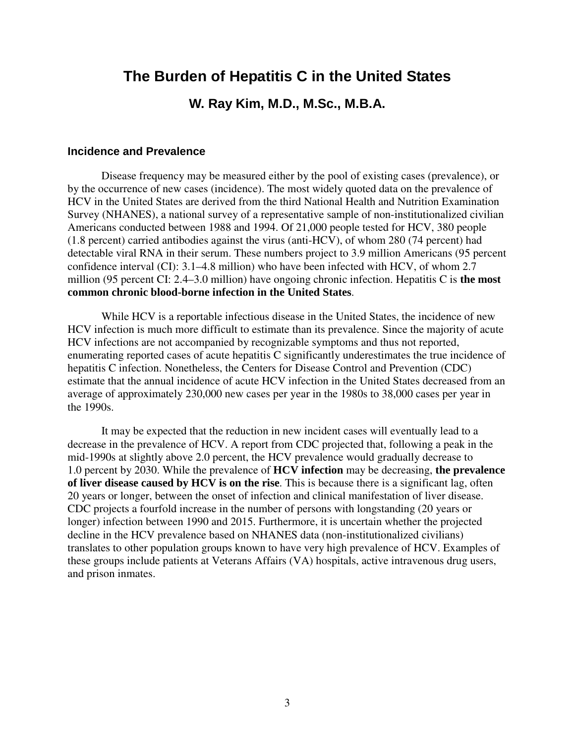# **The Burden of Hepatitis C in the United States**

## **W. Ray Kim, M.D., M.Sc., M.B.A.**

## **Incidence and Prevalence**

Disease frequency may be measured either by the pool of existing cases (prevalence), or by the occurrence of new cases (incidence). The most widely quoted data on the prevalence of HCV in the United States are derived from the third National Health and Nutrition Examination Survey (NHANES), a national survey of a representative sample of non-institutionalized civilian Americans conducted between 1988 and 1994. Of 21,000 people tested for HCV, 380 people (1.8 percent) carried antibodies against the virus (anti-HCV), of whom 280 (74 percent) had detectable viral RNA in their serum. These numbers project to 3.9 million Americans (95 percent confidence interval (CI): 3.1–4.8 million) who have been infected with HCV, of whom 2.7 million (95 percent CI: 2.4–3.0 million) have ongoing chronic infection. Hepatitis C is **the most common chronic blood-borne infection in the United States**.

While HCV is a reportable infectious disease in the United States, the incidence of new HCV infection is much more difficult to estimate than its prevalence. Since the majority of acute HCV infections are not accompanied by recognizable symptoms and thus not reported, enumerating reported cases of acute hepatitis C significantly underestimates the true incidence of hepatitis C infection. Nonetheless, the Centers for Disease Control and Prevention (CDC) estimate that the annual incidence of acute HCV infection in the United States decreased from an average of approximately 230,000 new cases per year in the 1980s to 38,000 cases per year in the 1990s.

It may be expected that the reduction in new incident cases will eventually lead to a decrease in the prevalence of HCV. A report from CDC projected that, following a peak in the mid-1990s at slightly above 2.0 percent, the HCV prevalence would gradually decrease to 1.0 percent by 2030. While the prevalence of **HCV infection** may be decreasing, **the prevalence of liver disease caused by HCV is on the rise**. This is because there is a significant lag, often 20 years or longer, between the onset of infection and clinical manifestation of liver disease. CDC projects a fourfold increase in the number of persons with longstanding (20 years or longer) infection between 1990 and 2015. Furthermore, it is uncertain whether the projected decline in the HCV prevalence based on NHANES data (non-institutionalized civilians) translates to other population groups known to have very high prevalence of HCV. Examples of these groups include patients at Veterans Affairs (VA) hospitals, active intravenous drug users, and prison inmates.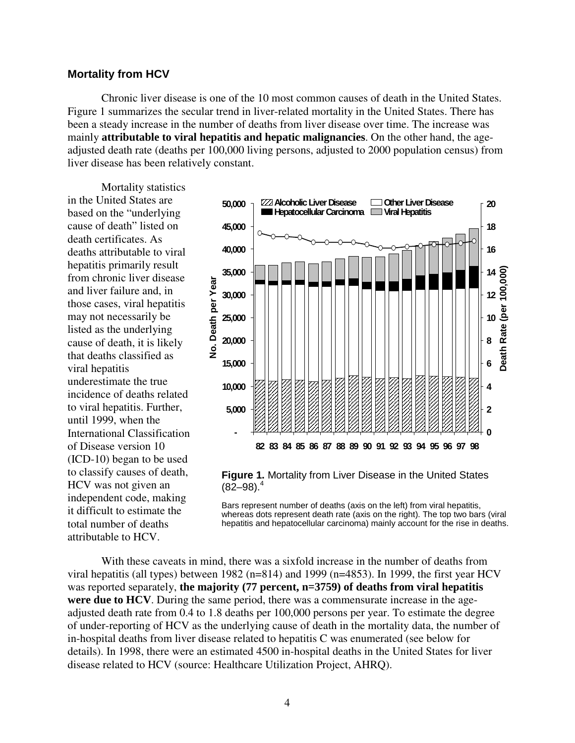#### **Mortality from HCV**

Chronic liver disease is one of the 10 most common causes of death in the United States. Figure 1 summarizes the secular trend in liver-related mortality in the United States. There has been a steady increase in the number of deaths from liver disease over time. The increase was mainly **attributable to viral hepatitis and hepatic malignancies**. On the other hand, the ageadjusted death rate (deaths per 100,000 living persons, adjusted to 2000 population census) from liver disease has been relatively constant.

Mortality statistics in the United States are based on the "underlying cause of death" listed on death certificates. As deaths attributable to viral hepatitis primarily result from chronic liver disease and liver failure and, in those cases, viral hepatitis may not necessarily be listed as the underlying cause of death, it is likely that deaths classified as viral hepatitis underestimate the true incidence of deaths related to viral hepatitis. Further, until 1999, when the International Classification of Disease version 10 (ICD-10) began to be used to classify causes of death, HCV was not given an independent code, making it difficult to estimate the total number of deaths attributable to HCV.



**Figure 1.** Mortality from Liver Disease in the United States  $(82 - 98)^4$ 

Bars represent number of deaths (axis on the left) from viral hepatitis, whereas dots represent death rate (axis on the right). The top two bars (viral hepatitis and hepatocellular carcinoma) mainly account for the rise in deaths.

With these caveats in mind, there was a sixfold increase in the number of deaths from viral hepatitis (all types) between 1982 (n=814) and 1999 (n=4853). In 1999, the first year HCV was reported separately, **the majority (77 percent, n=3759) of deaths from viral hepatitis were due to HCV**. During the same period, there was a commensurate increase in the ageadjusted death rate from 0.4 to 1.8 deaths per 100,000 persons per year. To estimate the degree of under-reporting of HCV as the underlying cause of death in the mortality data, the number of in-hospital deaths from liver disease related to hepatitis C was enumerated (see below for details). In 1998, there were an estimated 4500 in-hospital deaths in the United States for liver disease related to HCV (source: Healthcare Utilization Project, AHRQ).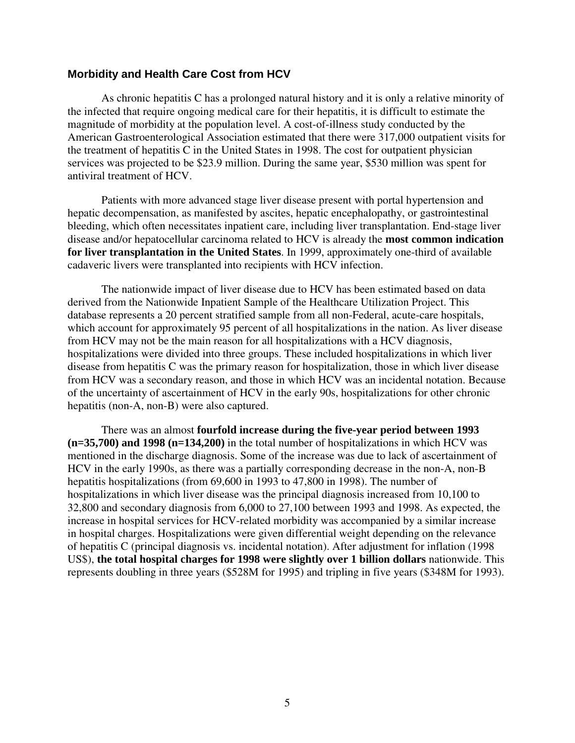### **Morbidity and Health Care Cost from HCV**

As chronic hepatitis C has a prolonged natural history and it is only a relative minority of the infected that require ongoing medical care for their hepatitis, it is difficult to estimate the magnitude of morbidity at the population level. A cost-of-illness study conducted by the American Gastroenterological Association estimated that there were 317,000 outpatient visits for the treatment of hepatitis C in the United States in 1998. The cost for outpatient physician services was projected to be \$23.9 million. During the same year, \$530 million was spent for antiviral treatment of HCV.

Patients with more advanced stage liver disease present with portal hypertension and hepatic decompensation, as manifested by ascites, hepatic encephalopathy, or gastrointestinal bleeding, which often necessitates inpatient care, including liver transplantation. End-stage liver disease and/or hepatocellular carcinoma related to HCV is already the **most common indication for liver transplantation in the United States**. In 1999, approximately one-third of available cadaveric livers were transplanted into recipients with HCV infection.

The nationwide impact of liver disease due to HCV has been estimated based on data derived from the Nationwide Inpatient Sample of the Healthcare Utilization Project. This database represents a 20 percent stratified sample from all non-Federal, acute-care hospitals, which account for approximately 95 percent of all hospitalizations in the nation. As liver disease from HCV may not be the main reason for all hospitalizations with a HCV diagnosis, hospitalizations were divided into three groups. These included hospitalizations in which liver disease from hepatitis C was the primary reason for hospitalization, those in which liver disease from HCV was a secondary reason, and those in which HCV was an incidental notation. Because of the uncertainty of ascertainment of HCV in the early 90s, hospitalizations for other chronic hepatitis (non-A, non-B) were also captured.

There was an almost **fourfold increase during the five-year period between 1993 (n=35,700) and 1998 (n=134,200)** in the total number of hospitalizations in which HCV was mentioned in the discharge diagnosis. Some of the increase was due to lack of ascertainment of HCV in the early 1990s, as there was a partially corresponding decrease in the non-A, non-B hepatitis hospitalizations (from 69,600 in 1993 to 47,800 in 1998). The number of hospitalizations in which liver disease was the principal diagnosis increased from 10,100 to 32,800 and secondary diagnosis from 6,000 to 27,100 between 1993 and 1998. As expected, the increase in hospital services for HCV-related morbidity was accompanied by a similar increase in hospital charges. Hospitalizations were given differential weight depending on the relevance of hepatitis C (principal diagnosis vs. incidental notation). After adjustment for inflation (1998 US\$), **the total hospital charges for 1998 were slightly over 1 billion dollars** nationwide. This represents doubling in three years (\$528M for 1995) and tripling in five years (\$348M for 1993).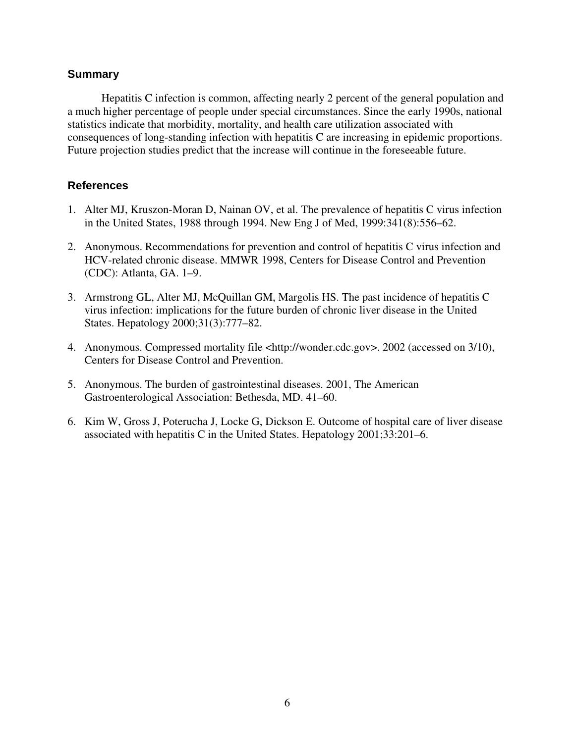## **Summary**

Hepatitis C infection is common, affecting nearly 2 percent of the general population and a much higher percentage of people under special circumstances. Since the early 1990s, national statistics indicate that morbidity, mortality, and health care utilization associated with consequences of long-standing infection with hepatitis C are increasing in epidemic proportions. Future projection studies predict that the increase will continue in the foreseeable future.

- 1. Alter MJ, Kruszon-Moran D, Nainan OV, et al. The prevalence of hepatitis C virus infection in the United States, 1988 through 1994. New Eng J of Med, 1999:341(8):556–62.
- 2. Anonymous. Recommendations for prevention and control of hepatitis C virus infection and HCV-related chronic disease. MMWR 1998, Centers for Disease Control and Prevention (CDC): Atlanta, GA. 1–9.
- 3. Armstrong GL, Alter MJ, McQuillan GM, Margolis HS. The past incidence of hepatitis C virus infection: implications for the future burden of chronic liver disease in the United States. Hepatology 2000;31(3):777–82.
- 4. Anonymous. Compressed mortality file <http://wonder.cdc.gov>. 2002 (accessed on 3/10), Centers for Disease Control and Prevention.
- 5. Anonymous. The burden of gastrointestinal diseases. 2001, The American Gastroenterological Association: Bethesda, MD. 41–60.
- 6. Kim W, Gross J, Poterucha J, Locke G, Dickson E. Outcome of hospital care of liver disease associated with hepatitis C in the United States. Hepatology 2001;33:201–6.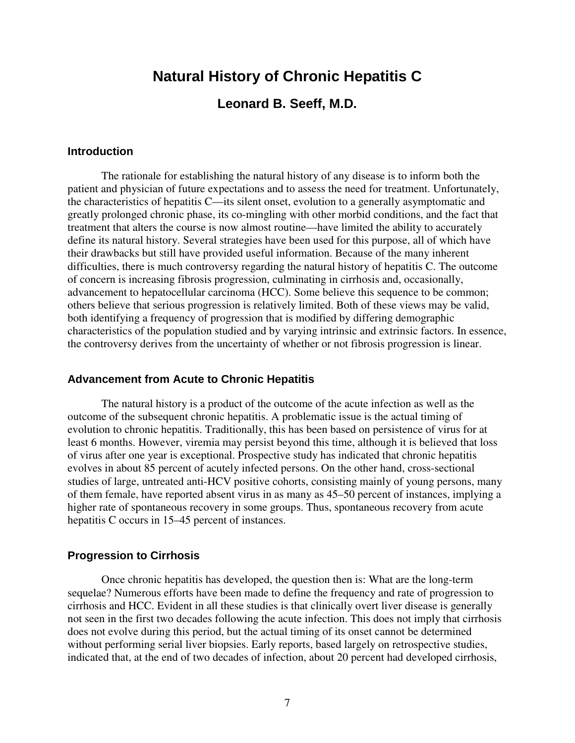# **Natural History of Chronic Hepatitis C**

## **Leonard B. Seeff, M.D.**

#### **Introduction**

The rationale for establishing the natural history of any disease is to inform both the patient and physician of future expectations and to assess the need for treatment. Unfortunately, the characteristics of hepatitis C—its silent onset, evolution to a generally asymptomatic and greatly prolonged chronic phase, its co-mingling with other morbid conditions, and the fact that treatment that alters the course is now almost routine—have limited the ability to accurately define its natural history. Several strategies have been used for this purpose, all of which have their drawbacks but still have provided useful information. Because of the many inherent difficulties, there is much controversy regarding the natural history of hepatitis C. The outcome of concern is increasing fibrosis progression, culminating in cirrhosis and, occasionally, advancement to hepatocellular carcinoma (HCC). Some believe this sequence to be common; others believe that serious progression is relatively limited. Both of these views may be valid, both identifying a frequency of progression that is modified by differing demographic characteristics of the population studied and by varying intrinsic and extrinsic factors. In essence, the controversy derives from the uncertainty of whether or not fibrosis progression is linear.

#### **Advancement from Acute to Chronic Hepatitis**

The natural history is a product of the outcome of the acute infection as well as the outcome of the subsequent chronic hepatitis. A problematic issue is the actual timing of evolution to chronic hepatitis. Traditionally, this has been based on persistence of virus for at least 6 months. However, viremia may persist beyond this time, although it is believed that loss of virus after one year is exceptional. Prospective study has indicated that chronic hepatitis evolves in about 85 percent of acutely infected persons. On the other hand, cross-sectional studies of large, untreated anti-HCV positive cohorts, consisting mainly of young persons, many of them female, have reported absent virus in as many as 45–50 percent of instances, implying a higher rate of spontaneous recovery in some groups. Thus, spontaneous recovery from acute hepatitis C occurs in 15–45 percent of instances.

#### **Progression to Cirrhosis**

Once chronic hepatitis has developed, the question then is: What are the long-term sequelae? Numerous efforts have been made to define the frequency and rate of progression to cirrhosis and HCC. Evident in all these studies is that clinically overt liver disease is generally not seen in the first two decades following the acute infection. This does not imply that cirrhosis does not evolve during this period, but the actual timing of its onset cannot be determined without performing serial liver biopsies. Early reports, based largely on retrospective studies, indicated that, at the end of two decades of infection, about 20 percent had developed cirrhosis,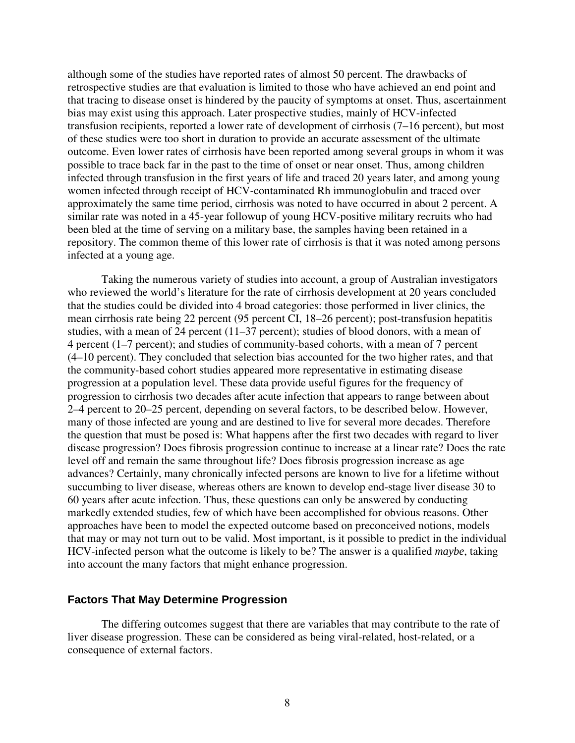although some of the studies have reported rates of almost 50 percent. The drawbacks of retrospective studies are that evaluation is limited to those who have achieved an end point and that tracing to disease onset is hindered by the paucity of symptoms at onset. Thus, ascertainment bias may exist using this approach. Later prospective studies, mainly of HCV-infected transfusion recipients, reported a lower rate of development of cirrhosis (7–16 percent), but most of these studies were too short in duration to provide an accurate assessment of the ultimate outcome. Even lower rates of cirrhosis have been reported among several groups in whom it was possible to trace back far in the past to the time of onset or near onset. Thus, among children infected through transfusion in the first years of life and traced 20 years later, and among young women infected through receipt of HCV-contaminated Rh immunoglobulin and traced over approximately the same time period, cirrhosis was noted to have occurred in about 2 percent. A similar rate was noted in a 45-year followup of young HCV-positive military recruits who had been bled at the time of serving on a military base, the samples having been retained in a repository. The common theme of this lower rate of cirrhosis is that it was noted among persons infected at a young age.

Taking the numerous variety of studies into account, a group of Australian investigators who reviewed the world's literature for the rate of cirrhosis development at 20 years concluded that the studies could be divided into 4 broad categories: those performed in liver clinics, the mean cirrhosis rate being 22 percent (95 percent CI, 18–26 percent); post-transfusion hepatitis studies, with a mean of 24 percent (11–37 percent); studies of blood donors, with a mean of 4 percent (1–7 percent); and studies of community-based cohorts, with a mean of 7 percent (4–10 percent). They concluded that selection bias accounted for the two higher rates, and that the community-based cohort studies appeared more representative in estimating disease progression at a population level. These data provide useful figures for the frequency of progression to cirrhosis two decades after acute infection that appears to range between about 2–4 percent to 20–25 percent, depending on several factors, to be described below. However, many of those infected are young and are destined to live for several more decades. Therefore the question that must be posed is: What happens after the first two decades with regard to liver disease progression? Does fibrosis progression continue to increase at a linear rate? Does the rate level off and remain the same throughout life? Does fibrosis progression increase as age advances? Certainly, many chronically infected persons are known to live for a lifetime without succumbing to liver disease, whereas others are known to develop end-stage liver disease 30 to 60 years after acute infection. Thus, these questions can only be answered by conducting markedly extended studies, few of which have been accomplished for obvious reasons. Other approaches have been to model the expected outcome based on preconceived notions, models that may or may not turn out to be valid. Most important, is it possible to predict in the individual HCV-infected person what the outcome is likely to be? The answer is a qualified *maybe*, taking into account the many factors that might enhance progression.

### **Factors That May Determine Progression**

The differing outcomes suggest that there are variables that may contribute to the rate of liver disease progression. These can be considered as being viral-related, host-related, or a consequence of external factors.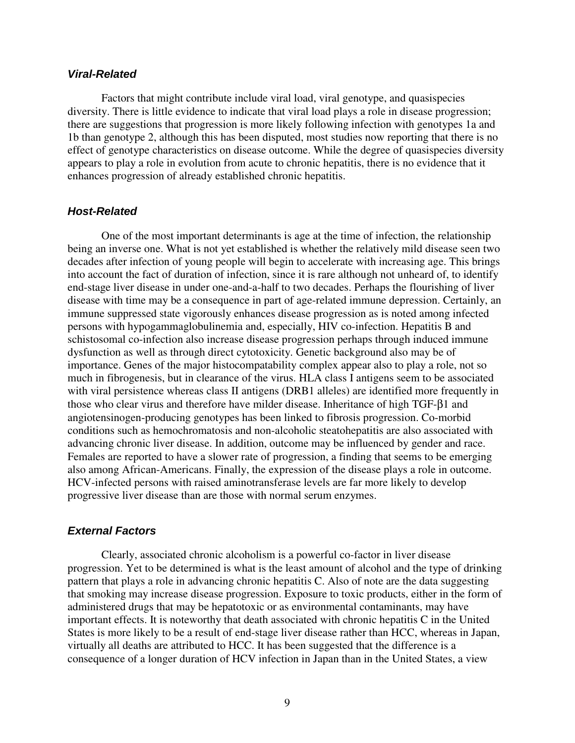## *Viral-Related*

Factors that might contribute include viral load, viral genotype, and quasispecies diversity. There is little evidence to indicate that viral load plays a role in disease progression; there are suggestions that progression is more likely following infection with genotypes 1a and 1b than genotype 2, although this has been disputed, most studies now reporting that there is no effect of genotype characteristics on disease outcome. While the degree of quasispecies diversity appears to play a role in evolution from acute to chronic hepatitis, there is no evidence that it enhances progression of already established chronic hepatitis.

## *Host-Related*

One of the most important determinants is age at the time of infection, the relationship being an inverse one. What is not yet established is whether the relatively mild disease seen two decades after infection of young people will begin to accelerate with increasing age. This brings into account the fact of duration of infection, since it is rare although not unheard of, to identify end-stage liver disease in under one-and-a-half to two decades. Perhaps the flourishing of liver disease with time may be a consequence in part of age-related immune depression. Certainly, an immune suppressed state vigorously enhances disease progression as is noted among infected persons with hypogammaglobulinemia and, especially, HIV co-infection. Hepatitis B and schistosomal co-infection also increase disease progression perhaps through induced immune dysfunction as well as through direct cytotoxicity. Genetic background also may be of importance. Genes of the major histocompatability complex appear also to play a role, not so much in fibrogenesis, but in clearance of the virus. HLA class I antigens seem to be associated with viral persistence whereas class II antigens (DRB1 alleles) are identified more frequently in those who clear virus and therefore have milder disease. Inheritance of high TGF-β1 and angiotensinogen-producing genotypes has been linked to fibrosis progression. Co-morbid conditions such as hemochromatosis and non-alcoholic steatohepatitis are also associated with advancing chronic liver disease. In addition, outcome may be influenced by gender and race. Females are reported to have a slower rate of progression, a finding that seems to be emerging also among African-Americans. Finally, the expression of the disease plays a role in outcome. HCV-infected persons with raised aminotransferase levels are far more likely to develop progressive liver disease than are those with normal serum enzymes.

#### *External Factors*

Clearly, associated chronic alcoholism is a powerful co-factor in liver disease progression. Yet to be determined is what is the least amount of alcohol and the type of drinking pattern that plays a role in advancing chronic hepatitis C. Also of note are the data suggesting that smoking may increase disease progression. Exposure to toxic products, either in the form of administered drugs that may be hepatotoxic or as environmental contaminants, may have important effects. It is noteworthy that death associated with chronic hepatitis C in the United States is more likely to be a result of end-stage liver disease rather than HCC, whereas in Japan, virtually all deaths are attributed to HCC. It has been suggested that the difference is a consequence of a longer duration of HCV infection in Japan than in the United States, a view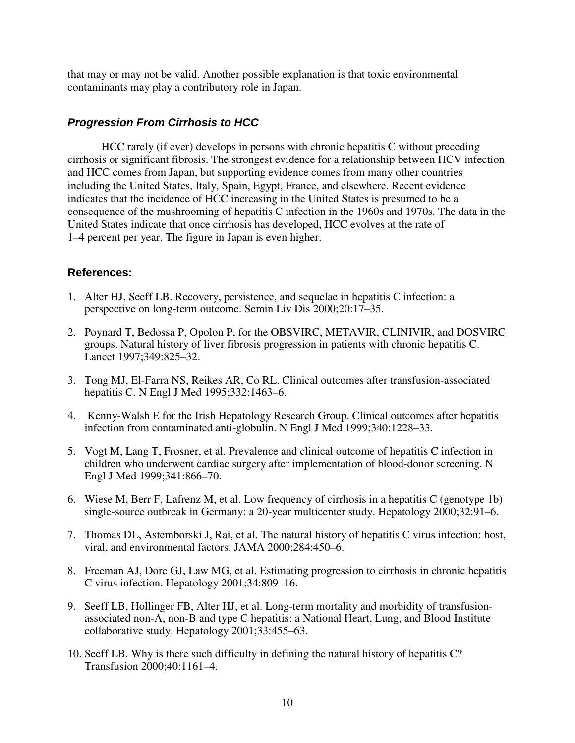that may or may not be valid. Another possible explanation is that toxic environmental contaminants may play a contributory role in Japan.

## *Progression From Cirrhosis to HCC*

HCC rarely (if ever) develops in persons with chronic hepatitis C without preceding cirrhosis or significant fibrosis. The strongest evidence for a relationship between HCV infection and HCC comes from Japan, but supporting evidence comes from many other countries including the United States, Italy, Spain, Egypt, France, and elsewhere. Recent evidence indicates that the incidence of HCC increasing in the United States is presumed to be a consequence of the mushrooming of hepatitis C infection in the 1960s and 1970s. The data in the United States indicate that once cirrhosis has developed, HCC evolves at the rate of 1–4 percent per year. The figure in Japan is even higher.

- 1. Alter HJ, Seeff LB. Recovery, persistence, and sequelae in hepatitis C infection: a perspective on long-term outcome. Semin Liv Dis 2000;20:17–35.
- 2. Poynard T, Bedossa P, Opolon P, for the OBSVIRC, METAVIR, CLINIVIR, and DOSVIRC groups. Natural history of liver fibrosis progression in patients with chronic hepatitis C. Lancet 1997;349:825–32.
- 3. Tong MJ, El-Farra NS, Reikes AR, Co RL. Clinical outcomes after transfusion-associated hepatitis C. N Engl J Med 1995;332:1463–6.
- 4. Kenny-Walsh E for the Irish Hepatology Research Group. Clinical outcomes after hepatitis infection from contaminated anti-globulin. N Engl J Med 1999;340:1228–33.
- 5. Vogt M, Lang T, Frosner, et al. Prevalence and clinical outcome of hepatitis C infection in children who underwent cardiac surgery after implementation of blood-donor screening. N Engl J Med 1999;341:866–70.
- 6. Wiese M, Berr F, Lafrenz M, et al. Low frequency of cirrhosis in a hepatitis C (genotype 1b) single-source outbreak in Germany: a 20-year multicenter study. Hepatology 2000;32:91–6.
- 7. Thomas DL, Astemborski J, Rai, et al. The natural history of hepatitis C virus infection: host, viral, and environmental factors. JAMA 2000;284:450–6.
- 8. Freeman AJ, Dore GJ, Law MG, et al. Estimating progression to cirrhosis in chronic hepatitis C virus infection. Hepatology 2001;34:809–16.
- 9. Seeff LB, Hollinger FB, Alter HJ, et al. Long-term mortality and morbidity of transfusionassociated non-A, non-B and type C hepatitis: a National Heart, Lung, and Blood Institute collaborative study. Hepatology 2001;33:455–63.
- 10. Seeff LB. Why is there such difficulty in defining the natural history of hepatitis C? Transfusion 2000;40:1161–4.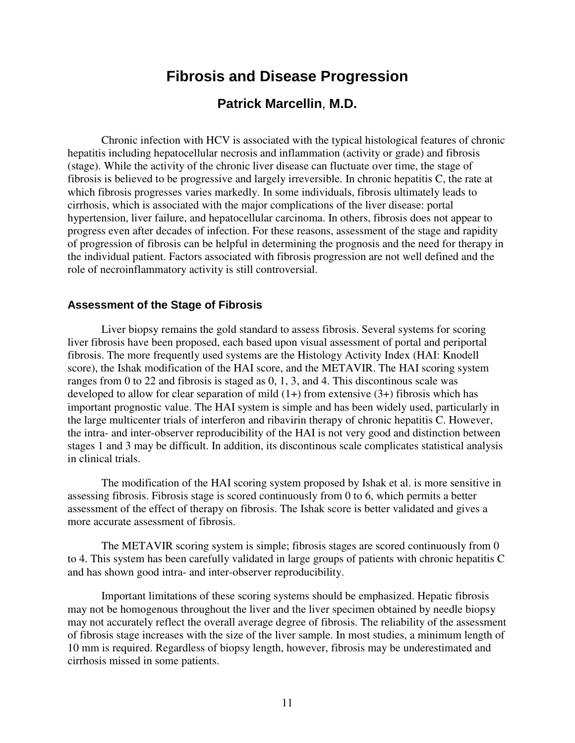# **Fibrosis and Disease Progression**

## **Patrick Marcellin**, **M.D.**

Chronic infection with HCV is associated with the typical histological features of chronic hepatitis including hepatocellular necrosis and inflammation (activity or grade) and fibrosis (stage). While the activity of the chronic liver disease can fluctuate over time, the stage of fibrosis is believed to be progressive and largely irreversible. In chronic hepatitis C, the rate at which fibrosis progresses varies markedly. In some individuals, fibrosis ultimately leads to cirrhosis, which is associated with the major complications of the liver disease: portal hypertension, liver failure, and hepatocellular carcinoma. In others, fibrosis does not appear to progress even after decades of infection. For these reasons, assessment of the stage and rapidity of progression of fibrosis can be helpful in determining the prognosis and the need for therapy in the individual patient. Factors associated with fibrosis progression are not well defined and the role of necroinflammatory activity is still controversial.

#### **Assessment of the Stage of Fibrosis**

Liver biopsy remains the gold standard to assess fibrosis. Several systems for scoring liver fibrosis have been proposed, each based upon visual assessment of portal and periportal fibrosis. The more frequently used systems are the Histology Activity Index (HAI: Knodell score), the Ishak modification of the HAI score, and the METAVIR. The HAI scoring system ranges from 0 to 22 and fibrosis is staged as 0, 1, 3, and 4. This discontinous scale was developed to allow for clear separation of mild  $(1+)$  from extensive  $(3+)$  fibrosis which has important prognostic value. The HAI system is simple and has been widely used, particularly in the large multicenter trials of interferon and ribavirin therapy of chronic hepatitis C. However, the intra- and inter-observer reproducibility of the HAI is not very good and distinction between stages 1 and 3 may be difficult. In addition, its discontinous scale complicates statistical analysis in clinical trials.

The modification of the HAI scoring system proposed by Ishak et al. is more sensitive in assessing fibrosis. Fibrosis stage is scored continuously from 0 to 6, which permits a better assessment of the effect of therapy on fibrosis. The Ishak score is better validated and gives a more accurate assessment of fibrosis.

The METAVIR scoring system is simple; fibrosis stages are scored continuously from 0 to 4. This system has been carefully validated in large groups of patients with chronic hepatitis C and has shown good intra- and inter-observer reproducibility.

Important limitations of these scoring systems should be emphasized. Hepatic fibrosis may not be homogenous throughout the liver and the liver specimen obtained by needle biopsy may not accurately reflect the overall average degree of fibrosis. The reliability of the assessment of fibrosis stage increases with the size of the liver sample. In most studies, a minimum length of 10 mm is required. Regardless of biopsy length, however, fibrosis may be underestimated and cirrhosis missed in some patients.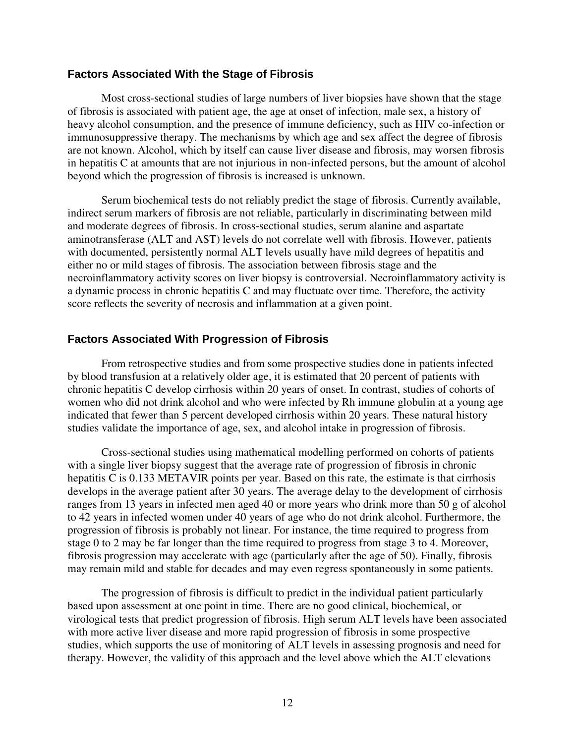## **Factors Associated With the Stage of Fibrosis**

Most cross-sectional studies of large numbers of liver biopsies have shown that the stage of fibrosis is associated with patient age, the age at onset of infection, male sex, a history of heavy alcohol consumption, and the presence of immune deficiency, such as HIV co-infection or immunosuppressive therapy. The mechanisms by which age and sex affect the degree of fibrosis are not known. Alcohol, which by itself can cause liver disease and fibrosis, may worsen fibrosis in hepatitis C at amounts that are not injurious in non-infected persons, but the amount of alcohol beyond which the progression of fibrosis is increased is unknown.

Serum biochemical tests do not reliably predict the stage of fibrosis. Currently available, indirect serum markers of fibrosis are not reliable, particularly in discriminating between mild and moderate degrees of fibrosis. In cross-sectional studies, serum alanine and aspartate aminotransferase (ALT and AST) levels do not correlate well with fibrosis. However, patients with documented, persistently normal ALT levels usually have mild degrees of hepatitis and either no or mild stages of fibrosis. The association between fibrosis stage and the necroinflammatory activity scores on liver biopsy is controversial. Necroinflammatory activity is a dynamic process in chronic hepatitis C and may fluctuate over time. Therefore, the activity score reflects the severity of necrosis and inflammation at a given point.

### **Factors Associated With Progression of Fibrosis**

From retrospective studies and from some prospective studies done in patients infected by blood transfusion at a relatively older age, it is estimated that 20 percent of patients with chronic hepatitis C develop cirrhosis within 20 years of onset. In contrast, studies of cohorts of women who did not drink alcohol and who were infected by Rh immune globulin at a young age indicated that fewer than 5 percent developed cirrhosis within 20 years. These natural history studies validate the importance of age, sex, and alcohol intake in progression of fibrosis.

Cross-sectional studies using mathematical modelling performed on cohorts of patients with a single liver biopsy suggest that the average rate of progression of fibrosis in chronic hepatitis C is 0.133 METAVIR points per year. Based on this rate, the estimate is that cirrhosis develops in the average patient after 30 years. The average delay to the development of cirrhosis ranges from 13 years in infected men aged 40 or more years who drink more than 50 g of alcohol to 42 years in infected women under 40 years of age who do not drink alcohol. Furthermore, the progression of fibrosis is probably not linear. For instance, the time required to progress from stage 0 to 2 may be far longer than the time required to progress from stage 3 to 4. Moreover, fibrosis progression may accelerate with age (particularly after the age of 50). Finally, fibrosis may remain mild and stable for decades and may even regress spontaneously in some patients.

The progression of fibrosis is difficult to predict in the individual patient particularly based upon assessment at one point in time. There are no good clinical, biochemical, or virological tests that predict progression of fibrosis. High serum ALT levels have been associated with more active liver disease and more rapid progression of fibrosis in some prospective studies, which supports the use of monitoring of ALT levels in assessing prognosis and need for therapy. However, the validity of this approach and the level above which the ALT elevations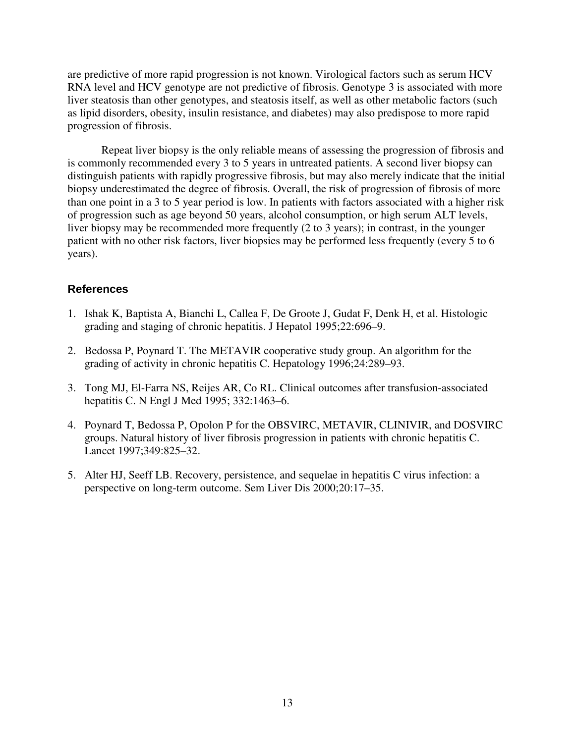are predictive of more rapid progression is not known. Virological factors such as serum HCV RNA level and HCV genotype are not predictive of fibrosis. Genotype 3 is associated with more liver steatosis than other genotypes, and steatosis itself, as well as other metabolic factors (such as lipid disorders, obesity, insulin resistance, and diabetes) may also predispose to more rapid progression of fibrosis.

Repeat liver biopsy is the only reliable means of assessing the progression of fibrosis and is commonly recommended every 3 to 5 years in untreated patients. A second liver biopsy can distinguish patients with rapidly progressive fibrosis, but may also merely indicate that the initial biopsy underestimated the degree of fibrosis. Overall, the risk of progression of fibrosis of more than one point in a 3 to 5 year period is low. In patients with factors associated with a higher risk of progression such as age beyond 50 years, alcohol consumption, or high serum ALT levels, liver biopsy may be recommended more frequently (2 to 3 years); in contrast, in the younger patient with no other risk factors, liver biopsies may be performed less frequently (every 5 to 6 years).

- 1. Ishak K, Baptista A, Bianchi L, Callea F, De Groote J, Gudat F, Denk H, et al. Histologic grading and staging of chronic hepatitis. J Hepatol 1995;22:696–9.
- 2. Bedossa P, Poynard T. The METAVIR cooperative study group. An algorithm for the grading of activity in chronic hepatitis C. Hepatology 1996;24:289–93.
- 3. Tong MJ, El-Farra NS, Reijes AR, Co RL. Clinical outcomes after transfusion-associated hepatitis C. N Engl J Med 1995; 332:1463–6.
- 4. Poynard T, Bedossa P, Opolon P for the OBSVIRC, METAVIR, CLINIVIR, and DOSVIRC groups. Natural history of liver fibrosis progression in patients with chronic hepatitis C. Lancet 1997;349:825–32.
- 5. Alter HJ, Seeff LB. Recovery, persistence, and sequelae in hepatitis C virus infection: a perspective on long-term outcome. Sem Liver Dis 2000;20:17–35.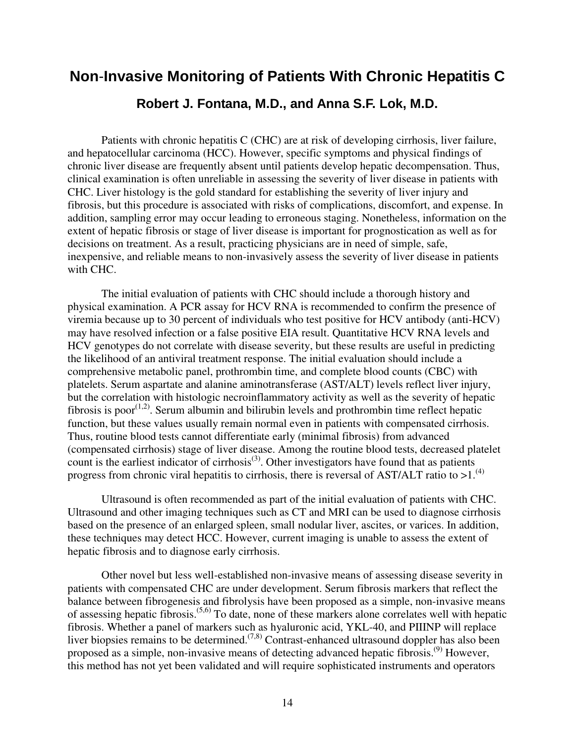# **Non**-**Invasive Monitoring of Patients With Chronic Hepatitis C Robert J. Fontana, M.D., and Anna S.F. Lok, M.D.**

Patients with chronic hepatitis C (CHC) are at risk of developing cirrhosis, liver failure, and hepatocellular carcinoma (HCC). However, specific symptoms and physical findings of chronic liver disease are frequently absent until patients develop hepatic decompensation. Thus, clinical examination is often unreliable in assessing the severity of liver disease in patients with CHC. Liver histology is the gold standard for establishing the severity of liver injury and fibrosis, but this procedure is associated with risks of complications, discomfort, and expense. In addition, sampling error may occur leading to erroneous staging. Nonetheless, information on the extent of hepatic fibrosis or stage of liver disease is important for prognostication as well as for decisions on treatment. As a result, practicing physicians are in need of simple, safe, inexpensive, and reliable means to non-invasively assess the severity of liver disease in patients with CHC.

The initial evaluation of patients with CHC should include a thorough history and physical examination. A PCR assay for HCV RNA is recommended to confirm the presence of viremia because up to 30 percent of individuals who test positive for HCV antibody (anti-HCV) may have resolved infection or a false positive EIA result. Quantitative HCV RNA levels and HCV genotypes do not correlate with disease severity, but these results are useful in predicting the likelihood of an antiviral treatment response. The initial evaluation should include a comprehensive metabolic panel, prothrombin time, and complete blood counts (CBC) with platelets. Serum aspartate and alanine aminotransferase (AST/ALT) levels reflect liver injury, but the correlation with histologic necroinflammatory activity as well as the severity of hepatic fibrosis is poor<sup> $(1,2)$ </sup>. Serum albumin and bilirubin levels and prothrombin time reflect hepatic function, but these values usually remain normal even in patients with compensated cirrhosis. Thus, routine blood tests cannot differentiate early (minimal fibrosis) from advanced (compensated cirrhosis) stage of liver disease. Among the routine blood tests, decreased platelet count is the earliest indicator of cirrhosis<sup>(3)</sup>. Other investigators have found that as patients progress from chronic viral hepatitis to cirrhosis, there is reversal of AST/ALT ratio to  $>1.^{(4)}$ .

Ultrasound is often recommended as part of the initial evaluation of patients with CHC. Ultrasound and other imaging techniques such as CT and MRI can be used to diagnose cirrhosis based on the presence of an enlarged spleen, small nodular liver, ascites, or varices. In addition, these techniques may detect HCC. However, current imaging is unable to assess the extent of hepatic fibrosis and to diagnose early cirrhosis.

Other novel but less well-established non-invasive means of assessing disease severity in patients with compensated CHC are under development. Serum fibrosis markers that reflect the balance between fibrogenesis and fibrolysis have been proposed as a simple, non-invasive means of assessing hepatic fibrosis.(5,6) To date, none of these markers alone correlates well with hepatic fibrosis. Whether a panel of markers such as hyaluronic acid, YKL-40, and PIIINP will replace liver biopsies remains to be determined.<sup> $(7,8)$ </sup> Contrast-enhanced ultrasound doppler has also been proposed as a simple, non-invasive means of detecting advanced hepatic fibrosis.<sup>(9)</sup> However, this method has not yet been validated and will require sophisticated instruments and operators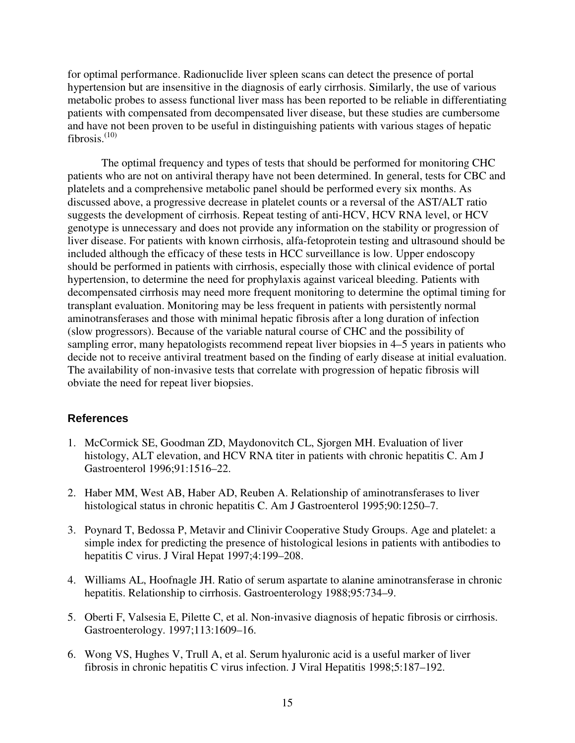for optimal performance. Radionuclide liver spleen scans can detect the presence of portal hypertension but are insensitive in the diagnosis of early cirrhosis. Similarly, the use of various metabolic probes to assess functional liver mass has been reported to be reliable in differentiating patients with compensated from decompensated liver disease, but these studies are cumbersome and have not been proven to be useful in distinguishing patients with various stages of hepatic fibrosis. $(10)$ 

The optimal frequency and types of tests that should be performed for monitoring CHC patients who are not on antiviral therapy have not been determined. In general, tests for CBC and platelets and a comprehensive metabolic panel should be performed every six months. As discussed above, a progressive decrease in platelet counts or a reversal of the AST/ALT ratio suggests the development of cirrhosis. Repeat testing of anti-HCV, HCV RNA level, or HCV genotype is unnecessary and does not provide any information on the stability or progression of liver disease. For patients with known cirrhosis, alfa-fetoprotein testing and ultrasound should be included although the efficacy of these tests in HCC surveillance is low. Upper endoscopy should be performed in patients with cirrhosis, especially those with clinical evidence of portal hypertension, to determine the need for prophylaxis against variceal bleeding. Patients with decompensated cirrhosis may need more frequent monitoring to determine the optimal timing for transplant evaluation. Monitoring may be less frequent in patients with persistently normal aminotransferases and those with minimal hepatic fibrosis after a long duration of infection (slow progressors). Because of the variable natural course of CHC and the possibility of sampling error, many hepatologists recommend repeat liver biopsies in 4–5 years in patients who decide not to receive antiviral treatment based on the finding of early disease at initial evaluation. The availability of non-invasive tests that correlate with progression of hepatic fibrosis will obviate the need for repeat liver biopsies.

- 1. McCormick SE, Goodman ZD, Maydonovitch CL, Sjorgen MH. Evaluation of liver histology, ALT elevation, and HCV RNA titer in patients with chronic hepatitis C. Am J Gastroenterol 1996;91:1516–22.
- 2. Haber MM, West AB, Haber AD, Reuben A. Relationship of aminotransferases to liver histological status in chronic hepatitis C. Am J Gastroenterol 1995;90:1250–7.
- 3. Poynard T, Bedossa P, Metavir and Clinivir Cooperative Study Groups. Age and platelet: a simple index for predicting the presence of histological lesions in patients with antibodies to hepatitis C virus. J Viral Hepat 1997;4:199–208.
- 4. Williams AL, Hoofnagle JH. Ratio of serum aspartate to alanine aminotransferase in chronic hepatitis. Relationship to cirrhosis. Gastroenterology 1988;95:734–9.
- 5. Oberti F, Valsesia E, Pilette C, et al. Non-invasive diagnosis of hepatic fibrosis or cirrhosis. Gastroenterology. 1997;113:1609–16.
- 6. Wong VS, Hughes V, Trull A, et al. Serum hyaluronic acid is a useful marker of liver fibrosis in chronic hepatitis C virus infection. J Viral Hepatitis 1998;5:187–192.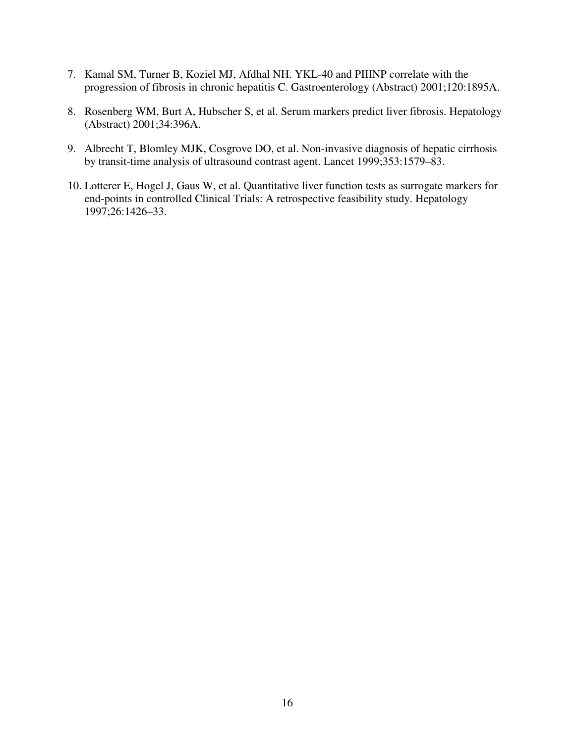- 7. Kamal SM, Turner B, Koziel MJ, Afdhal NH. YKL-40 and PIIINP correlate with the progression of fibrosis in chronic hepatitis C. Gastroenterology (Abstract) 2001;120:1895A.
- 8. Rosenberg WM, Burt A, Hubscher S, et al. Serum markers predict liver fibrosis. Hepatology (Abstract) 2001;34:396A.
- 9. Albrecht T, Blomley MJK, Cosgrove DO, et al. Non-invasive diagnosis of hepatic cirrhosis by transit-time analysis of ultrasound contrast agent. Lancet 1999;353:1579–83.
- 10. Lotterer E, Hogel J, Gaus W, et al. Quantitative liver function tests as surrogate markers for end-points in controlled Clinical Trials: A retrospective feasibility study. Hepatology 1997;26:1426–33.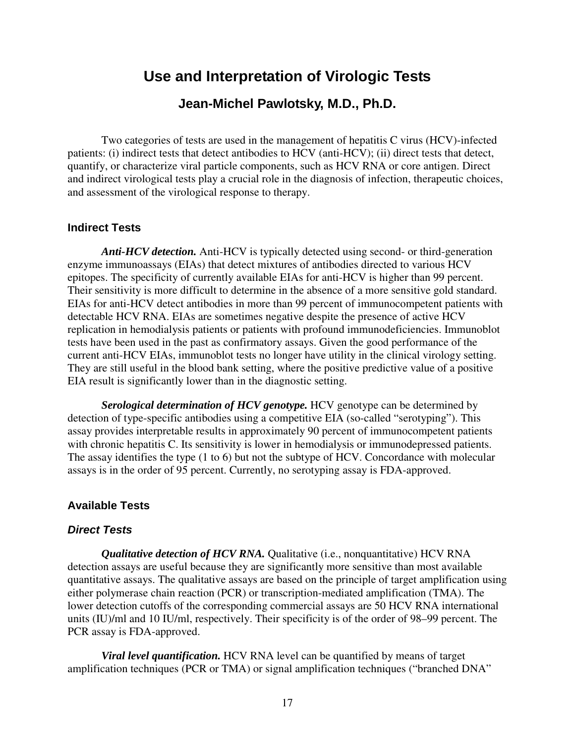# **Use and Interpretation of Virologic Tests**

## **Jean-Michel Pawlotsky, M.D., Ph.D.**

Two categories of tests are used in the management of hepatitis C virus (HCV)-infected patients: (i) indirect tests that detect antibodies to HCV (anti-HCV); (ii) direct tests that detect, quantify, or characterize viral particle components, such as HCV RNA or core antigen. Direct and indirect virological tests play a crucial role in the diagnosis of infection, therapeutic choices, and assessment of the virological response to therapy.

### **Indirect Tests**

*Anti-HCV detection.* Anti-HCV is typically detected using second- or third-generation enzyme immunoassays (EIAs) that detect mixtures of antibodies directed to various HCV epitopes. The specificity of currently available EIAs for anti-HCV is higher than 99 percent. Their sensitivity is more difficult to determine in the absence of a more sensitive gold standard. EIAs for anti-HCV detect antibodies in more than 99 percent of immunocompetent patients with detectable HCV RNA. EIAs are sometimes negative despite the presence of active HCV replication in hemodialysis patients or patients with profound immunodeficiencies. Immunoblot tests have been used in the past as confirmatory assays. Given the good performance of the current anti-HCV EIAs, immunoblot tests no longer have utility in the clinical virology setting. They are still useful in the blood bank setting, where the positive predictive value of a positive EIA result is significantly lower than in the diagnostic setting.

*Serological determination of HCV genotype.* HCV genotype can be determined by detection of type-specific antibodies using a competitive EIA (so-called "serotyping"). This assay provides interpretable results in approximately 90 percent of immunocompetent patients with chronic hepatitis C. Its sensitivity is lower in hemodialysis or immunodepressed patients. The assay identifies the type (1 to 6) but not the subtype of HCV. Concordance with molecular assays is in the order of 95 percent. Currently, no serotyping assay is FDA-approved.

## **Available Tests**

#### *Direct Tests*

*Qualitative detection of HCV RNA.* Qualitative (i.e., nonquantitative) HCV RNA detection assays are useful because they are significantly more sensitive than most available quantitative assays. The qualitative assays are based on the principle of target amplification using either polymerase chain reaction (PCR) or transcription-mediated amplification (TMA). The lower detection cutoffs of the corresponding commercial assays are 50 HCV RNA international units (IU)/ml and 10 IU/ml, respectively. Their specificity is of the order of 98–99 percent. The PCR assay is FDA-approved.

*Viral level quantification.* HCV RNA level can be quantified by means of target amplification techniques (PCR or TMA) or signal amplification techniques ("branched DNA"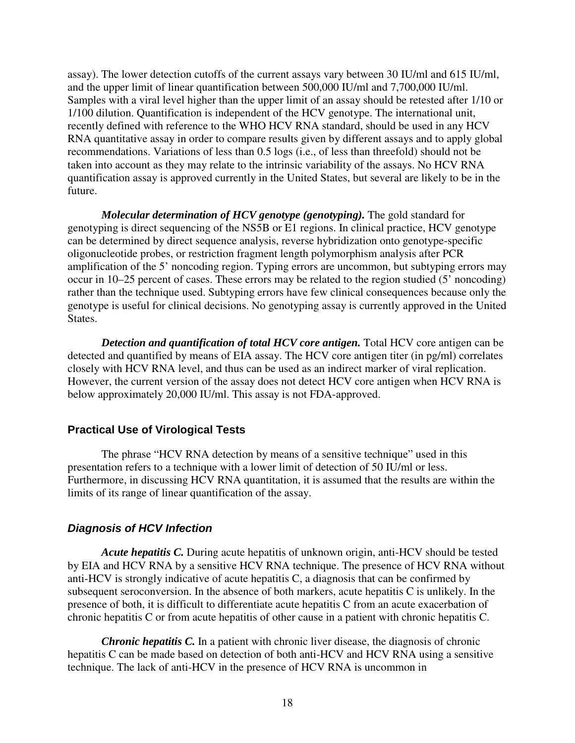assay). The lower detection cutoffs of the current assays vary between 30 IU/ml and 615 IU/ml, and the upper limit of linear quantification between 500,000 IU/ml and 7,700,000 IU/ml. Samples with a viral level higher than the upper limit of an assay should be retested after 1/10 or 1/100 dilution. Quantification is independent of the HCV genotype. The international unit, recently defined with reference to the WHO HCV RNA standard, should be used in any HCV RNA quantitative assay in order to compare results given by different assays and to apply global recommendations. Variations of less than 0.5 logs (i.e., of less than threefold) should not be taken into account as they may relate to the intrinsic variability of the assays. No HCV RNA quantification assay is approved currently in the United States, but several are likely to be in the future.

*Molecular determination of HCV genotype (genotyping).* The gold standard for genotyping is direct sequencing of the NS5B or E1 regions. In clinical practice, HCV genotype can be determined by direct sequence analysis, reverse hybridization onto genotype-specific oligonucleotide probes, or restriction fragment length polymorphism analysis after PCR amplification of the 5' noncoding region. Typing errors are uncommon, but subtyping errors may occur in 10–25 percent of cases. These errors may be related to the region studied (5' noncoding) rather than the technique used. Subtyping errors have few clinical consequences because only the genotype is useful for clinical decisions. No genotyping assay is currently approved in the United States.

*Detection and quantification of total HCV core antigen.* Total HCV core antigen can be detected and quantified by means of EIA assay. The HCV core antigen titer (in pg/ml) correlates closely with HCV RNA level, and thus can be used as an indirect marker of viral replication. However, the current version of the assay does not detect HCV core antigen when HCV RNA is below approximately 20,000 IU/ml. This assay is not FDA-approved.

## **Practical Use of Virological Tests**

The phrase "HCV RNA detection by means of a sensitive technique" used in this presentation refers to a technique with a lower limit of detection of 50 IU/ml or less. Furthermore, in discussing HCV RNA quantitation, it is assumed that the results are within the limits of its range of linear quantification of the assay.

#### *Diagnosis of HCV Infection*

*Acute hepatitis C.* During acute hepatitis of unknown origin, anti-HCV should be tested by EIA and HCV RNA by a sensitive HCV RNA technique. The presence of HCV RNA without anti-HCV is strongly indicative of acute hepatitis C, a diagnosis that can be confirmed by subsequent seroconversion. In the absence of both markers, acute hepatitis C is unlikely. In the presence of both, it is difficult to differentiate acute hepatitis C from an acute exacerbation of chronic hepatitis C or from acute hepatitis of other cause in a patient with chronic hepatitis C.

*Chronic hepatitis C.* In a patient with chronic liver disease, the diagnosis of chronic hepatitis C can be made based on detection of both anti-HCV and HCV RNA using a sensitive technique. The lack of anti-HCV in the presence of HCV RNA is uncommon in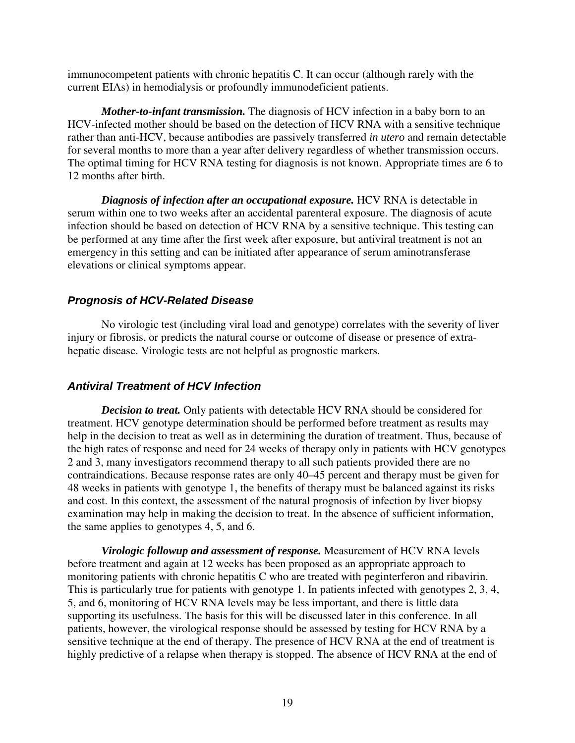immunocompetent patients with chronic hepatitis C. It can occur (although rarely with the current EIAs) in hemodialysis or profoundly immunodeficient patients.

*Mother-to-infant transmission.* The diagnosis of HCV infection in a baby born to an HCV-infected mother should be based on the detection of HCV RNA with a sensitive technique rather than anti-HCV, because antibodies are passively transferred *in utero* and remain detectable for several months to more than a year after delivery regardless of whether transmission occurs. The optimal timing for HCV RNA testing for diagnosis is not known. Appropriate times are 6 to 12 months after birth.

*Diagnosis of infection after an occupational exposure.* HCV RNA is detectable in serum within one to two weeks after an accidental parenteral exposure. The diagnosis of acute infection should be based on detection of HCV RNA by a sensitive technique. This testing can be performed at any time after the first week after exposure, but antiviral treatment is not an emergency in this setting and can be initiated after appearance of serum aminotransferase elevations or clinical symptoms appear.

## *Prognosis of HCV-Related Disease*

No virologic test (including viral load and genotype) correlates with the severity of liver injury or fibrosis, or predicts the natural course or outcome of disease or presence of extrahepatic disease. Virologic tests are not helpful as prognostic markers.

## *Antiviral Treatment of HCV Infection*

*Decision to treat.* Only patients with detectable HCV RNA should be considered for treatment. HCV genotype determination should be performed before treatment as results may help in the decision to treat as well as in determining the duration of treatment. Thus, because of the high rates of response and need for 24 weeks of therapy only in patients with HCV genotypes 2 and 3, many investigators recommend therapy to all such patients provided there are no contraindications. Because response rates are only 40–45 percent and therapy must be given for 48 weeks in patients with genotype 1, the benefits of therapy must be balanced against its risks and cost. In this context, the assessment of the natural prognosis of infection by liver biopsy examination may help in making the decision to treat. In the absence of sufficient information, the same applies to genotypes 4, 5, and 6.

*Virologic followup and assessment of response.* Measurement of HCV RNA levels before treatment and again at 12 weeks has been proposed as an appropriate approach to monitoring patients with chronic hepatitis C who are treated with peginterferon and ribavirin. This is particularly true for patients with genotype 1. In patients infected with genotypes 2, 3, 4, 5, and 6, monitoring of HCV RNA levels may be less important, and there is little data supporting its usefulness. The basis for this will be discussed later in this conference. In all patients, however, the virological response should be assessed by testing for HCV RNA by a sensitive technique at the end of therapy. The presence of HCV RNA at the end of treatment is highly predictive of a relapse when therapy is stopped. The absence of HCV RNA at the end of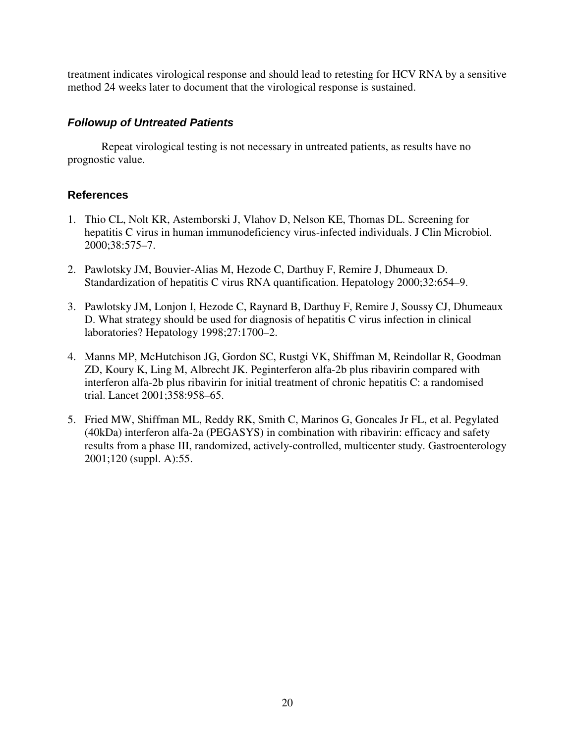treatment indicates virological response and should lead to retesting for HCV RNA by a sensitive method 24 weeks later to document that the virological response is sustained.

## *Followup of Untreated Patients*

Repeat virological testing is not necessary in untreated patients, as results have no prognostic value.

- 1. Thio CL, Nolt KR, Astemborski J, Vlahov D, Nelson KE, Thomas DL. Screening for hepatitis C virus in human immunodeficiency virus-infected individuals. J Clin Microbiol. 2000;38:575–7.
- 2. Pawlotsky JM, Bouvier-Alias M, Hezode C, Darthuy F, Remire J, Dhumeaux D. Standardization of hepatitis C virus RNA quantification. Hepatology 2000;32:654–9.
- 3. Pawlotsky JM, Lonjon I, Hezode C, Raynard B, Darthuy F, Remire J, Soussy CJ, Dhumeaux D. What strategy should be used for diagnosis of hepatitis C virus infection in clinical laboratories? Hepatology 1998;27:1700–2.
- 4. Manns MP, McHutchison JG, Gordon SC, Rustgi VK, Shiffman M, Reindollar R, Goodman ZD, Koury K, Ling M, Albrecht JK. Peginterferon alfa-2b plus ribavirin compared with interferon alfa-2b plus ribavirin for initial treatment of chronic hepatitis C: a randomised trial. Lancet 2001;358:958–65.
- 5. Fried MW, Shiffman ML, Reddy RK, Smith C, Marinos G, Goncales Jr FL, et al. Pegylated (40kDa) interferon alfa-2a (PEGASYS) in combination with ribavirin: efficacy and safety results from a phase III, randomized, actively-controlled, multicenter study. Gastroenterology 2001;120 (suppl. A):55.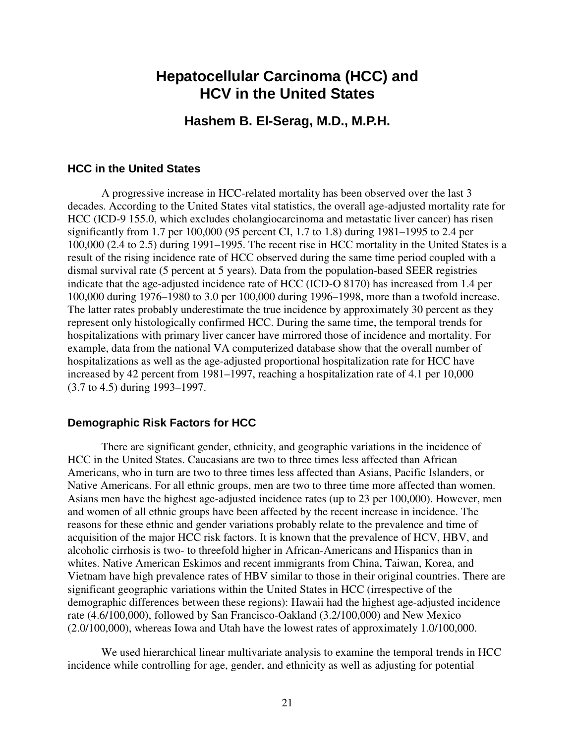# **Hepatocellular Carcinoma (HCC) and HCV in the United States**

## **Hashem B. El-Serag, M.D., M.P.H.**

#### **HCC in the United States**

A progressive increase in HCC-related mortality has been observed over the last 3 decades. According to the United States vital statistics, the overall age-adjusted mortality rate for HCC (ICD-9 155.0, which excludes cholangiocarcinoma and metastatic liver cancer) has risen significantly from 1.7 per 100,000 (95 percent CI, 1.7 to 1.8) during 1981–1995 to 2.4 per 100,000 (2.4 to 2.5) during 1991–1995. The recent rise in HCC mortality in the United States is a result of the rising incidence rate of HCC observed during the same time period coupled with a dismal survival rate (5 percent at 5 years). Data from the population-based SEER registries indicate that the age-adjusted incidence rate of HCC (ICD-O 8170) has increased from 1.4 per 100,000 during 1976–1980 to 3.0 per 100,000 during 1996–1998, more than a twofold increase. The latter rates probably underestimate the true incidence by approximately 30 percent as they represent only histologically confirmed HCC. During the same time, the temporal trends for hospitalizations with primary liver cancer have mirrored those of incidence and mortality. For example, data from the national VA computerized database show that the overall number of hospitalizations as well as the age-adjusted proportional hospitalization rate for HCC have increased by 42 percent from 1981–1997, reaching a hospitalization rate of 4.1 per 10,000 (3.7 to 4.5) during 1993–1997.

#### **Demographic Risk Factors for HCC**

There are significant gender, ethnicity, and geographic variations in the incidence of HCC in the United States. Caucasians are two to three times less affected than African Americans, who in turn are two to three times less affected than Asians, Pacific Islanders, or Native Americans. For all ethnic groups, men are two to three time more affected than women. Asians men have the highest age-adjusted incidence rates (up to 23 per 100,000). However, men and women of all ethnic groups have been affected by the recent increase in incidence. The reasons for these ethnic and gender variations probably relate to the prevalence and time of acquisition of the major HCC risk factors. It is known that the prevalence of HCV, HBV, and alcoholic cirrhosis is two- to threefold higher in African-Americans and Hispanics than in whites. Native American Eskimos and recent immigrants from China, Taiwan, Korea, and Vietnam have high prevalence rates of HBV similar to those in their original countries. There are significant geographic variations within the United States in HCC (irrespective of the demographic differences between these regions): Hawaii had the highest age-adjusted incidence rate (4.6/100,000), followed by San Francisco-Oakland (3.2/100,000) and New Mexico (2.0/100,000), whereas Iowa and Utah have the lowest rates of approximately 1.0/100,000.

We used hierarchical linear multivariate analysis to examine the temporal trends in HCC incidence while controlling for age, gender, and ethnicity as well as adjusting for potential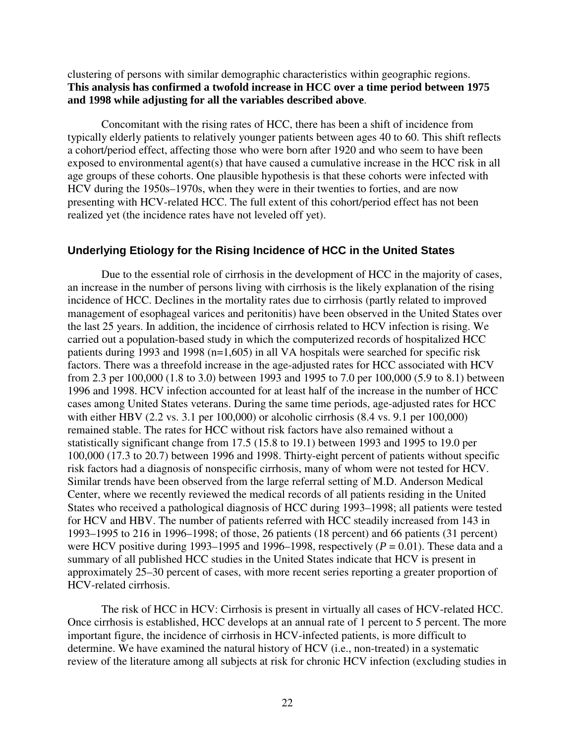## clustering of persons with similar demographic characteristics within geographic regions. **This analysis has confirmed a twofold increase in HCC over a time period between 1975 and 1998 while adjusting for all the variables described above**.

Concomitant with the rising rates of HCC, there has been a shift of incidence from typically elderly patients to relatively younger patients between ages 40 to 60. This shift reflects a cohort/period effect, affecting those who were born after 1920 and who seem to have been exposed to environmental agent(s) that have caused a cumulative increase in the HCC risk in all age groups of these cohorts. One plausible hypothesis is that these cohorts were infected with HCV during the 1950s–1970s, when they were in their twenties to forties, and are now presenting with HCV-related HCC. The full extent of this cohort/period effect has not been realized yet (the incidence rates have not leveled off yet).

### **Underlying Etiology for the Rising Incidence of HCC in the United States**

Due to the essential role of cirrhosis in the development of HCC in the majority of cases, an increase in the number of persons living with cirrhosis is the likely explanation of the rising incidence of HCC. Declines in the mortality rates due to cirrhosis (partly related to improved management of esophageal varices and peritonitis) have been observed in the United States over the last 25 years. In addition, the incidence of cirrhosis related to HCV infection is rising. We carried out a population-based study in which the computerized records of hospitalized HCC patients during 1993 and 1998 (n=1,605) in all VA hospitals were searched for specific risk factors. There was a threefold increase in the age-adjusted rates for HCC associated with HCV from 2.3 per 100,000 (1.8 to 3.0) between 1993 and 1995 to 7.0 per 100,000 (5.9 to 8.1) between 1996 and 1998. HCV infection accounted for at least half of the increase in the number of HCC cases among United States veterans. During the same time periods, age-adjusted rates for HCC with either HBV (2.2 vs. 3.1 per 100,000) or alcoholic cirrhosis (8.4 vs. 9.1 per 100,000) remained stable. The rates for HCC without risk factors have also remained without a statistically significant change from 17.5 (15.8 to 19.1) between 1993 and 1995 to 19.0 per 100,000 (17.3 to 20.7) between 1996 and 1998. Thirty-eight percent of patients without specific risk factors had a diagnosis of nonspecific cirrhosis, many of whom were not tested for HCV. Similar trends have been observed from the large referral setting of M.D. Anderson Medical Center, where we recently reviewed the medical records of all patients residing in the United States who received a pathological diagnosis of HCC during 1993–1998; all patients were tested for HCV and HBV. The number of patients referred with HCC steadily increased from 143 in 1993–1995 to 216 in 1996–1998; of those, 26 patients (18 percent) and 66 patients (31 percent) were HCV positive during 1993–1995 and 1996–1998, respectively  $(P = 0.01)$ . These data and a summary of all published HCC studies in the United States indicate that HCV is present in approximately 25–30 percent of cases, with more recent series reporting a greater proportion of HCV-related cirrhosis.

The risk of HCC in HCV: Cirrhosis is present in virtually all cases of HCV-related HCC. Once cirrhosis is established, HCC develops at an annual rate of 1 percent to 5 percent. The more important figure, the incidence of cirrhosis in HCV-infected patients, is more difficult to determine. We have examined the natural history of HCV (i.e., non-treated) in a systematic review of the literature among all subjects at risk for chronic HCV infection (excluding studies in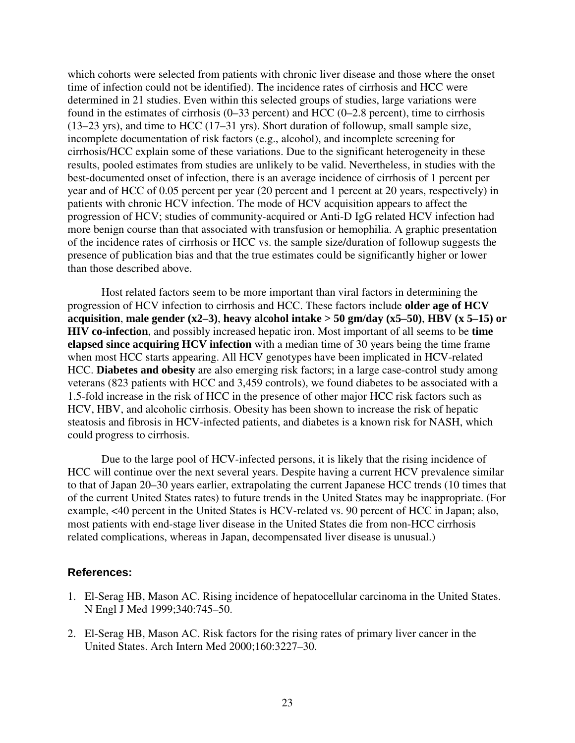which cohorts were selected from patients with chronic liver disease and those where the onset time of infection could not be identified). The incidence rates of cirrhosis and HCC were determined in 21 studies. Even within this selected groups of studies, large variations were found in the estimates of cirrhosis (0–33 percent) and HCC (0–2.8 percent), time to cirrhosis (13–23 yrs), and time to HCC (17–31 yrs). Short duration of followup, small sample size, incomplete documentation of risk factors (e.g., alcohol), and incomplete screening for cirrhosis/HCC explain some of these variations. Due to the significant heterogeneity in these results, pooled estimates from studies are unlikely to be valid. Nevertheless, in studies with the best-documented onset of infection, there is an average incidence of cirrhosis of 1 percent per year and of HCC of 0.05 percent per year (20 percent and 1 percent at 20 years, respectively) in patients with chronic HCV infection. The mode of HCV acquisition appears to affect the progression of HCV; studies of community-acquired or Anti-D IgG related HCV infection had more benign course than that associated with transfusion or hemophilia. A graphic presentation of the incidence rates of cirrhosis or HCC vs. the sample size/duration of followup suggests the presence of publication bias and that the true estimates could be significantly higher or lower than those described above.

Host related factors seem to be more important than viral factors in determining the progression of HCV infection to cirrhosis and HCC. These factors include **older age of HCV acquisition**, **male gender (x2–3)**, **heavy alcohol intake > 50 gm/day (x5–50)**, **HBV (x 5–15) or HIV co-infection**, and possibly increased hepatic iron. Most important of all seems to be **time elapsed since acquiring HCV infection** with a median time of 30 years being the time frame when most HCC starts appearing. All HCV genotypes have been implicated in HCV-related HCC. **Diabetes and obesity** are also emerging risk factors; in a large case-control study among veterans (823 patients with HCC and 3,459 controls), we found diabetes to be associated with a 1.5-fold increase in the risk of HCC in the presence of other major HCC risk factors such as HCV, HBV, and alcoholic cirrhosis. Obesity has been shown to increase the risk of hepatic steatosis and fibrosis in HCV-infected patients, and diabetes is a known risk for NASH, which could progress to cirrhosis.

Due to the large pool of HCV-infected persons, it is likely that the rising incidence of HCC will continue over the next several years. Despite having a current HCV prevalence similar to that of Japan 20–30 years earlier, extrapolating the current Japanese HCC trends (10 times that of the current United States rates) to future trends in the United States may be inappropriate. (For example, <40 percent in the United States is HCV-related vs. 90 percent of HCC in Japan; also, most patients with end-stage liver disease in the United States die from non-HCC cirrhosis related complications, whereas in Japan, decompensated liver disease is unusual.)

- 1. El-Serag HB, Mason AC. Rising incidence of hepatocellular carcinoma in the United States. N Engl J Med 1999;340:745–50.
- 2. El-Serag HB, Mason AC. Risk factors for the rising rates of primary liver cancer in the United States. Arch Intern Med 2000;160:3227–30.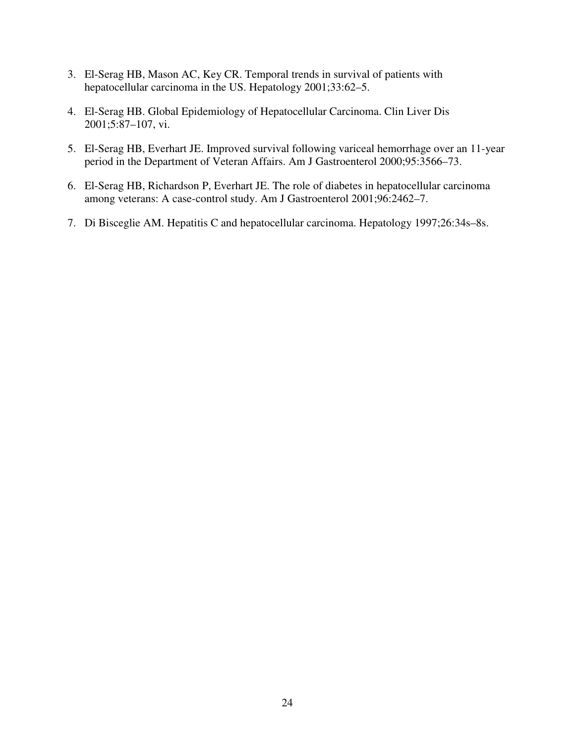- 3. El-Serag HB, Mason AC, Key CR. Temporal trends in survival of patients with hepatocellular carcinoma in the US. Hepatology 2001;33:62–5.
- 4. El-Serag HB. Global Epidemiology of Hepatocellular Carcinoma. Clin Liver Dis 2001;5:87–107, vi.
- 5. El-Serag HB, Everhart JE. Improved survival following variceal hemorrhage over an 11-year period in the Department of Veteran Affairs. Am J Gastroenterol 2000;95:3566–73.
- 6. El-Serag HB, Richardson P, Everhart JE. The role of diabetes in hepatocellular carcinoma among veterans: A case-control study. Am J Gastroenterol 2001;96:2462–7.
- 7. Di Bisceglie AM. Hepatitis C and hepatocellular carcinoma. Hepatology 1997;26:34s–8s.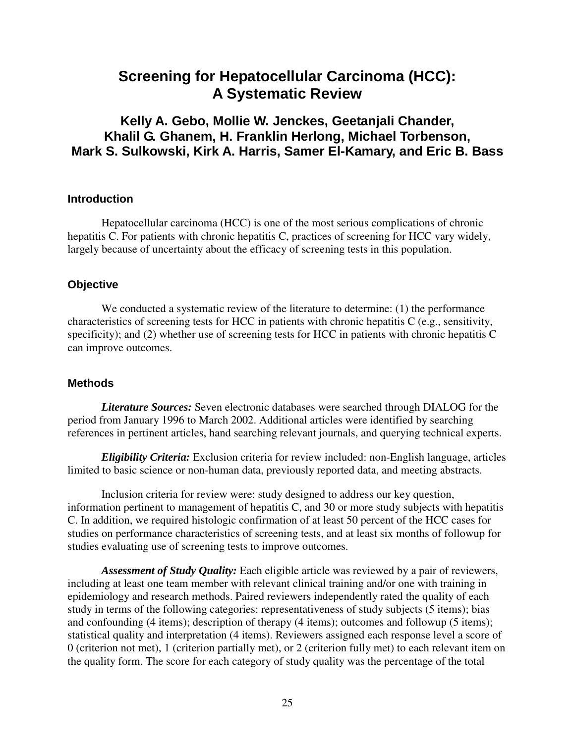# **Screening for Hepatocellular Carcinoma (HCC): A Systematic Review**

## **Kelly A. Gebo, Mollie W. Jenckes, Geetanjali Chander, Khalil G. Ghanem, H. Franklin Herlong, Michael Torbenson, Mark S. Sulkowski, Kirk A. Harris, Samer El-Kamary, and Eric B. Bass**

## **Introduction**

Hepatocellular carcinoma (HCC) is one of the most serious complications of chronic hepatitis C. For patients with chronic hepatitis C, practices of screening for HCC vary widely, largely because of uncertainty about the efficacy of screening tests in this population.

## **Objective**

We conducted a systematic review of the literature to determine: (1) the performance characteristics of screening tests for HCC in patients with chronic hepatitis C (e.g., sensitivity, specificity); and (2) whether use of screening tests for HCC in patients with chronic hepatitis C can improve outcomes.

## **Methods**

*Literature Sources:* Seven electronic databases were searched through DIALOG for the period from January 1996 to March 2002. Additional articles were identified by searching references in pertinent articles, hand searching relevant journals, and querying technical experts.

*Eligibility Criteria:* Exclusion criteria for review included: non-English language, articles limited to basic science or non-human data, previously reported data, and meeting abstracts.

Inclusion criteria for review were: study designed to address our key question, information pertinent to management of hepatitis C, and 30 or more study subjects with hepatitis C. In addition, we required histologic confirmation of at least 50 percent of the HCC cases for studies on performance characteristics of screening tests, and at least six months of followup for studies evaluating use of screening tests to improve outcomes.

*Assessment of Study Quality:* Each eligible article was reviewed by a pair of reviewers, including at least one team member with relevant clinical training and/or one with training in epidemiology and research methods. Paired reviewers independently rated the quality of each study in terms of the following categories: representativeness of study subjects (5 items); bias and confounding (4 items); description of therapy (4 items); outcomes and followup (5 items); statistical quality and interpretation (4 items). Reviewers assigned each response level a score of 0 (criterion not met), 1 (criterion partially met), or 2 (criterion fully met) to each relevant item on the quality form. The score for each category of study quality was the percentage of the total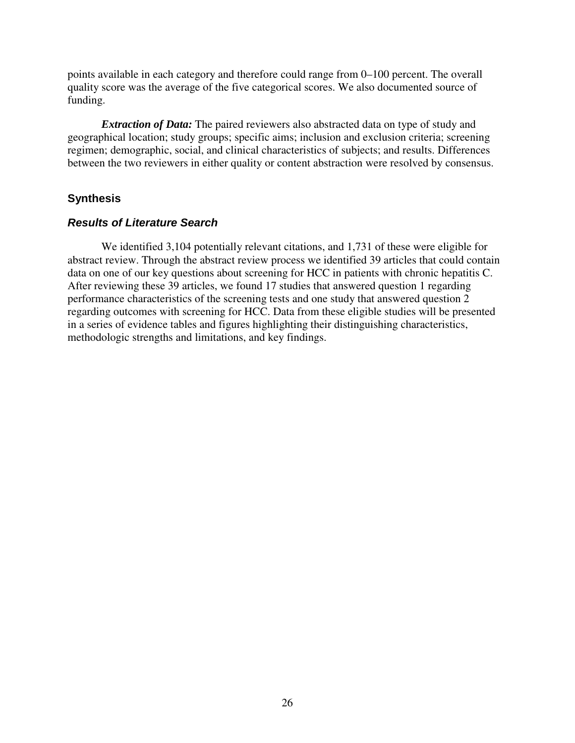points available in each category and therefore could range from 0–100 percent. The overall quality score was the average of the five categorical scores. We also documented source of funding.

*Extraction of Data:* The paired reviewers also abstracted data on type of study and geographical location; study groups; specific aims; inclusion and exclusion criteria; screening regimen; demographic, social, and clinical characteristics of subjects; and results. Differences between the two reviewers in either quality or content abstraction were resolved by consensus.

#### **Synthesis**

#### *Results of Literature Search*

We identified 3,104 potentially relevant citations, and 1,731 of these were eligible for abstract review. Through the abstract review process we identified 39 articles that could contain data on one of our key questions about screening for HCC in patients with chronic hepatitis C. After reviewing these 39 articles, we found 17 studies that answered question 1 regarding performance characteristics of the screening tests and one study that answered question 2 regarding outcomes with screening for HCC. Data from these eligible studies will be presented in a series of evidence tables and figures highlighting their distinguishing characteristics, methodologic strengths and limitations, and key findings.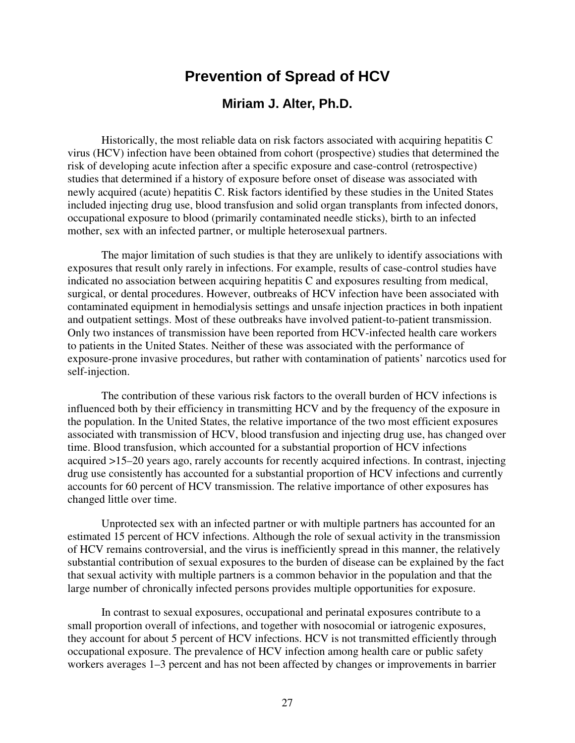# **Prevention of Spread of HCV**

## **Miriam J. Alter, Ph.D.**

Historically, the most reliable data on risk factors associated with acquiring hepatitis C virus (HCV) infection have been obtained from cohort (prospective) studies that determined the risk of developing acute infection after a specific exposure and case-control (retrospective) studies that determined if a history of exposure before onset of disease was associated with newly acquired (acute) hepatitis C. Risk factors identified by these studies in the United States included injecting drug use, blood transfusion and solid organ transplants from infected donors, occupational exposure to blood (primarily contaminated needle sticks), birth to an infected mother, sex with an infected partner, or multiple heterosexual partners.

The major limitation of such studies is that they are unlikely to identify associations with exposures that result only rarely in infections. For example, results of case-control studies have indicated no association between acquiring hepatitis C and exposures resulting from medical, surgical, or dental procedures. However, outbreaks of HCV infection have been associated with contaminated equipment in hemodialysis settings and unsafe injection practices in both inpatient and outpatient settings. Most of these outbreaks have involved patient-to-patient transmission. Only two instances of transmission have been reported from HCV-infected health care workers to patients in the United States. Neither of these was associated with the performance of exposure-prone invasive procedures, but rather with contamination of patients' narcotics used for self-injection.

The contribution of these various risk factors to the overall burden of HCV infections is influenced both by their efficiency in transmitting HCV and by the frequency of the exposure in the population. In the United States, the relative importance of the two most efficient exposures associated with transmission of HCV, blood transfusion and injecting drug use, has changed over time. Blood transfusion, which accounted for a substantial proportion of HCV infections acquired >15–20 years ago, rarely accounts for recently acquired infections. In contrast, injecting drug use consistently has accounted for a substantial proportion of HCV infections and currently accounts for 60 percent of HCV transmission. The relative importance of other exposures has changed little over time.

Unprotected sex with an infected partner or with multiple partners has accounted for an estimated 15 percent of HCV infections. Although the role of sexual activity in the transmission of HCV remains controversial, and the virus is inefficiently spread in this manner, the relatively substantial contribution of sexual exposures to the burden of disease can be explained by the fact that sexual activity with multiple partners is a common behavior in the population and that the large number of chronically infected persons provides multiple opportunities for exposure.

In contrast to sexual exposures, occupational and perinatal exposures contribute to a small proportion overall of infections, and together with nosocomial or iatrogenic exposures, they account for about 5 percent of HCV infections. HCV is not transmitted efficiently through occupational exposure. The prevalence of HCV infection among health care or public safety workers averages 1–3 percent and has not been affected by changes or improvements in barrier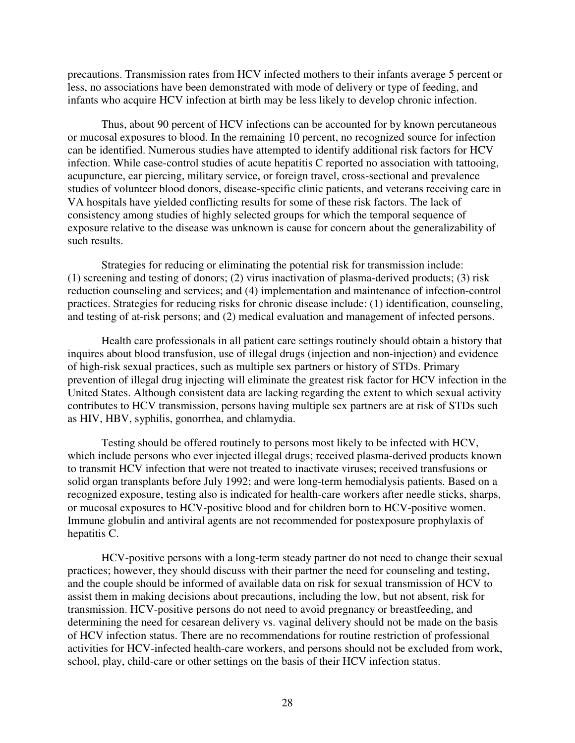precautions. Transmission rates from HCV infected mothers to their infants average 5 percent or less, no associations have been demonstrated with mode of delivery or type of feeding, and infants who acquire HCV infection at birth may be less likely to develop chronic infection.

Thus, about 90 percent of HCV infections can be accounted for by known percutaneous or mucosal exposures to blood. In the remaining 10 percent, no recognized source for infection can be identified. Numerous studies have attempted to identify additional risk factors for HCV infection. While case-control studies of acute hepatitis C reported no association with tattooing, acupuncture, ear piercing, military service, or foreign travel, cross-sectional and prevalence studies of volunteer blood donors, disease-specific clinic patients, and veterans receiving care in VA hospitals have yielded conflicting results for some of these risk factors. The lack of consistency among studies of highly selected groups for which the temporal sequence of exposure relative to the disease was unknown is cause for concern about the generalizability of such results.

Strategies for reducing or eliminating the potential risk for transmission include: (1) screening and testing of donors; (2) virus inactivation of plasma-derived products; (3) risk reduction counseling and services; and (4) implementation and maintenance of infection-control practices. Strategies for reducing risks for chronic disease include: (1) identification, counseling, and testing of at-risk persons; and (2) medical evaluation and management of infected persons.

Health care professionals in all patient care settings routinely should obtain a history that inquires about blood transfusion, use of illegal drugs (injection and non-injection) and evidence of high-risk sexual practices, such as multiple sex partners or history of STDs. Primary prevention of illegal drug injecting will eliminate the greatest risk factor for HCV infection in the United States. Although consistent data are lacking regarding the extent to which sexual activity contributes to HCV transmission, persons having multiple sex partners are at risk of STDs such as HIV, HBV, syphilis, gonorrhea, and chlamydia.

Testing should be offered routinely to persons most likely to be infected with HCV, which include persons who ever injected illegal drugs; received plasma-derived products known to transmit HCV infection that were not treated to inactivate viruses; received transfusions or solid organ transplants before July 1992; and were long-term hemodialysis patients. Based on a recognized exposure, testing also is indicated for health-care workers after needle sticks, sharps, or mucosal exposures to HCV-positive blood and for children born to HCV-positive women. Immune globulin and antiviral agents are not recommended for postexposure prophylaxis of hepatitis C.

HCV-positive persons with a long-term steady partner do not need to change their sexual practices; however, they should discuss with their partner the need for counseling and testing, and the couple should be informed of available data on risk for sexual transmission of HCV to assist them in making decisions about precautions, including the low, but not absent, risk for transmission. HCV-positive persons do not need to avoid pregnancy or breastfeeding, and determining the need for cesarean delivery vs. vaginal delivery should not be made on the basis of HCV infection status. There are no recommendations for routine restriction of professional activities for HCV-infected health-care workers, and persons should not be excluded from work, school, play, child-care or other settings on the basis of their HCV infection status.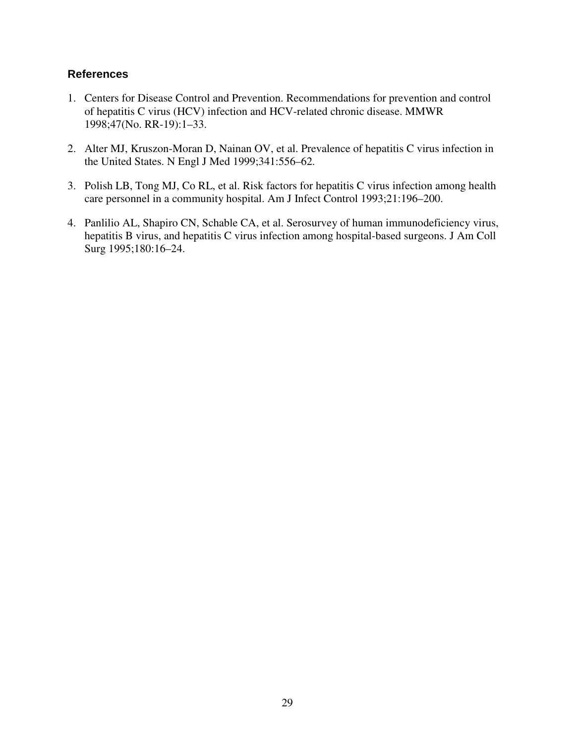- 1. Centers for Disease Control and Prevention. Recommendations for prevention and control of hepatitis C virus (HCV) infection and HCV-related chronic disease. MMWR 1998;47(No. RR-19):1–33.
- 2. Alter MJ, Kruszon-Moran D, Nainan OV, et al. Prevalence of hepatitis C virus infection in the United States. N Engl J Med 1999;341:556–62.
- 3. Polish LB, Tong MJ, Co RL, et al. Risk factors for hepatitis C virus infection among health care personnel in a community hospital. Am J Infect Control 1993;21:196–200.
- 4. Panlilio AL, Shapiro CN, Schable CA, et al. Serosurvey of human immunodeficiency virus, hepatitis B virus, and hepatitis C virus infection among hospital-based surgeons. J Am Coll Surg 1995;180:16–24.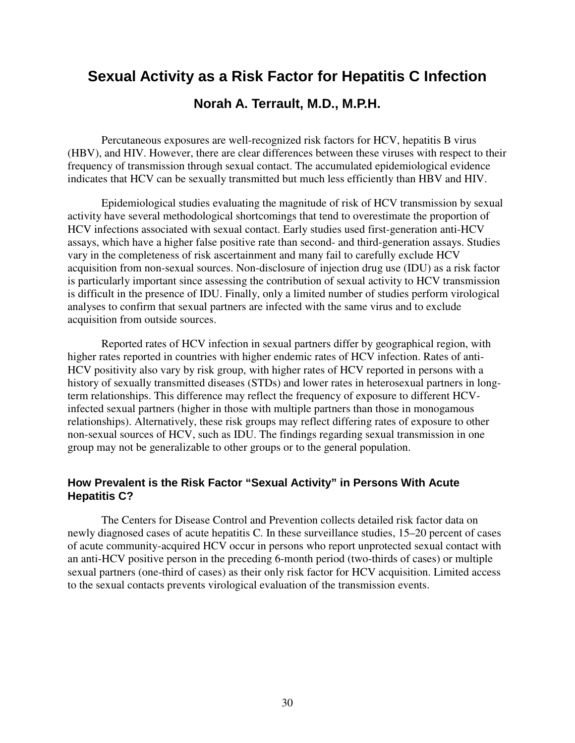# **Sexual Activity as a Risk Factor for Hepatitis C Infection**

## **Norah A. Terrault, M.D., M.P.H.**

Percutaneous exposures are well-recognized risk factors for HCV, hepatitis B virus (HBV), and HIV. However, there are clear differences between these viruses with respect to their frequency of transmission through sexual contact. The accumulated epidemiological evidence indicates that HCV can be sexually transmitted but much less efficiently than HBV and HIV.

Epidemiological studies evaluating the magnitude of risk of HCV transmission by sexual activity have several methodological shortcomings that tend to overestimate the proportion of HCV infections associated with sexual contact. Early studies used first-generation anti-HCV assays, which have a higher false positive rate than second- and third-generation assays. Studies vary in the completeness of risk ascertainment and many fail to carefully exclude HCV acquisition from non-sexual sources. Non-disclosure of injection drug use (IDU) as a risk factor is particularly important since assessing the contribution of sexual activity to HCV transmission is difficult in the presence of IDU. Finally, only a limited number of studies perform virological analyses to confirm that sexual partners are infected with the same virus and to exclude acquisition from outside sources.

Reported rates of HCV infection in sexual partners differ by geographical region, with higher rates reported in countries with higher endemic rates of HCV infection. Rates of anti-HCV positivity also vary by risk group, with higher rates of HCV reported in persons with a history of sexually transmitted diseases (STDs) and lower rates in heterosexual partners in longterm relationships. This difference may reflect the frequency of exposure to different HCVinfected sexual partners (higher in those with multiple partners than those in monogamous relationships). Alternatively, these risk groups may reflect differing rates of exposure to other non-sexual sources of HCV, such as IDU. The findings regarding sexual transmission in one group may not be generalizable to other groups or to the general population.

## **How Prevalent is the Risk Factor "Sexual Activity" in Persons With Acute Hepatitis C?**

The Centers for Disease Control and Prevention collects detailed risk factor data on newly diagnosed cases of acute hepatitis C. In these surveillance studies, 15–20 percent of cases of acute community-acquired HCV occur in persons who report unprotected sexual contact with an anti-HCV positive person in the preceding 6-month period (two-thirds of cases) or multiple sexual partners (one-third of cases) as their only risk factor for HCV acquisition. Limited access to the sexual contacts prevents virological evaluation of the transmission events.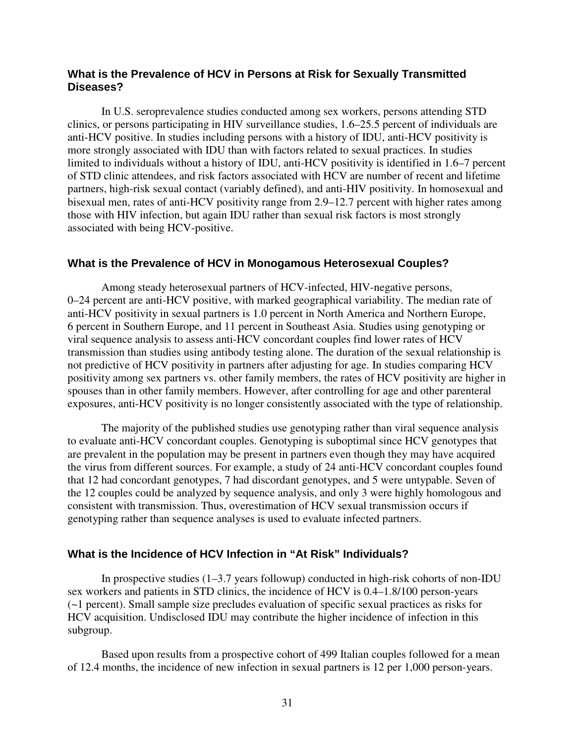## **What is the Prevalence of HCV in Persons at Risk for Sexually Transmitted Diseases?**

In U.S. seroprevalence studies conducted among sex workers, persons attending STD clinics, or persons participating in HIV surveillance studies, 1.6–25.5 percent of individuals are anti-HCV positive. In studies including persons with a history of IDU, anti-HCV positivity is more strongly associated with IDU than with factors related to sexual practices. In studies limited to individuals without a history of IDU, anti-HCV positivity is identified in 1.6–7 percent of STD clinic attendees, and risk factors associated with HCV are number of recent and lifetime partners, high-risk sexual contact (variably defined), and anti-HIV positivity. In homosexual and bisexual men, rates of anti-HCV positivity range from 2.9–12.7 percent with higher rates among those with HIV infection, but again IDU rather than sexual risk factors is most strongly associated with being HCV-positive.

#### **What is the Prevalence of HCV in Monogamous Heterosexual Couples?**

Among steady heterosexual partners of HCV-infected, HIV-negative persons, 0–24 percent are anti-HCV positive, with marked geographical variability. The median rate of anti-HCV positivity in sexual partners is 1.0 percent in North America and Northern Europe, 6 percent in Southern Europe, and 11 percent in Southeast Asia. Studies using genotyping or viral sequence analysis to assess anti-HCV concordant couples find lower rates of HCV transmission than studies using antibody testing alone. The duration of the sexual relationship is not predictive of HCV positivity in partners after adjusting for age. In studies comparing HCV positivity among sex partners vs. other family members, the rates of HCV positivity are higher in spouses than in other family members. However, after controlling for age and other parenteral exposures, anti-HCV positivity is no longer consistently associated with the type of relationship.

The majority of the published studies use genotyping rather than viral sequence analysis to evaluate anti-HCV concordant couples. Genotyping is suboptimal since HCV genotypes that are prevalent in the population may be present in partners even though they may have acquired the virus from different sources. For example, a study of 24 anti-HCV concordant couples found that 12 had concordant genotypes, 7 had discordant genotypes, and 5 were untypable. Seven of the 12 couples could be analyzed by sequence analysis, and only 3 were highly homologous and consistent with transmission. Thus, overestimation of HCV sexual transmission occurs if genotyping rather than sequence analyses is used to evaluate infected partners.

## **What is the Incidence of HCV Infection in "At Risk" Individuals?**

In prospective studies  $(1-3.7 \text{ years}$  followup) conducted in high-risk cohorts of non-IDU sex workers and patients in STD clinics, the incidence of HCV is 0.4–1.8/100 person-years (~1 percent). Small sample size precludes evaluation of specific sexual practices as risks for HCV acquisition. Undisclosed IDU may contribute the higher incidence of infection in this subgroup.

Based upon results from a prospective cohort of 499 Italian couples followed for a mean of 12.4 months, the incidence of new infection in sexual partners is 12 per 1,000 person-years.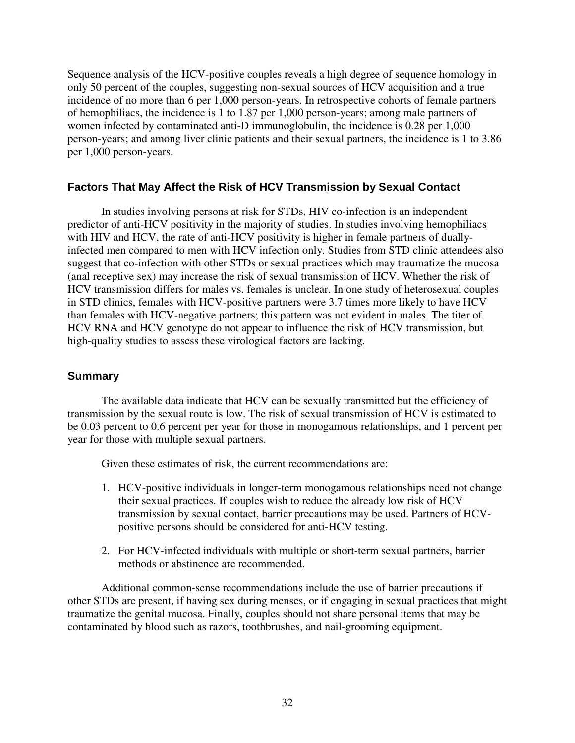Sequence analysis of the HCV-positive couples reveals a high degree of sequence homology in only 50 percent of the couples, suggesting non-sexual sources of HCV acquisition and a true incidence of no more than 6 per 1,000 person-years. In retrospective cohorts of female partners of hemophiliacs, the incidence is 1 to 1.87 per 1,000 person-years; among male partners of women infected by contaminated anti-D immunoglobulin, the incidence is 0.28 per 1,000 person-years; and among liver clinic patients and their sexual partners, the incidence is 1 to 3.86 per 1,000 person-years.

## **Factors That May Affect the Risk of HCV Transmission by Sexual Contact**

In studies involving persons at risk for STDs, HIV co-infection is an independent predictor of anti-HCV positivity in the majority of studies. In studies involving hemophiliacs with HIV and HCV, the rate of anti-HCV positivity is higher in female partners of duallyinfected men compared to men with HCV infection only. Studies from STD clinic attendees also suggest that co-infection with other STDs or sexual practices which may traumatize the mucosa (anal receptive sex) may increase the risk of sexual transmission of HCV. Whether the risk of HCV transmission differs for males vs. females is unclear. In one study of heterosexual couples in STD clinics, females with HCV-positive partners were 3.7 times more likely to have HCV than females with HCV-negative partners; this pattern was not evident in males. The titer of HCV RNA and HCV genotype do not appear to influence the risk of HCV transmission, but high-quality studies to assess these virological factors are lacking.

## **Summary**

The available data indicate that HCV can be sexually transmitted but the efficiency of transmission by the sexual route is low. The risk of sexual transmission of HCV is estimated to be 0.03 percent to 0.6 percent per year for those in monogamous relationships, and 1 percent per year for those with multiple sexual partners.

Given these estimates of risk, the current recommendations are:

- 1. HCV-positive individuals in longer-term monogamous relationships need not change their sexual practices. If couples wish to reduce the already low risk of HCV transmission by sexual contact, barrier precautions may be used. Partners of HCVpositive persons should be considered for anti-HCV testing.
- 2. For HCV-infected individuals with multiple or short-term sexual partners, barrier methods or abstinence are recommended.

Additional common-sense recommendations include the use of barrier precautions if other STDs are present, if having sex during menses, or if engaging in sexual practices that might traumatize the genital mucosa. Finally, couples should not share personal items that may be contaminated by blood such as razors, toothbrushes, and nail-grooming equipment.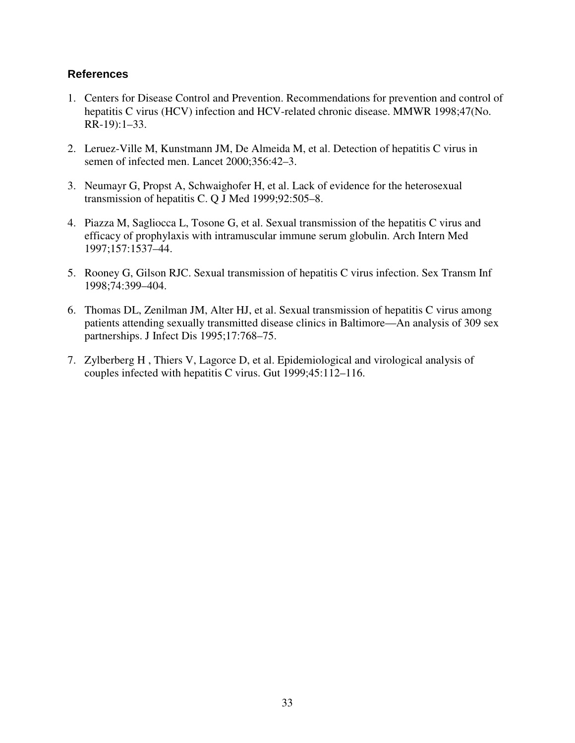- 1. Centers for Disease Control and Prevention. Recommendations for prevention and control of hepatitis C virus (HCV) infection and HCV-related chronic disease. MMWR 1998;47(No. RR-19):1–33.
- 2. Leruez-Ville M, Kunstmann JM, De Almeida M, et al. Detection of hepatitis C virus in semen of infected men. Lancet 2000;356:42–3.
- 3. Neumayr G, Propst A, Schwaighofer H, et al. Lack of evidence for the heterosexual transmission of hepatitis C. Q J Med 1999;92:505–8.
- 4. Piazza M, Sagliocca L, Tosone G, et al. Sexual transmission of the hepatitis C virus and efficacy of prophylaxis with intramuscular immune serum globulin. Arch Intern Med 1997;157:1537–44.
- 5. Rooney G, Gilson RJC. Sexual transmission of hepatitis C virus infection. Sex Transm Inf 1998;74:399–404.
- 6. Thomas DL, Zenilman JM, Alter HJ, et al. Sexual transmission of hepatitis C virus among patients attending sexually transmitted disease clinics in Baltimore—An analysis of 309 sex partnerships. J Infect Dis 1995;17:768–75.
- 7. Zylberberg H , Thiers V, Lagorce D, et al. Epidemiological and virological analysis of couples infected with hepatitis C virus. Gut 1999;45:112–116.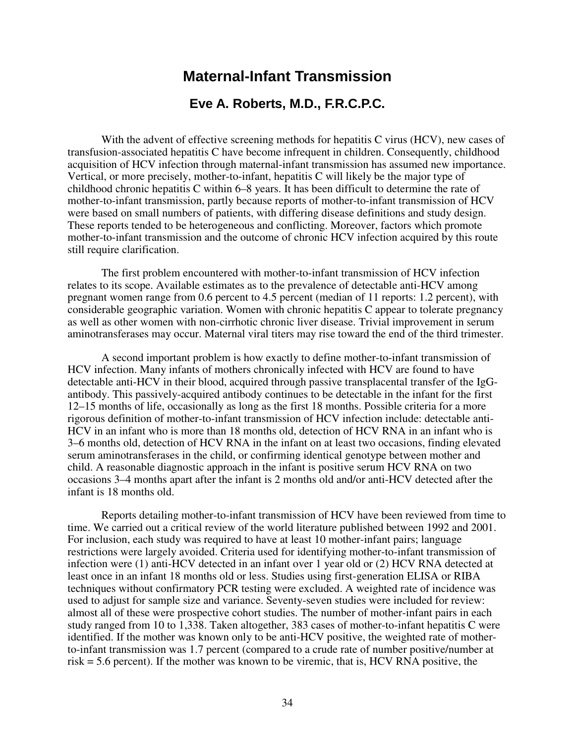# **Maternal-Infant Transmission**

## **Eve A. Roberts, M.D., F.R.C.P.C.**

With the advent of effective screening methods for hepatitis C virus (HCV), new cases of transfusion-associated hepatitis C have become infrequent in children. Consequently, childhood acquisition of HCV infection through maternal-infant transmission has assumed new importance. Vertical, or more precisely, mother-to-infant, hepatitis C will likely be the major type of childhood chronic hepatitis C within 6–8 years. It has been difficult to determine the rate of mother-to-infant transmission, partly because reports of mother-to-infant transmission of HCV were based on small numbers of patients, with differing disease definitions and study design. These reports tended to be heterogeneous and conflicting. Moreover, factors which promote mother-to-infant transmission and the outcome of chronic HCV infection acquired by this route still require clarification.

The first problem encountered with mother-to-infant transmission of HCV infection relates to its scope. Available estimates as to the prevalence of detectable anti-HCV among pregnant women range from 0.6 percent to 4.5 percent (median of 11 reports: 1.2 percent), with considerable geographic variation. Women with chronic hepatitis C appear to tolerate pregnancy as well as other women with non-cirrhotic chronic liver disease. Trivial improvement in serum aminotransferases may occur. Maternal viral titers may rise toward the end of the third trimester.

A second important problem is how exactly to define mother-to-infant transmission of HCV infection. Many infants of mothers chronically infected with HCV are found to have detectable anti-HCV in their blood, acquired through passive transplacental transfer of the IgGantibody. This passively-acquired antibody continues to be detectable in the infant for the first 12–15 months of life, occasionally as long as the first 18 months. Possible criteria for a more rigorous definition of mother-to-infant transmission of HCV infection include: detectable anti-HCV in an infant who is more than 18 months old, detection of HCV RNA in an infant who is 3–6 months old, detection of HCV RNA in the infant on at least two occasions, finding elevated serum aminotransferases in the child, or confirming identical genotype between mother and child. A reasonable diagnostic approach in the infant is positive serum HCV RNA on two occasions 3–4 months apart after the infant is 2 months old and/or anti-HCV detected after the infant is 18 months old.

Reports detailing mother-to-infant transmission of HCV have been reviewed from time to time. We carried out a critical review of the world literature published between 1992 and 2001. For inclusion, each study was required to have at least 10 mother-infant pairs; language restrictions were largely avoided. Criteria used for identifying mother-to-infant transmission of infection were (1) anti-HCV detected in an infant over 1 year old or (2) HCV RNA detected at least once in an infant 18 months old or less. Studies using first-generation ELISA or RIBA techniques without confirmatory PCR testing were excluded. A weighted rate of incidence was used to adjust for sample size and variance. Seventy-seven studies were included for review: almost all of these were prospective cohort studies. The number of mother-infant pairs in each study ranged from 10 to 1,338. Taken altogether, 383 cases of mother-to-infant hepatitis C were identified. If the mother was known only to be anti-HCV positive, the weighted rate of motherto-infant transmission was 1.7 percent (compared to a crude rate of number positive/number at risk = 5.6 percent). If the mother was known to be viremic, that is, HCV RNA positive, the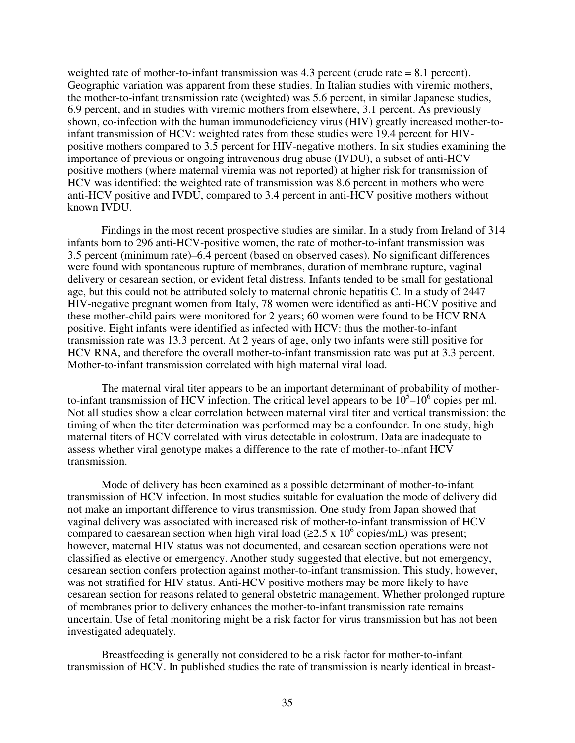weighted rate of mother-to-infant transmission was 4.3 percent (crude rate = 8.1 percent). Geographic variation was apparent from these studies. In Italian studies with viremic mothers, the mother-to-infant transmission rate (weighted) was 5.6 percent, in similar Japanese studies, 6.9 percent, and in studies with viremic mothers from elsewhere, 3.1 percent. As previously shown, co-infection with the human immunodeficiency virus (HIV) greatly increased mother-toinfant transmission of HCV: weighted rates from these studies were 19.4 percent for HIVpositive mothers compared to 3.5 percent for HIV-negative mothers. In six studies examining the importance of previous or ongoing intravenous drug abuse (IVDU), a subset of anti-HCV positive mothers (where maternal viremia was not reported) at higher risk for transmission of HCV was identified: the weighted rate of transmission was 8.6 percent in mothers who were anti-HCV positive and IVDU, compared to 3.4 percent in anti-HCV positive mothers without known IVDU.

Findings in the most recent prospective studies are similar. In a study from Ireland of 314 infants born to 296 anti-HCV-positive women, the rate of mother-to-infant transmission was 3.5 percent (minimum rate)–6.4 percent (based on observed cases). No significant differences were found with spontaneous rupture of membranes, duration of membrane rupture, vaginal delivery or cesarean section, or evident fetal distress. Infants tended to be small for gestational age, but this could not be attributed solely to maternal chronic hepatitis C. In a study of 2447 HIV-negative pregnant women from Italy, 78 women were identified as anti-HCV positive and these mother-child pairs were monitored for 2 years; 60 women were found to be HCV RNA positive. Eight infants were identified as infected with HCV: thus the mother-to-infant transmission rate was 13.3 percent. At 2 years of age, only two infants were still positive for HCV RNA, and therefore the overall mother-to-infant transmission rate was put at 3.3 percent. Mother-to-infant transmission correlated with high maternal viral load.

The maternal viral titer appears to be an important determinant of probability of motherto-infant transmission of HCV infection. The critical level appears to be  $10<sup>5</sup>$ –10<sup>6</sup> copies per ml. Not all studies show a clear correlation between maternal viral titer and vertical transmission: the timing of when the titer determination was performed may be a confounder. In one study, high maternal titers of HCV correlated with virus detectable in colostrum. Data are inadequate to assess whether viral genotype makes a difference to the rate of mother-to-infant HCV transmission.

Mode of delivery has been examined as a possible determinant of mother-to-infant transmission of HCV infection. In most studies suitable for evaluation the mode of delivery did not make an important difference to virus transmission. One study from Japan showed that vaginal delivery was associated with increased risk of mother-to-infant transmission of HCV compared to caesarean section when high viral load ( $\geq 2.5 \times 10^6$  copies/mL) was present; however, maternal HIV status was not documented, and cesarean section operations were not classified as elective or emergency. Another study suggested that elective, but not emergency, cesarean section confers protection against mother-to-infant transmission. This study, however, was not stratified for HIV status. Anti-HCV positive mothers may be more likely to have cesarean section for reasons related to general obstetric management. Whether prolonged rupture of membranes prior to delivery enhances the mother-to-infant transmission rate remains uncertain. Use of fetal monitoring might be a risk factor for virus transmission but has not been investigated adequately.

Breastfeeding is generally not considered to be a risk factor for mother-to-infant transmission of HCV. In published studies the rate of transmission is nearly identical in breast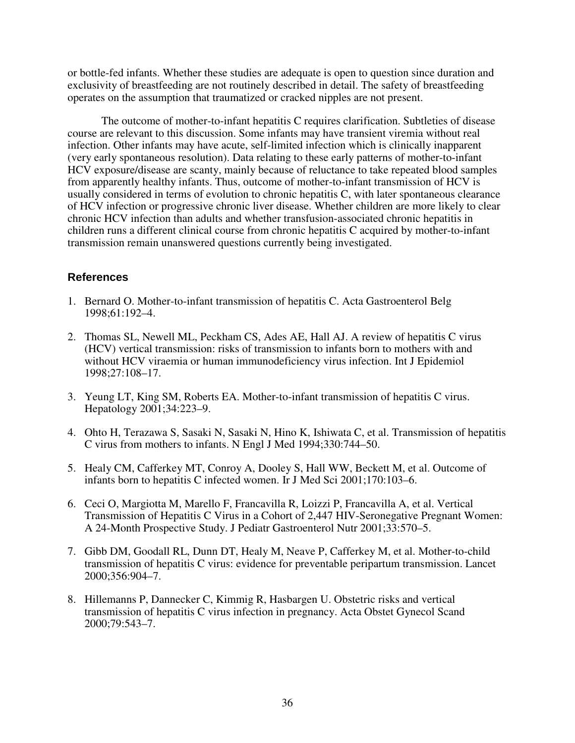or bottle-fed infants. Whether these studies are adequate is open to question since duration and exclusivity of breastfeeding are not routinely described in detail. The safety of breastfeeding operates on the assumption that traumatized or cracked nipples are not present.

The outcome of mother-to-infant hepatitis C requires clarification. Subtleties of disease course are relevant to this discussion. Some infants may have transient viremia without real infection. Other infants may have acute, self-limited infection which is clinically inapparent (very early spontaneous resolution). Data relating to these early patterns of mother-to-infant HCV exposure/disease are scanty, mainly because of reluctance to take repeated blood samples from apparently healthy infants. Thus, outcome of mother-to-infant transmission of HCV is usually considered in terms of evolution to chronic hepatitis C, with later spontaneous clearance of HCV infection or progressive chronic liver disease. Whether children are more likely to clear chronic HCV infection than adults and whether transfusion-associated chronic hepatitis in children runs a different clinical course from chronic hepatitis C acquired by mother-to-infant transmission remain unanswered questions currently being investigated.

- 1. Bernard O. Mother-to-infant transmission of hepatitis C. Acta Gastroenterol Belg 1998;61:192–4.
- 2. Thomas SL, Newell ML, Peckham CS, Ades AE, Hall AJ. A review of hepatitis C virus (HCV) vertical transmission: risks of transmission to infants born to mothers with and without HCV viraemia or human immunodeficiency virus infection. Int J Epidemiol 1998;27:108–17.
- 3. Yeung LT, King SM, Roberts EA. Mother-to-infant transmission of hepatitis C virus. Hepatology 2001;34:223–9.
- 4. Ohto H, Terazawa S, Sasaki N, Sasaki N, Hino K, Ishiwata C, et al. Transmission of hepatitis C virus from mothers to infants. N Engl J Med 1994;330:744–50.
- 5. Healy CM, Cafferkey MT, Conroy A, Dooley S, Hall WW, Beckett M, et al. Outcome of infants born to hepatitis C infected women. Ir J Med Sci 2001;170:103–6.
- 6. Ceci O, Margiotta M, Marello F, Francavilla R, Loizzi P, Francavilla A, et al. Vertical Transmission of Hepatitis C Virus in a Cohort of 2,447 HIV-Seronegative Pregnant Women: A 24-Month Prospective Study. J Pediatr Gastroenterol Nutr 2001;33:570–5.
- 7. Gibb DM, Goodall RL, Dunn DT, Healy M, Neave P, Cafferkey M, et al. Mother-to-child transmission of hepatitis C virus: evidence for preventable peripartum transmission. Lancet 2000;356:904–7.
- 8. Hillemanns P, Dannecker C, Kimmig R, Hasbargen U. Obstetric risks and vertical transmission of hepatitis C virus infection in pregnancy. Acta Obstet Gynecol Scand 2000;79:543–7.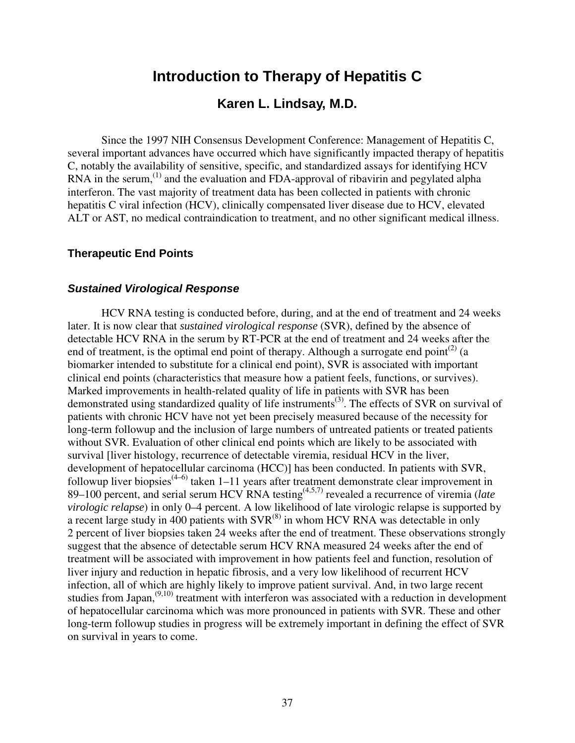# **Introduction to Therapy of Hepatitis C**

### **Karen L. Lindsay, M.D.**

Since the 1997 NIH Consensus Development Conference: Management of Hepatitis C, several important advances have occurred which have significantly impacted therapy of hepatitis C, notably the availability of sensitive, specific, and standardized assays for identifying HCV RNA in the serum, $^{(1)}$  and the evaluation and FDA-approval of ribavirin and pegylated alpha interferon. The vast majority of treatment data has been collected in patients with chronic hepatitis C viral infection (HCV), clinically compensated liver disease due to HCV, elevated ALT or AST, no medical contraindication to treatment, and no other significant medical illness.

### **Therapeutic End Points**

### *Sustained Virological Response*

HCV RNA testing is conducted before, during, and at the end of treatment and 24 weeks later. It is now clear that *sustained virological response* (SVR), defined by the absence of detectable HCV RNA in the serum by RT-PCR at the end of treatment and 24 weeks after the end of treatment, is the optimal end point of therapy. Although a surrogate end point<sup>(2)</sup> (a biomarker intended to substitute for a clinical end point), SVR is associated with important clinical end points (characteristics that measure how a patient feels, functions, or survives). Marked improvements in health-related quality of life in patients with SVR has been demonstrated using standardized quality of life instruments<sup>(3)</sup>. The effects of SVR on survival of patients with chronic HCV have not yet been precisely measured because of the necessity for long-term followup and the inclusion of large numbers of untreated patients or treated patients without SVR. Evaluation of other clinical end points which are likely to be associated with survival [liver histology, recurrence of detectable viremia, residual HCV in the liver, development of hepatocellular carcinoma (HCC)] has been conducted. In patients with SVR, followup liver biopsies<sup>(4–6)</sup> taken 1–11 years after treatment demonstrate clear improvement in 89–100 percent, and serial serum HCV RNA testing<sup>(4,5,7)</sup> revealed a recurrence of viremia (*late* <sup>a</sup>) *virologic relapse*) in only 0–4 percent. A low likelihood of late virologic relapse is supported by a recent large study in 400 patients with  $\text{SVR}^{(8)}$  in whom HCV RNA was detectable in only 2 percent of liver biopsies taken 24 weeks after the end of treatment. These observations strongly suggest that the absence of detectable serum HCV RNA measured 24 weeks after the end of treatment will be associated with improvement in how patients feel and function, resolution of liver injury and reduction in hepatic fibrosis, and a very low likelihood of recurrent HCV infection, all of which are highly likely to improve patient survival. And, in two large recent studies from Japan,<sup>(9,10)</sup> treatment with interferon was associated with a reduction in development of hepatocellular carcinoma which was more pronounced in patients with SVR. These and other long-term followup studies in progress will be extremely important in defining the effect of SVR on survival in years to come.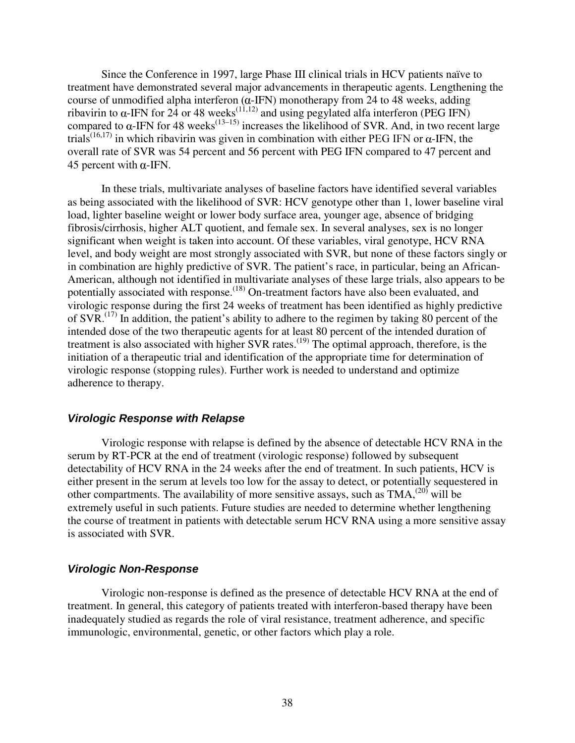Since the Conference in 1997, large Phase III clinical trials in HCV patients naïve to treatment have demonstrated several major advancements in therapeutic agents. Lengthening the course of unmodified alpha interferon  $(\alpha$ -IFN) monotherapy from 24 to 48 weeks, adding ribavirin to  $\alpha$ -IFN for 24 or 48 weeks<sup>(11,12)</sup> and using pegylated alfa interferon (PEG IFN) compared to  $\alpha$ -IFN for 48 weeks<sup>(13–15)</sup> increases the likelihood of SVR. And, in two recent large trials<sup>(16,17)</sup> in which ribavirin was given in combination with either PEG IFN or  $\alpha$ -IFN, the overall rate of SVR was 54 percent and 56 percent with PEG IFN compared to 47 percent and 45 percent with  $\alpha$ -IFN.

In these trials, multivariate analyses of baseline factors have identified several variables as being associated with the likelihood of SVR: HCV genotype other than 1, lower baseline viral load, lighter baseline weight or lower body surface area, younger age, absence of bridging fibrosis/cirrhosis, higher ALT quotient, and female sex. In several analyses, sex is no longer significant when weight is taken into account. Of these variables, viral genotype, HCV RNA level, and body weight are most strongly associated with SVR, but none of these factors singly or in combination are highly predictive of SVR. The patient's race, in particular, being an African-American, although not identified in multivariate analyses of these large trials, also appears to be potentially associated with response.<sup>(18)</sup> On-treatment factors have also been evaluated, and virologic response during the first 24 weeks of treatment has been identified as highly predictive of SVR.<sup> $(17)$ </sup> In addition, the patient's ability to adhere to the regimen by taking 80 percent of the intended dose of the two therapeutic agents for at least 80 percent of the intended duration of treatment is also associated with higher SVR rates.<sup>(19)</sup> The optimal approach, therefore, is the initiation of a therapeutic trial and identification of the appropriate time for determination of virologic response (stopping rules). Further work is needed to understand and optimize adherence to therapy.

### *Virologic Response with Relapse*

Virologic response with relapse is defined by the absence of detectable HCV RNA in the serum by RT-PCR at the end of treatment (virologic response) followed by subsequent detectability of HCV RNA in the 24 weeks after the end of treatment. In such patients, HCV is either present in the serum at levels too low for the assay to detect, or potentially sequestered in other compartments. The availability of more sensitive assays, such as  $TMA<sub>1</sub><sup>(20)</sup>$  will be extremely useful in such patients. Future studies are needed to determine whether lengthening the course of treatment in patients with detectable serum HCV RNA using a more sensitive assay is associated with SVR.

### *Virologic Non-Response*

Virologic non-response is defined as the presence of detectable HCV RNA at the end of treatment. In general, this category of patients treated with interferon-based therapy have been inadequately studied as regards the role of viral resistance, treatment adherence, and specific immunologic, environmental, genetic, or other factors which play a role.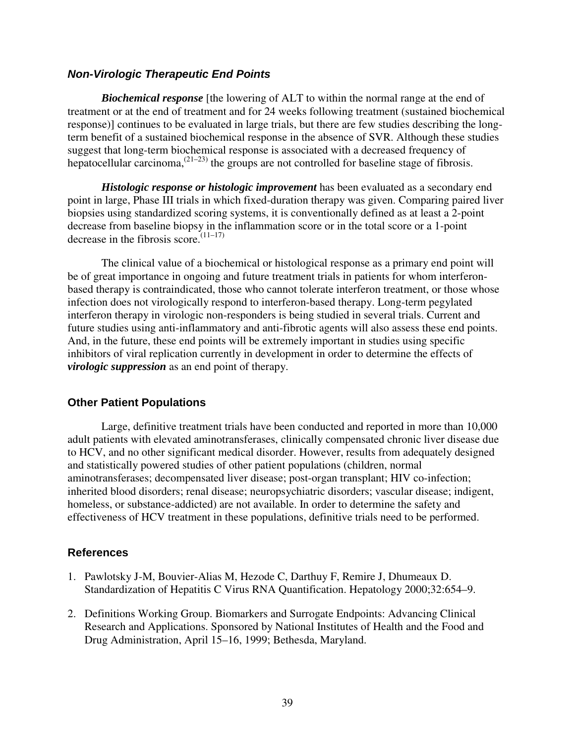### *Non-Virologic Therapeutic End Points*

*Biochemical response* [the lowering of ALT to within the normal range at the end of treatment or at the end of treatment and for 24 weeks following treatment (sustained biochemical response)] continues to be evaluated in large trials, but there are few studies describing the longterm benefit of a sustained biochemical response in the absence of SVR. Although these studies suggest that long-term biochemical response is associated with a decreased frequency of hepatocellular carcinoma,  $(21-23)$  the groups are not controlled for baseline stage of fibrosis.

*Histologic response or histologic improvement* has been evaluated as a secondary end point in large, Phase III trials in which fixed-duration therapy was given. Comparing paired liver biopsies using standardized scoring systems, it is conventionally defined as at least a 2-point decrease from baseline biopsy in the inflammation score or in the total score or a 1-point decrease in the fibrosis score.<sup> $(11-17)$ </sup>

The clinical value of a biochemical or histological response as a primary end point will be of great importance in ongoing and future treatment trials in patients for whom interferonbased therapy is contraindicated, those who cannot tolerate interferon treatment, or those whose infection does not virologically respond to interferon-based therapy. Long-term pegylated interferon therapy in virologic non-responders is being studied in several trials. Current and future studies using anti-inflammatory and anti-fibrotic agents will also assess these end points. And, in the future, these end points will be extremely important in studies using specific inhibitors of viral replication currently in development in order to determine the effects of *virologic suppression* as an end point of therapy.

### **Other Patient Populations**

Large, definitive treatment trials have been conducted and reported in more than 10,000 adult patients with elevated aminotransferases, clinically compensated chronic liver disease due to HCV, and no other significant medical disorder. However, results from adequately designed and statistically powered studies of other patient populations (children, normal aminotransferases; decompensated liver disease; post-organ transplant; HIV co-infection; inherited blood disorders; renal disease; neuropsychiatric disorders; vascular disease; indigent, homeless, or substance-addicted) are not available. In order to determine the safety and effectiveness of HCV treatment in these populations, definitive trials need to be performed.

- 1. Pawlotsky J-M, Bouvier-Alias M, Hezode C, Darthuy F, Remire J, Dhumeaux D. Standardization of Hepatitis C Virus RNA Quantification. Hepatology 2000;32:654–9.
- 2. Definitions Working Group. Biomarkers and Surrogate Endpoints: Advancing Clinical Research and Applications. Sponsored by National Institutes of Health and the Food and Drug Administration, April 15–16, 1999; Bethesda, Maryland.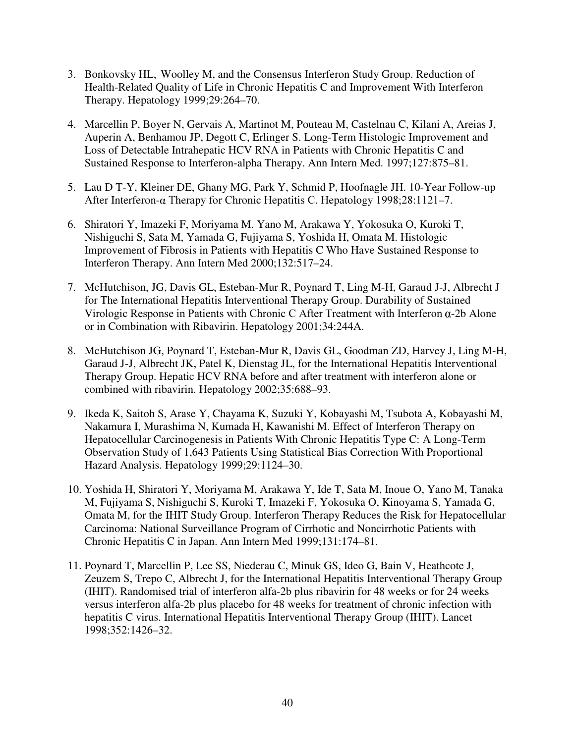- 3. Bonkovsky HL, Woolley M, and the Consensus Interferon Study Group. Reduction of Health-Related Quality of Life in Chronic Hepatitis C and Improvement With Interferon Therapy. Hepatology 1999;29:264–70.
- 4. Marcellin P, Boyer N, Gervais A, Martinot M, Pouteau M, Castelnau C, Kilani A, Areias J, Auperin A, Benhamou JP, Degott C, Erlinger S. Long-Term Histologic Improvement and Loss of Detectable Intrahepatic HCV RNA in Patients with Chronic Hepatitis C and Sustained Response to Interferon-alpha Therapy. Ann Intern Med. 1997;127:875–81.
- 5. Lau D T-Y, Kleiner DE, Ghany MG, Park Y, Schmid P, Hoofnagle JH. 10-Year Follow-up After Interferon-a Therapy for Chronic Hepatitis C. Hepatology 1998;28:1121-7.
- 6. Shiratori Y, Imazeki F, Moriyama M. Yano M, Arakawa Y, Yokosuka O, Kuroki T, Nishiguchi S, Sata M, Yamada G, Fujiyama S, Yoshida H, Omata M. Histologic Improvement of Fibrosis in Patients with Hepatitis C Who Have Sustained Response to Interferon Therapy. Ann Intern Med 2000;132:517–24.
- 7. McHutchison, JG, Davis GL, Esteban-Mur R, Poynard T, Ling M-H, Garaud J-J, Albrecht J for The International Hepatitis Interventional Therapy Group. Durability of Sustained Virologic Response in Patients with Chronic C After Treatment with Interferon  $\alpha$ -2b Alone or in Combination with Ribavirin. Hepatology 2001;34:244A.
- 8. McHutchison JG, Poynard T, Esteban-Mur R, Davis GL, Goodman ZD, Harvey J, Ling M-H, Garaud J-J, Albrecht JK, Patel K, Dienstag JL, for the International Hepatitis Interventional Therapy Group. Hepatic HCV RNA before and after treatment with interferon alone or combined with ribavirin. Hepatology 2002;35:688–93.
- 9. Ikeda K, Saitoh S, Arase Y, Chayama K, Suzuki Y, Kobayashi M, Tsubota A, Kobayashi M, Nakamura I, Murashima N, Kumada H, Kawanishi M. Effect of Interferon Therapy on Hepatocellular Carcinogenesis in Patients With Chronic Hepatitis Type C: A Long-Term Observation Study of 1,643 Patients Using Statistical Bias Correction With Proportional Hazard Analysis. Hepatology 1999;29:1124–30.
- 10. Yoshida H, Shiratori Y, Moriyama M, Arakawa Y, Ide T, Sata M, Inoue O, Yano M, Tanaka M, Fujiyama S, Nishiguchi S, Kuroki T, Imazeki F, Yokosuka O, Kinoyama S, Yamada G, Omata M, for the IHIT Study Group. Interferon Therapy Reduces the Risk for Hepatocellular Carcinoma: National Surveillance Program of Cirrhotic and Noncirrhotic Patients with Chronic Hepatitis C in Japan. Ann Intern Med 1999;131:174–81.
- 11. Poynard T, Marcellin P, Lee SS, Niederau C, Minuk GS, Ideo G, Bain V, Heathcote J, Zeuzem S, Trepo C, Albrecht J, for the International Hepatitis Interventional Therapy Group (IHIT). Randomised trial of interferon alfa-2b plus ribavirin for 48 weeks or for 24 weeks versus interferon alfa-2b plus placebo for 48 weeks for treatment of chronic infection with hepatitis C virus. International Hepatitis Interventional Therapy Group (IHIT). Lancet 1998;352:1426–32.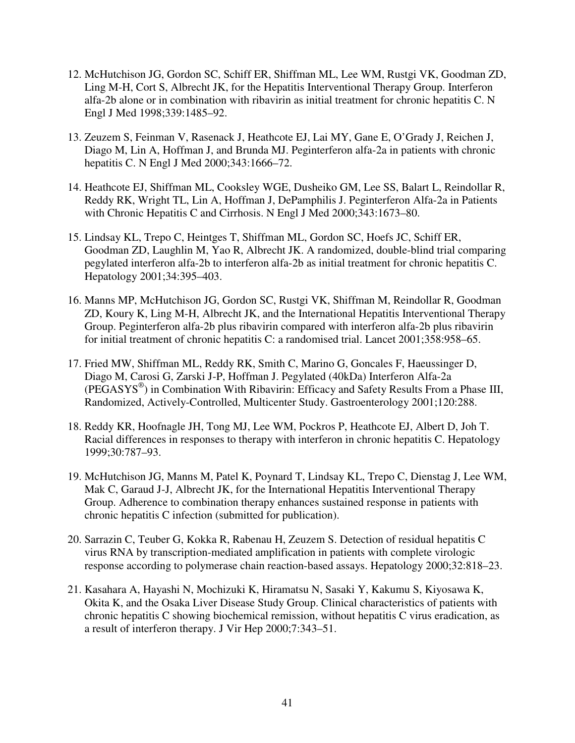- 12. McHutchison JG, Gordon SC, Schiff ER, Shiffman ML, Lee WM, Rustgi VK, Goodman ZD, Ling M-H, Cort S, Albrecht JK, for the Hepatitis Interventional Therapy Group. Interferon alfa-2b alone or in combination with ribavirin as initial treatment for chronic hepatitis C. N Engl J Med 1998;339:1485–92.
- 13. Zeuzem S, Feinman V, Rasenack J, Heathcote EJ, Lai MY, Gane E, O'Grady J, Reichen J, Diago M, Lin A, Hoffman J, and Brunda MJ. Peginterferon alfa-2a in patients with chronic hepatitis C. N Engl J Med 2000;343:1666–72.
- 14. Heathcote EJ, Shiffman ML, Cooksley WGE, Dusheiko GM, Lee SS, Balart L, Reindollar R, Reddy RK, Wright TL, Lin A, Hoffman J, DePamphilis J. Peginterferon Alfa-2a in Patients with Chronic Hepatitis C and Cirrhosis. N Engl J Med 2000;343:1673–80.
- 15. Lindsay KL, Trepo C, Heintges T, Shiffman ML, Gordon SC, Hoefs JC, Schiff ER, Goodman ZD, Laughlin M, Yao R, Albrecht JK. A randomized, double-blind trial comparing pegylated interferon alfa-2b to interferon alfa-2b as initial treatment for chronic hepatitis C. Hepatology 2001;34:395–403.
- 16. Manns MP, McHutchison JG, Gordon SC, Rustgi VK, Shiffman M, Reindollar R, Goodman ZD, Koury K, Ling M-H, Albrecht JK, and the International Hepatitis Interventional Therapy Group. Peginterferon alfa-2b plus ribavirin compared with interferon alfa-2b plus ribavirin for initial treatment of chronic hepatitis C: a randomised trial. Lancet 2001;358:958–65.
- 17. Fried MW, Shiffman ML, Reddy RK, Smith C, Marino G, Goncales F, Haeussinger D, Diago M, Carosi G, Zarski J-P, Hoffman J. Pegylated (40kDa) Interferon Alfa-2a (PEGASYS®) in Combination With Ribavirin: Efficacy and Safety Results From a Phase III, Randomized, Actively-Controlled, Multicenter Study. Gastroenterology 2001;120:288.
- 18. Reddy KR, Hoofnagle JH, Tong MJ, Lee WM, Pockros P, Heathcote EJ, Albert D, Joh T. Racial differences in responses to therapy with interferon in chronic hepatitis C. Hepatology 1999;30:787–93.
- 19. McHutchison JG, Manns M, Patel K, Poynard T, Lindsay KL, Trepo C, Dienstag J, Lee WM, Mak C, Garaud J-J, Albrecht JK, for the International Hepatitis Interventional Therapy Group. Adherence to combination therapy enhances sustained response in patients with chronic hepatitis C infection (submitted for publication).
- 20. Sarrazin C, Teuber G, Kokka R, Rabenau H, Zeuzem S. Detection of residual hepatitis C virus RNA by transcription-mediated amplification in patients with complete virologic response according to polymerase chain reaction-based assays. Hepatology 2000;32:818–23.
- 21. Kasahara A, Hayashi N, Mochizuki K, Hiramatsu N, Sasaki Y, Kakumu S, Kiyosawa K, Okita K, and the Osaka Liver Disease Study Group. Clinical characteristics of patients with chronic hepatitis C showing biochemical remission, without hepatitis C virus eradication, as a result of interferon therapy. J Vir Hep 2000;7:343–51.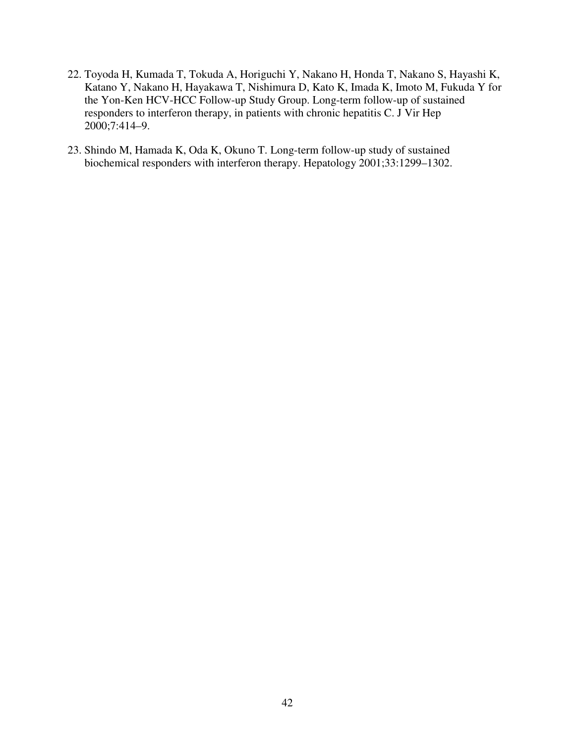- 22. Toyoda H, Kumada T, Tokuda A, Horiguchi Y, Nakano H, Honda T, Nakano S, Hayashi K, Katano Y, Nakano H, Hayakawa T, Nishimura D, Kato K, Imada K, Imoto M, Fukuda Y for the Yon-Ken HCV-HCC Follow-up Study Group. Long-term follow-up of sustained responders to interferon therapy, in patients with chronic hepatitis C. J Vir Hep 2000;7:414–9.
- 23. Shindo M, Hamada K, Oda K, Okuno T. Long-term follow-up study of sustained biochemical responders with interferon therapy. Hepatology 2001;33:1299–1302.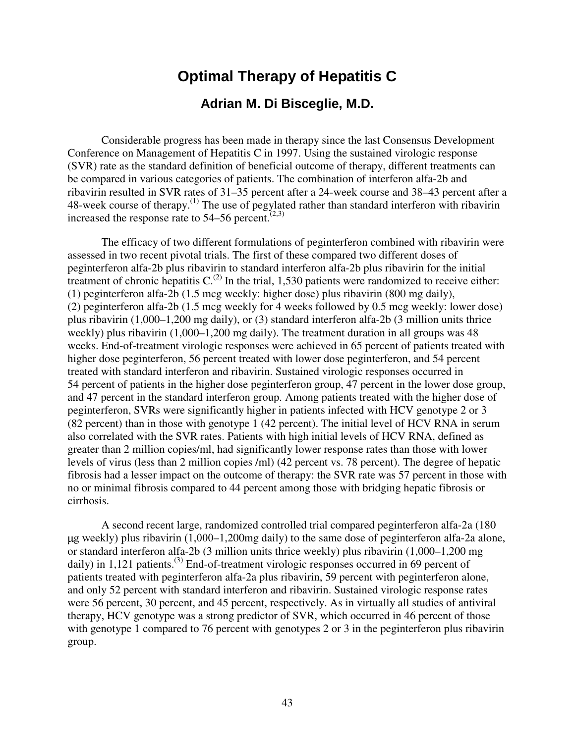# **Optimal Therapy of Hepatitis C Adrian M. Di Bisceglie, M.D.**

Considerable progress has been made in therapy since the last Consensus Development Conference on Management of Hepatitis C in 1997. Using the sustained virologic response (SVR) rate as the standard definition of beneficial outcome of therapy, different treatments can be compared in various categories of patients. The combination of interferon alfa-2b and ribavirin resulted in SVR rates of 31–35 percent after a 24-week course and 38–43 percent after a 48-week course of therapy.(1) The use of pegylated rather than standard interferon with ribavirin increased the response rate to  $54-56$  percent.<sup> $(2,3)$ </sup>

The efficacy of two different formulations of peginterferon combined with ribavirin were assessed in two recent pivotal trials. The first of these compared two different doses of peginterferon alfa-2b plus ribavirin to standard interferon alfa-2b plus ribavirin for the initial treatment of chronic hepatitis  $C^{(2)}$  In the trial, 1,530 patients were randomized to receive either: (1) peginterferon alfa-2b (1.5 mcg weekly: higher dose) plus ribavirin (800 mg daily), (2) peginterferon alfa-2b (1.5 mcg weekly for 4 weeks followed by 0.5 mcg weekly: lower dose) plus ribavirin (1,000–1,200 mg daily), or (3) standard interferon alfa-2b (3 million units thrice weekly) plus ribavirin (1,000–1,200 mg daily). The treatment duration in all groups was 48 weeks. End-of-treatment virologic responses were achieved in 65 percent of patients treated with higher dose peginterferon, 56 percent treated with lower dose peginterferon, and 54 percent treated with standard interferon and ribavirin. Sustained virologic responses occurred in 54 percent of patients in the higher dose peginterferon group, 47 percent in the lower dose group, and 47 percent in the standard interferon group. Among patients treated with the higher dose of peginterferon, SVRs were significantly higher in patients infected with HCV genotype 2 or 3 (82 percent) than in those with genotype 1 (42 percent). The initial level of HCV RNA in serum also correlated with the SVR rates. Patients with high initial levels of HCV RNA, defined as greater than 2 million copies/ml, had significantly lower response rates than those with lower levels of virus (less than 2 million copies /ml) (42 percent vs. 78 percent). The degree of hepatic fibrosis had a lesser impact on the outcome of therapy: the SVR rate was 57 percent in those with no or minimal fibrosis compared to 44 percent among those with bridging hepatic fibrosis or cirrhosis.

A second recent large, randomized controlled trial compared peginterferon alfa-2a (180 g weekly) plus ribavirin (1,000–1,200mg daily) to the same dose of peginterferon alfa-2a alone, or standard interferon alfa-2b (3 million units thrice weekly) plus ribavirin (1,000–1,200 mg daily) in 1,121 patients.<sup>(3)</sup> End-of-treatment virologic responses occurred in 69 percent of patients treated with peginterferon alfa-2a plus ribavirin, 59 percent with peginterferon alone, and only 52 percent with standard interferon and ribavirin. Sustained virologic response rates were 56 percent, 30 percent, and 45 percent, respectively. As in virtually all studies of antiviral therapy, HCV genotype was a strong predictor of SVR, which occurred in 46 percent of those with genotype 1 compared to 76 percent with genotypes 2 or 3 in the peginterferon plus ribavirin group.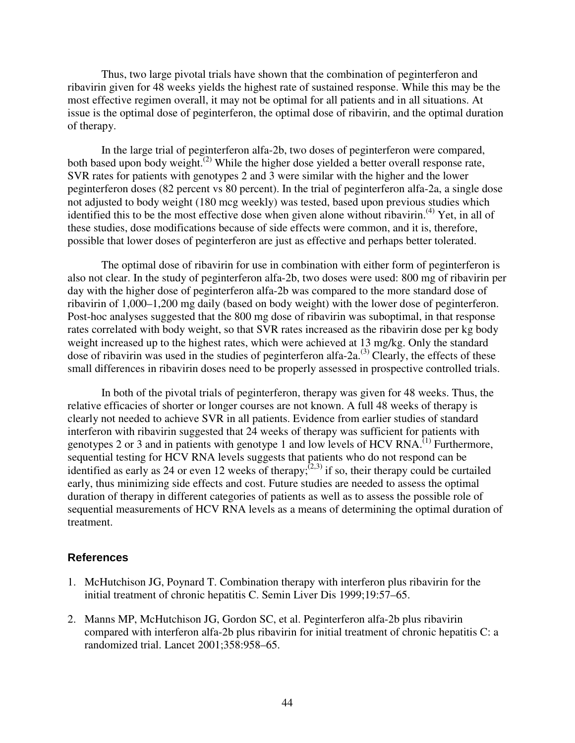Thus, two large pivotal trials have shown that the combination of peginterferon and ribavirin given for 48 weeks yields the highest rate of sustained response. While this may be the most effective regimen overall, it may not be optimal for all patients and in all situations. At issue is the optimal dose of peginterferon, the optimal dose of ribavirin, and the optimal duration of therapy.

In the large trial of peginterferon alfa-2b, two doses of peginterferon were compared, both based upon body weight.<sup>(2)</sup> While the higher dose yielded a better overall response rate, SVR rates for patients with genotypes 2 and 3 were similar with the higher and the lower peginterferon doses (82 percent vs 80 percent). In the trial of peginterferon alfa-2a, a single dose not adjusted to body weight (180 mcg weekly) was tested, based upon previous studies which identified this to be the most effective dose when given alone without ribavirin.<sup>(4)</sup> Yet, in all of these studies, dose modifications because of side effects were common, and it is, therefore, possible that lower doses of peginterferon are just as effective and perhaps better tolerated.

The optimal dose of ribavirin for use in combination with either form of peginterferon is also not clear. In the study of peginterferon alfa-2b, two doses were used: 800 mg of ribavirin per day with the higher dose of peginterferon alfa-2b was compared to the more standard dose of ribavirin of 1,000–1,200 mg daily (based on body weight) with the lower dose of peginterferon. Post-hoc analyses suggested that the 800 mg dose of ribavirin was suboptimal, in that response rates correlated with body weight, so that SVR rates increased as the ribavirin dose per kg body weight increased up to the highest rates, which were achieved at 13 mg/kg. Only the standard dose of ribavirin was used in the studies of peginterferon alfa-2a.<sup>(3)</sup> Clearly, the effects of these small differences in ribavirin doses need to be properly assessed in prospective controlled trials.

In both of the pivotal trials of peginterferon, therapy was given for 48 weeks. Thus, the relative efficacies of shorter or longer courses are not known. A full 48 weeks of therapy is clearly not needed to achieve SVR in all patients. Evidence from earlier studies of standard interferon with ribavirin suggested that 24 weeks of therapy was sufficient for patients with genotypes 2 or 3 and in patients with genotype 1 and low levels of HCV RNA.<sup> $(1)$ </sup> Furthermore, sequential testing for HCV RNA levels suggests that patients who do not respond can be identified as early as 24 or even 12 weeks of therapy; $(2,3)$  if so, their therapy could be curtailed early, thus minimizing side effects and cost. Future studies are needed to assess the optimal duration of therapy in different categories of patients as well as to assess the possible role of sequential measurements of HCV RNA levels as a means of determining the optimal duration of treatment.

- 1. McHutchison JG, Poynard T. Combination therapy with interferon plus ribavirin for the initial treatment of chronic hepatitis C. Semin Liver Dis 1999;19:57–65.
- 2. Manns MP, McHutchison JG, Gordon SC, et al. Peginterferon alfa-2b plus ribavirin compared with interferon alfa-2b plus ribavirin for initial treatment of chronic hepatitis C: a randomized trial. Lancet 2001;358:958–65.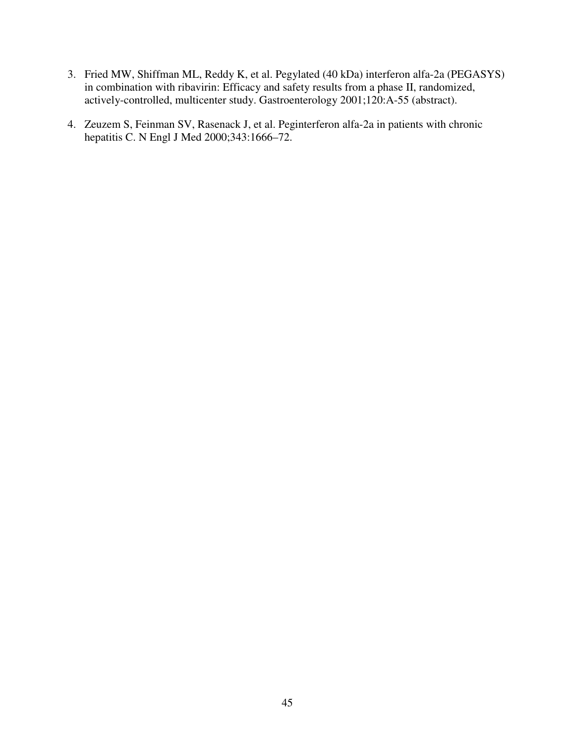- 3. Fried MW, Shiffman ML, Reddy K, et al. Pegylated (40 kDa) interferon alfa-2a (PEGASYS) in combination with ribavirin: Efficacy and safety results from a phase II, randomized, actively-controlled, multicenter study. Gastroenterology 2001;120:A-55 (abstract).
- 4. Zeuzem S, Feinman SV, Rasenack J, et al. Peginterferon alfa-2a in patients with chronic hepatitis C. N Engl J Med 2000;343:1666-72.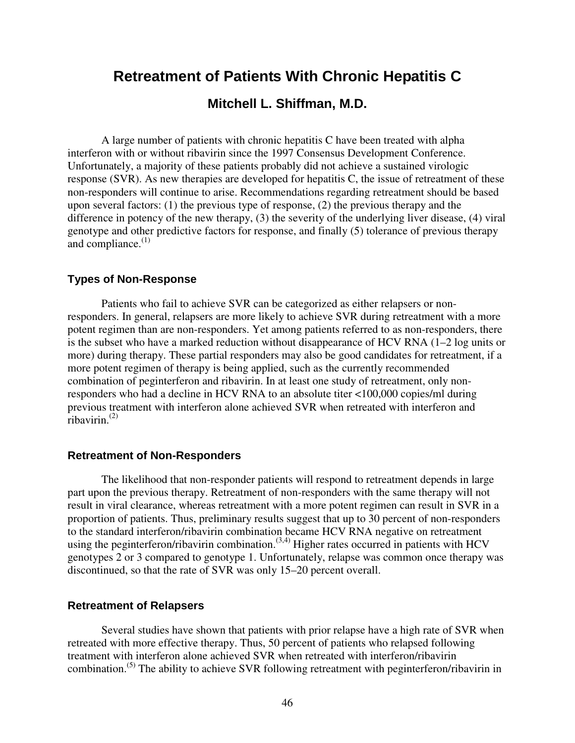# **Retreatment of Patients With Chronic Hepatitis C**

### **Mitchell L. Shiffman, M.D.**

A large number of patients with chronic hepatitis C have been treated with alpha interferon with or without ribavirin since the 1997 Consensus Development Conference. Unfortunately, a majority of these patients probably did not achieve a sustained virologic response (SVR). As new therapies are developed for hepatitis C, the issue of retreatment of these non-responders will continue to arise. Recommendations regarding retreatment should be based upon several factors: (1) the previous type of response, (2) the previous therapy and the difference in potency of the new therapy, (3) the severity of the underlying liver disease, (4) viral genotype and other predictive factors for response, and finally (5) tolerance of previous therapy and compliance. $(1)$ 

### **Types of Non-Response**

Patients who fail to achieve SVR can be categorized as either relapsers or nonresponders. In general, relapsers are more likely to achieve SVR during retreatment with a more potent regimen than are non-responders. Yet among patients referred to as non-responders, there is the subset who have a marked reduction without disappearance of HCV RNA (1–2 log units or more) during therapy. These partial responders may also be good candidates for retreatment, if a more potent regimen of therapy is being applied, such as the currently recommended combination of peginterferon and ribavirin. In at least one study of retreatment, only nonresponders who had a decline in HCV RNA to an absolute titer <100,000 copies/ml during previous treatment with interferon alone achieved SVR when retreated with interferon and  $\overline{\text{ribavirin}}$ .<sup>(2)</sup>

#### **Retreatment of Non-Responders**

The likelihood that non-responder patients will respond to retreatment depends in large part upon the previous therapy. Retreatment of non-responders with the same therapy will not result in viral clearance, whereas retreatment with a more potent regimen can result in SVR in a proportion of patients. Thus, preliminary results suggest that up to 30 percent of non-responders to the standard interferon/ribavirin combination became HCV RNA negative on retreatment using the peginterferon/ribavirin combination.<sup> $(3,4)$ </sup> Higher rates occurred in patients with HCV genotypes 2 or 3 compared to genotype 1. Unfortunately, relapse was common once therapy was discontinued, so that the rate of SVR was only 15–20 percent overall.

### **Retreatment of Relapsers**

Several studies have shown that patients with prior relapse have a high rate of SVR when retreated with more effective therapy. Thus, 50 percent of patients who relapsed following treatment with interferon alone achieved SVR when retreated with interferon/ribavirin combination.(5) The ability to achieve SVR following retreatment with peginterferon/ribavirin in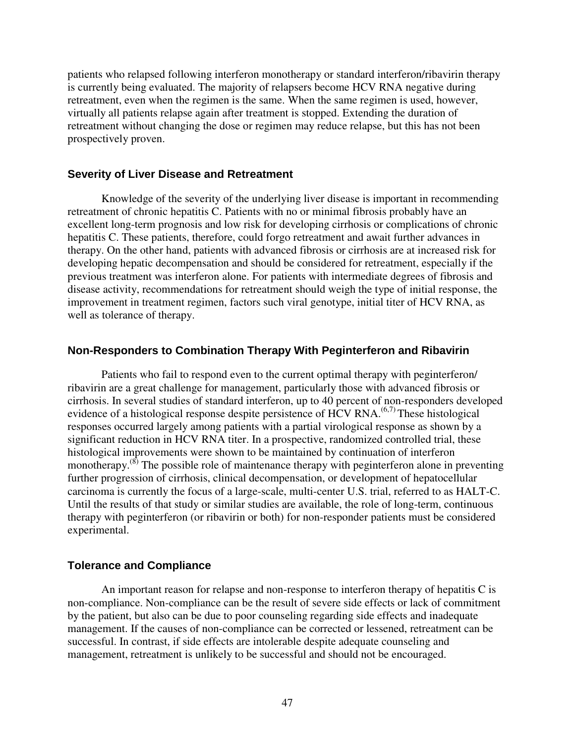patients who relapsed following interferon monotherapy or standard interferon/ribavirin therapy is currently being evaluated. The majority of relapsers become HCV RNA negative during retreatment, even when the regimen is the same. When the same regimen is used, however, virtually all patients relapse again after treatment is stopped. Extending the duration of retreatment without changing the dose or regimen may reduce relapse, but this has not been prospectively proven.

#### **Severity of Liver Disease and Retreatment**

Knowledge of the severity of the underlying liver disease is important in recommending retreatment of chronic hepatitis C. Patients with no or minimal fibrosis probably have an excellent long-term prognosis and low risk for developing cirrhosis or complications of chronic hepatitis C. These patients, therefore, could forgo retreatment and await further advances in therapy. On the other hand, patients with advanced fibrosis or cirrhosis are at increased risk for developing hepatic decompensation and should be considered for retreatment, especially if the previous treatment was interferon alone. For patients with intermediate degrees of fibrosis and disease activity, recommendations for retreatment should weigh the type of initial response, the improvement in treatment regimen, factors such viral genotype, initial titer of HCV RNA, as well as tolerance of therapy.

### **Non-Responders to Combination Therapy With Peginterferon and Ribavirin**

Patients who fail to respond even to the current optimal therapy with peginterferon/ ribavirin are a great challenge for management, particularly those with advanced fibrosis or cirrhosis. In several studies of standard interferon, up to 40 percent of non-responders developed evidence of a histological response despite persistence of HCV RNA.<sup> $(6,7)$ </sup> These histological responses occurred largely among patients with a partial virological response as shown by a significant reduction in HCV RNA titer. In a prospective, randomized controlled trial, these histological improvements were shown to be maintained by continuation of interferon monotherapy. $^{(8)}$  The possible role of maintenance therapy with peginterferon alone in preventing further progression of cirrhosis, clinical decompensation, or development of hepatocellular carcinoma is currently the focus of a large-scale, multi-center U.S. trial, referred to as HALT-C. Until the results of that study or similar studies are available, the role of long-term, continuous therapy with peginterferon (or ribavirin or both) for non-responder patients must be considered experimental.

### **Tolerance and Compliance**

An important reason for relapse and non-response to interferon therapy of hepatitis C is non-compliance. Non-compliance can be the result of severe side effects or lack of commitment by the patient, but also can be due to poor counseling regarding side effects and inadequate management. If the causes of non-compliance can be corrected or lessened, retreatment can be successful. In contrast, if side effects are intolerable despite adequate counseling and management, retreatment is unlikely to be successful and should not be encouraged.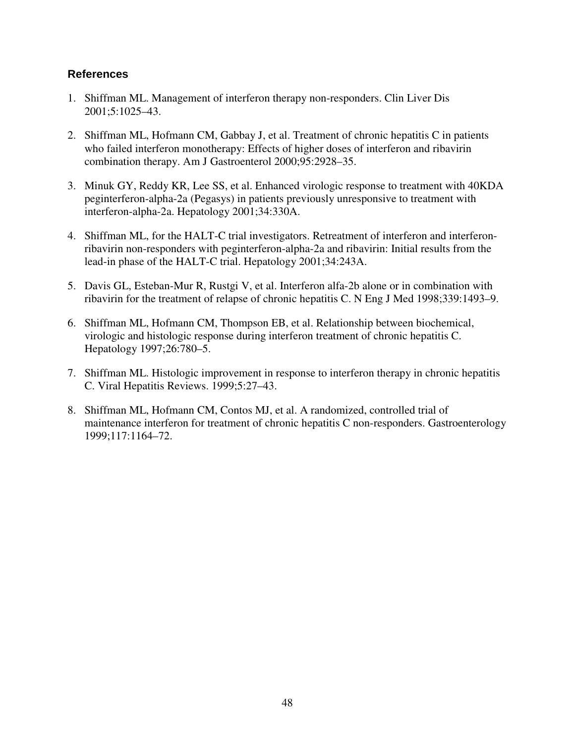- 1. Shiffman ML. Management of interferon therapy non-responders. Clin Liver Dis 2001;5:1025–43.
- 2. Shiffman ML, Hofmann CM, Gabbay J, et al. Treatment of chronic hepatitis C in patients who failed interferon monotherapy: Effects of higher doses of interferon and ribavirin combination therapy. Am J Gastroenterol 2000;95:2928–35.
- 3. Minuk GY, Reddy KR, Lee SS, et al. Enhanced virologic response to treatment with 40KDA peginterferon-alpha-2a (Pegasys) in patients previously unresponsive to treatment with interferon-alpha-2a. Hepatology 2001;34:330A.
- 4. Shiffman ML, for the HALT-C trial investigators. Retreatment of interferon and interferonribavirin non-responders with peginterferon-alpha-2a and ribavirin: Initial results from the lead-in phase of the HALT-C trial. Hepatology 2001;34:243A.
- 5. Davis GL, Esteban-Mur R, Rustgi V, et al. Interferon alfa-2b alone or in combination with ribavirin for the treatment of relapse of chronic hepatitis C. N Eng J Med 1998;339:1493–9.
- 6. Shiffman ML, Hofmann CM, Thompson EB, et al. Relationship between biochemical, virologic and histologic response during interferon treatment of chronic hepatitis C. Hepatology 1997;26:780–5.
- 7. Shiffman ML. Histologic improvement in response to interferon therapy in chronic hepatitis C. Viral Hepatitis Reviews. 1999;5:27–43.
- 8. Shiffman ML, Hofmann CM, Contos MJ, et al. A randomized, controlled trial of maintenance interferon for treatment of chronic hepatitis C non-responders. Gastroenterology 1999;117:1164–72.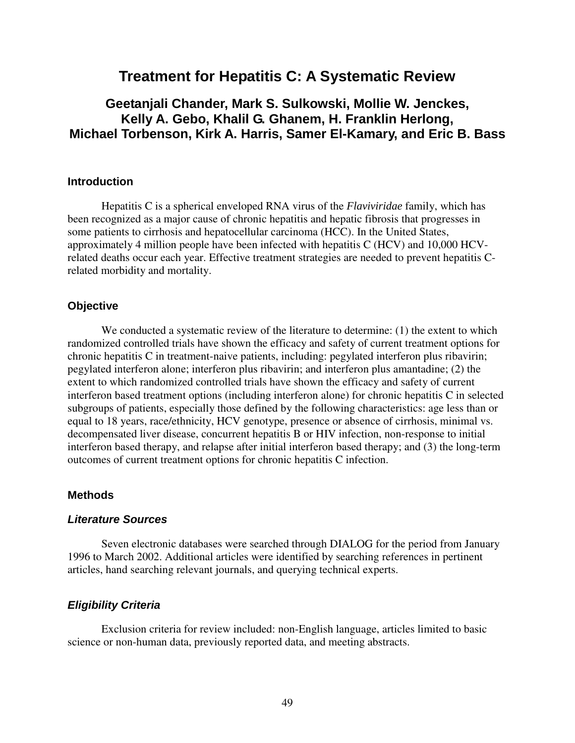# **Treatment for Hepatitis C: A Systematic Review**

# **Geetanjali Chander, Mark S. Sulkowski, Mollie W. Jenckes, Kelly A. Gebo, Khalil G. Ghanem, H. Franklin Herlong, Michael Torbenson, Kirk A. Harris, Samer El-Kamary, and Eric B. Bass**

### **Introduction**

Hepatitis C is a spherical enveloped RNA virus of the *Flaviviridae* family, which has been recognized as a major cause of chronic hepatitis and hepatic fibrosis that progresses in some patients to cirrhosis and hepatocellular carcinoma (HCC). In the United States, approximately 4 million people have been infected with hepatitis C (HCV) and 10,000 HCVrelated deaths occur each year. Effective treatment strategies are needed to prevent hepatitis Crelated morbidity and mortality.

### **Objective**

We conducted a systematic review of the literature to determine: (1) the extent to which randomized controlled trials have shown the efficacy and safety of current treatment options for chronic hepatitis C in treatment-naive patients, including: pegylated interferon plus ribavirin; pegylated interferon alone; interferon plus ribavirin; and interferon plus amantadine; (2) the extent to which randomized controlled trials have shown the efficacy and safety of current interferon based treatment options (including interferon alone) for chronic hepatitis C in selected subgroups of patients, especially those defined by the following characteristics: age less than or equal to 18 years, race/ethnicity, HCV genotype, presence or absence of cirrhosis, minimal vs. decompensated liver disease, concurrent hepatitis B or HIV infection, non-response to initial interferon based therapy, and relapse after initial interferon based therapy; and (3) the long-term outcomes of current treatment options for chronic hepatitis C infection.

### **Methods**

#### *Literature Sources*

Seven electronic databases were searched through DIALOG for the period from January 1996 to March 2002. Additional articles were identified by searching references in pertinent articles, hand searching relevant journals, and querying technical experts.

### *Eligibility Criteria*

Exclusion criteria for review included: non-English language, articles limited to basic science or non-human data, previously reported data, and meeting abstracts.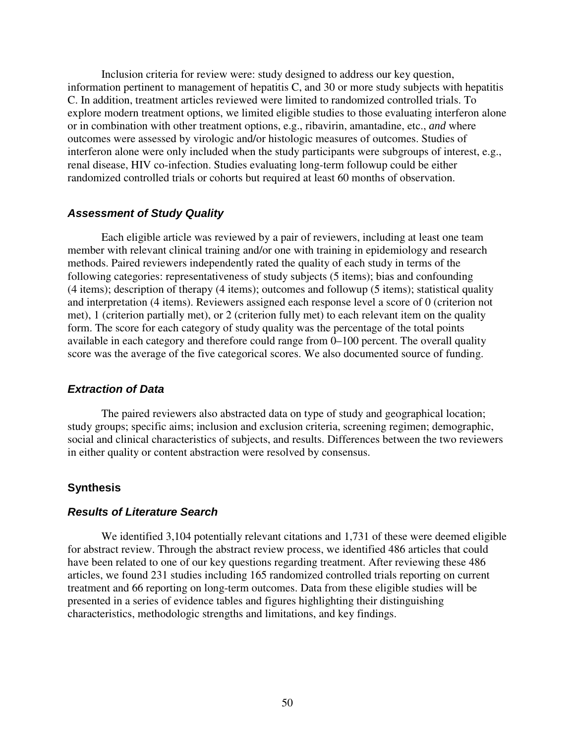Inclusion criteria for review were: study designed to address our key question, information pertinent to management of hepatitis C, and 30 or more study subjects with hepatitis C. In addition, treatment articles reviewed were limited to randomized controlled trials. To explore modern treatment options, we limited eligible studies to those evaluating interferon alone or in combination with other treatment options, e.g., ribavirin, amantadine, etc., *and* where outcomes were assessed by virologic and/or histologic measures of outcomes. Studies of interferon alone were only included when the study participants were subgroups of interest, e.g., renal disease, HIV co-infection. Studies evaluating long-term followup could be either randomized controlled trials or cohorts but required at least 60 months of observation.

#### *Assessment of Study Quality*

Each eligible article was reviewed by a pair of reviewers, including at least one team member with relevant clinical training and/or one with training in epidemiology and research methods. Paired reviewers independently rated the quality of each study in terms of the following categories: representativeness of study subjects (5 items); bias and confounding (4 items); description of therapy (4 items); outcomes and followup (5 items); statistical quality and interpretation (4 items). Reviewers assigned each response level a score of 0 (criterion not met), 1 (criterion partially met), or 2 (criterion fully met) to each relevant item on the quality form. The score for each category of study quality was the percentage of the total points available in each category and therefore could range from 0–100 percent. The overall quality score was the average of the five categorical scores. We also documented source of funding.

#### *Extraction of Data*

The paired reviewers also abstracted data on type of study and geographical location; study groups; specific aims; inclusion and exclusion criteria, screening regimen; demographic, social and clinical characteristics of subjects, and results. Differences between the two reviewers in either quality or content abstraction were resolved by consensus.

#### **Synthesis**

### *Results of Literature Search*

We identified 3,104 potentially relevant citations and 1,731 of these were deemed eligible for abstract review. Through the abstract review process, we identified 486 articles that could have been related to one of our key questions regarding treatment. After reviewing these 486 articles, we found 231 studies including 165 randomized controlled trials reporting on current treatment and 66 reporting on long-term outcomes. Data from these eligible studies will be presented in a series of evidence tables and figures highlighting their distinguishing characteristics, methodologic strengths and limitations, and key findings.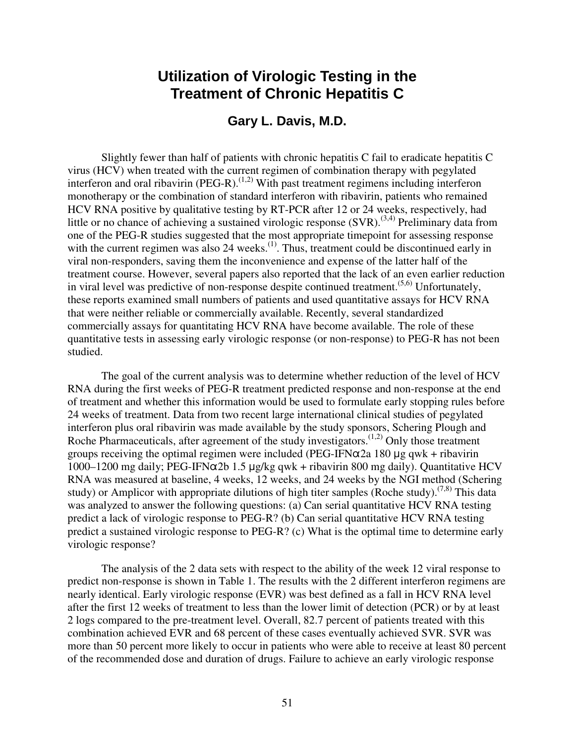# **Utilization of Virologic Testing in the Treatment of Chronic Hepatitis C**

## **Gary L. Davis, M.D.**

Slightly fewer than half of patients with chronic hepatitis C fail to eradicate hepatitis C virus (HCV) when treated with the current regimen of combination therapy with pegylated interferon and oral ribavirin (PEG-R).<sup> $(1,2)$ </sup> With past treatment regimens including interferon monotherapy or the combination of standard interferon with ribavirin, patients who remained HCV RNA positive by qualitative testing by RT-PCR after 12 or 24 weeks, respectively, had little or no chance of achieving a sustained virologic response  $(SVR)$ .<sup>(3,4)</sup> Preliminary data from one of the PEG-R studies suggested that the most appropriate timepoint for assessing response with the current regimen was also 24 weeks.<sup>(1)</sup>. Thus, treatment could be discontinued early in viral non-responders, saving them the inconvenience and expense of the latter half of the treatment course. However, several papers also reported that the lack of an even earlier reduction in viral level was predictive of non-response despite continued treatment.<sup> $(5,6)$ </sup> Unfortunately, these reports examined small numbers of patients and used quantitative assays for HCV RNA that were neither reliable or commercially available. Recently, several standardized commercially assays for quantitating HCV RNA have become available. The role of these quantitative tests in assessing early virologic response (or non-response) to PEG-R has not been studied.

The goal of the current analysis was to determine whether reduction of the level of HCV RNA during the first weeks of PEG-R treatment predicted response and non-response at the end of treatment and whether this information would be used to formulate early stopping rules before 24 weeks of treatment. Data from two recent large international clinical studies of pegylated interferon plus oral ribavirin was made available by the study sponsors, Schering Plough and Roche Pharmaceuticals, after agreement of the study investigators.<sup> $(1,2)$ </sup> Only those treatment groups receiving the optimal regimen were included (PEG-IFN $\alpha$ 2a 180 µg qwk + ribavirin 1000-1200 mg daily; PEG-IFN $\alpha$ 2b 1.5 µg/kg qwk + ribavirin 800 mg daily). Quantitative HCV RNA was measured at baseline, 4 weeks, 12 weeks, and 24 weeks by the NGI method (Schering study) or Amplicor with appropriate dilutions of high titer samples (Roche study).<sup> $(7,8)$ </sup> This data was analyzed to answer the following questions: (a) Can serial quantitative HCV RNA testing predict a lack of virologic response to PEG-R? (b) Can serial quantitative HCV RNA testing predict a sustained virologic response to PEG-R? (c) What is the optimal time to determine early virologic response?

The analysis of the 2 data sets with respect to the ability of the week 12 viral response to predict non-response is shown in Table 1. The results with the 2 different interferon regimens are nearly identical. Early virologic response (EVR) was best defined as a fall in HCV RNA level after the first 12 weeks of treatment to less than the lower limit of detection (PCR) or by at least 2 logs compared to the pre-treatment level. Overall, 82.7 percent of patients treated with this combination achieved EVR and 68 percent of these cases eventually achieved SVR. SVR was more than 50 percent more likely to occur in patients who were able to receive at least 80 percent of the recommended dose and duration of drugs. Failure to achieve an early virologic response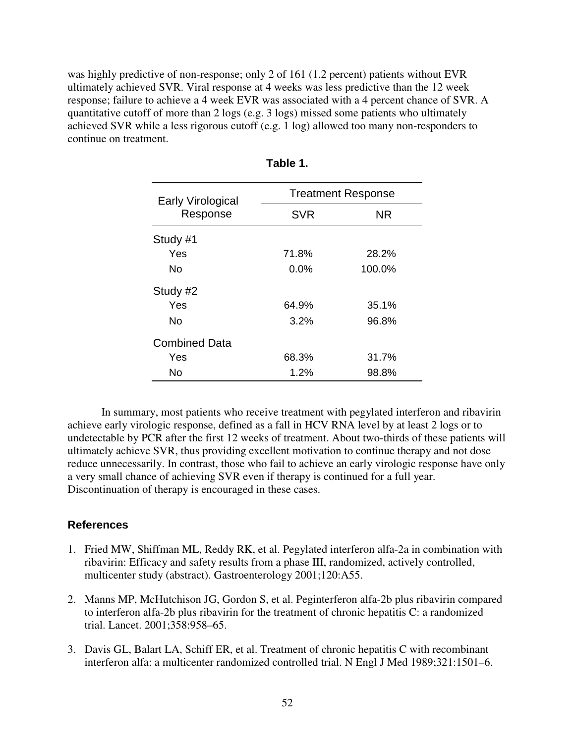was highly predictive of non-response; only 2 of 161 (1.2 percent) patients without EVR ultimately achieved SVR. Viral response at 4 weeks was less predictive than the 12 week response; failure to achieve a 4 week EVR was associated with a 4 percent chance of SVR. A quantitative cutoff of more than 2 logs (e.g. 3 logs) missed some patients who ultimately achieved SVR while a less rigorous cutoff (e.g. 1 log) allowed too many non-responders to continue on treatment.

| <b>Early Virological</b> | <b>Treatment Response</b> |           |  |
|--------------------------|---------------------------|-----------|--|
| Response                 | <b>SVR</b>                | <b>NR</b> |  |
| Study #1                 |                           |           |  |
| Yes                      | 71.8%                     | 28.2%     |  |
| No                       | $0.0\%$                   | 100.0%    |  |
| Study #2                 |                           |           |  |
| Yes                      | 64.9%                     | 35.1%     |  |
| <b>No</b>                | 3.2%                      | 96.8%     |  |
| <b>Combined Data</b>     |                           |           |  |
| Yes                      | 68.3%                     | 31.7%     |  |
| No                       | 1.2%                      | 98.8%     |  |

| able |
|------|
|------|

In summary, most patients who receive treatment with pegylated interferon and ribavirin achieve early virologic response, defined as a fall in HCV RNA level by at least 2 logs or to undetectable by PCR after the first 12 weeks of treatment. About two-thirds of these patients will ultimately achieve SVR, thus providing excellent motivation to continue therapy and not dose reduce unnecessarily. In contrast, those who fail to achieve an early virologic response have only a very small chance of achieving SVR even if therapy is continued for a full year. Discontinuation of therapy is encouraged in these cases.

- 1. Fried MW, Shiffman ML, Reddy RK, et al. Pegylated interferon alfa-2a in combination with ribavirin: Efficacy and safety results from a phase III, randomized, actively controlled, multicenter study (abstract). Gastroenterology 2001;120:A55.
- 2. Manns MP, McHutchison JG, Gordon S, et al. Peginterferon alfa-2b plus ribavirin compared to interferon alfa-2b plus ribavirin for the treatment of chronic hepatitis C: a randomized trial. Lancet. 2001;358:958–65.
- 3. Davis GL, Balart LA, Schiff ER, et al. Treatment of chronic hepatitis C with recombinant interferon alfa: a multicenter randomized controlled trial. N Engl J Med 1989;321:1501–6.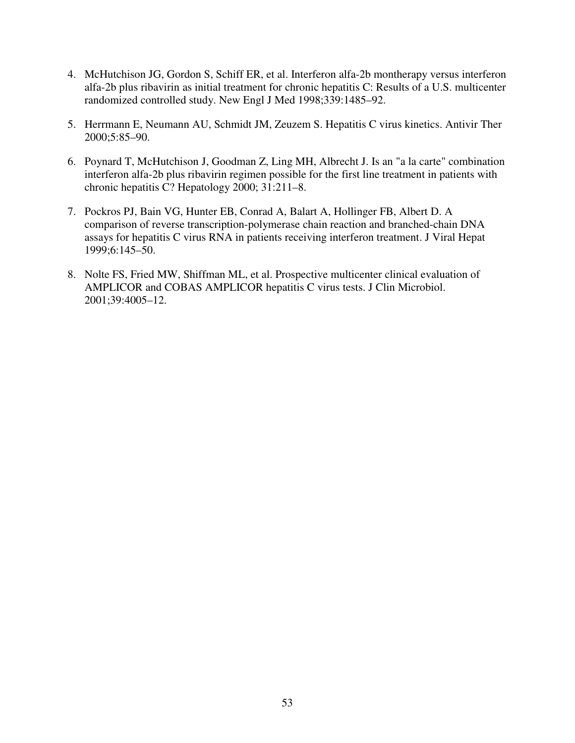- 4. McHutchison JG, Gordon S, Schiff ER, et al. Interferon alfa-2b montherapy versus interferon alfa-2b plus ribavirin as initial treatment for chronic hepatitis C: Results of a U.S. multicenter randomized controlled study. New Engl J Med 1998;339:1485–92.
- 5. Herrmann E, Neumann AU, Schmidt JM, Zeuzem S. Hepatitis C virus kinetics. Antivir Ther 2000;5:85–90.
- 6. Poynard T, McHutchison J, Goodman Z, Ling MH, Albrecht J. Is an "a la carte" combination interferon alfa-2b plus ribavirin regimen possible for the first line treatment in patients with chronic hepatitis C? Hepatology 2000; 31:211–8.
- 7. Pockros PJ, Bain VG, Hunter EB, Conrad A, Balart A, Hollinger FB, Albert D. A comparison of reverse transcription-polymerase chain reaction and branched-chain DNA assays for hepatitis C virus RNA in patients receiving interferon treatment. J Viral Hepat 1999;6:145–50.
- 8. Nolte FS, Fried MW, Shiffman ML, et al. Prospective multicenter clinical evaluation of AMPLICOR and COBAS AMPLICOR hepatitis C virus tests. J Clin Microbiol. 2001;39:4005–12.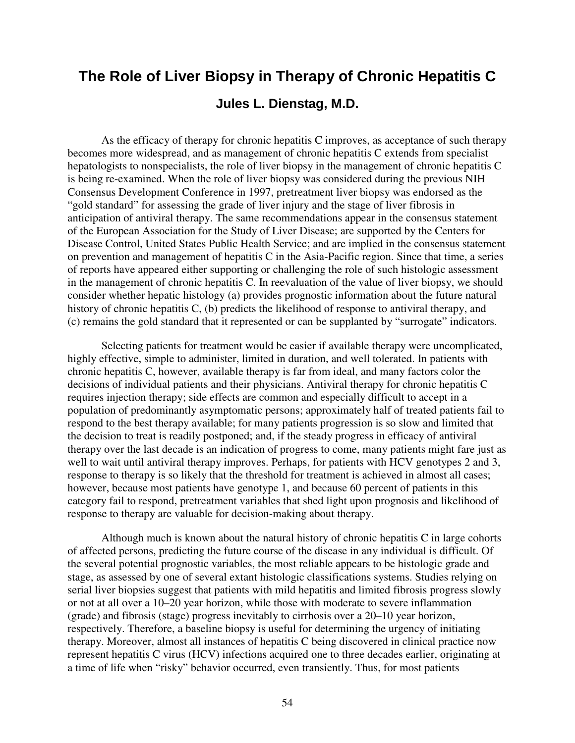# **The Role of Liver Biopsy in Therapy of Chronic Hepatitis C Jules L. Dienstag, M.D.**

As the efficacy of therapy for chronic hepatitis C improves, as acceptance of such therapy becomes more widespread, and as management of chronic hepatitis C extends from specialist hepatologists to nonspecialists, the role of liver biopsy in the management of chronic hepatitis C is being re-examined. When the role of liver biopsy was considered during the previous NIH Consensus Development Conference in 1997, pretreatment liver biopsy was endorsed as the "gold standard" for assessing the grade of liver injury and the stage of liver fibrosis in anticipation of antiviral therapy. The same recommendations appear in the consensus statement of the European Association for the Study of Liver Disease; are supported by the Centers for Disease Control, United States Public Health Service; and are implied in the consensus statement on prevention and management of hepatitis C in the Asia-Pacific region. Since that time, a series of reports have appeared either supporting or challenging the role of such histologic assessment in the management of chronic hepatitis C. In reevaluation of the value of liver biopsy, we should consider whether hepatic histology (a) provides prognostic information about the future natural history of chronic hepatitis C, (b) predicts the likelihood of response to antiviral therapy, and (c) remains the gold standard that it represented or can be supplanted by "surrogate" indicators.

Selecting patients for treatment would be easier if available therapy were uncomplicated, highly effective, simple to administer, limited in duration, and well tolerated. In patients with chronic hepatitis C, however, available therapy is far from ideal, and many factors color the decisions of individual patients and their physicians. Antiviral therapy for chronic hepatitis C requires injection therapy; side effects are common and especially difficult to accept in a population of predominantly asymptomatic persons; approximately half of treated patients fail to respond to the best therapy available; for many patients progression is so slow and limited that the decision to treat is readily postponed; and, if the steady progress in efficacy of antiviral therapy over the last decade is an indication of progress to come, many patients might fare just as well to wait until antiviral therapy improves. Perhaps, for patients with HCV genotypes 2 and 3, response to therapy is so likely that the threshold for treatment is achieved in almost all cases; however, because most patients have genotype 1, and because 60 percent of patients in this category fail to respond, pretreatment variables that shed light upon prognosis and likelihood of response to therapy are valuable for decision-making about therapy.

Although much is known about the natural history of chronic hepatitis C in large cohorts of affected persons, predicting the future course of the disease in any individual is difficult. Of the several potential prognostic variables, the most reliable appears to be histologic grade and stage, as assessed by one of several extant histologic classifications systems. Studies relying on serial liver biopsies suggest that patients with mild hepatitis and limited fibrosis progress slowly or not at all over a 10–20 year horizon, while those with moderate to severe inflammation (grade) and fibrosis (stage) progress inevitably to cirrhosis over a 20–10 year horizon, respectively. Therefore, a baseline biopsy is useful for determining the urgency of initiating therapy. Moreover, almost all instances of hepatitis C being discovered in clinical practice now represent hepatitis C virus (HCV) infections acquired one to three decades earlier, originating at a time of life when "risky" behavior occurred, even transiently. Thus, for most patients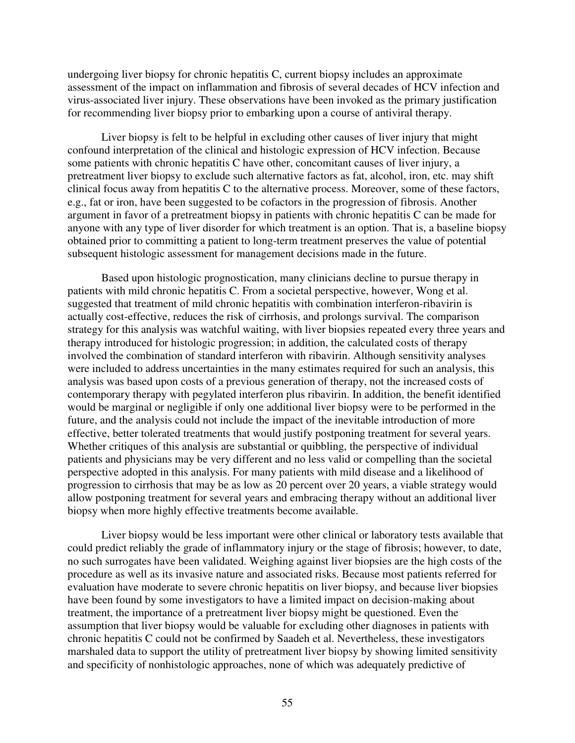undergoing liver biopsy for chronic hepatitis C, current biopsy includes an approximate assessment of the impact on inflammation and fibrosis of several decades of HCV infection and virus-associated liver injury. These observations have been invoked as the primary justification for recommending liver biopsy prior to embarking upon a course of antiviral therapy.

Liver biopsy is felt to be helpful in excluding other causes of liver injury that might confound interpretation of the clinical and histologic expression of HCV infection. Because some patients with chronic hepatitis C have other, concomitant causes of liver injury, a pretreatment liver biopsy to exclude such alternative factors as fat, alcohol, iron, etc. may shift clinical focus away from hepatitis C to the alternative process. Moreover, some of these factors, e.g., fat or iron, have been suggested to be cofactors in the progression of fibrosis. Another argument in favor of a pretreatment biopsy in patients with chronic hepatitis C can be made for anyone with any type of liver disorder for which treatment is an option. That is, a baseline biopsy obtained prior to committing a patient to long-term treatment preserves the value of potential subsequent histologic assessment for management decisions made in the future.

Based upon histologic prognostication, many clinicians decline to pursue therapy in patients with mild chronic hepatitis C. From a societal perspective, however, Wong et al. suggested that treatment of mild chronic hepatitis with combination interferon-ribavirin is actually cost-effective, reduces the risk of cirrhosis, and prolongs survival. The comparison strategy for this analysis was watchful waiting, with liver biopsies repeated every three years and therapy introduced for histologic progression; in addition, the calculated costs of therapy involved the combination of standard interferon with ribavirin. Although sensitivity analyses were included to address uncertainties in the many estimates required for such an analysis, this analysis was based upon costs of a previous generation of therapy, not the increased costs of contemporary therapy with pegylated interferon plus ribavirin. In addition, the benefit identified would be marginal or negligible if only one additional liver biopsy were to be performed in the future, and the analysis could not include the impact of the inevitable introduction of more effective, better tolerated treatments that would justify postponing treatment for several years. Whether critiques of this analysis are substantial or quibbling, the perspective of individual patients and physicians may be very different and no less valid or compelling than the societal perspective adopted in this analysis. For many patients with mild disease and a likelihood of progression to cirrhosis that may be as low as 20 percent over 20 years, a viable strategy would allow postponing treatment for several years and embracing therapy without an additional liver biopsy when more highly effective treatments become available.

Liver biopsy would be less important were other clinical or laboratory tests available that could predict reliably the grade of inflammatory injury or the stage of fibrosis; however, to date, no such surrogates have been validated. Weighing against liver biopsies are the high costs of the procedure as well as its invasive nature and associated risks. Because most patients referred for evaluation have moderate to severe chronic hepatitis on liver biopsy, and because liver biopsies have been found by some investigators to have a limited impact on decision-making about treatment, the importance of a pretreatment liver biopsy might be questioned. Even the assumption that liver biopsy would be valuable for excluding other diagnoses in patients with chronic hepatitis C could not be confirmed by Saadeh et al. Nevertheless, these investigators marshaled data to support the utility of pretreatment liver biopsy by showing limited sensitivity and specificity of nonhistologic approaches, none of which was adequately predictive of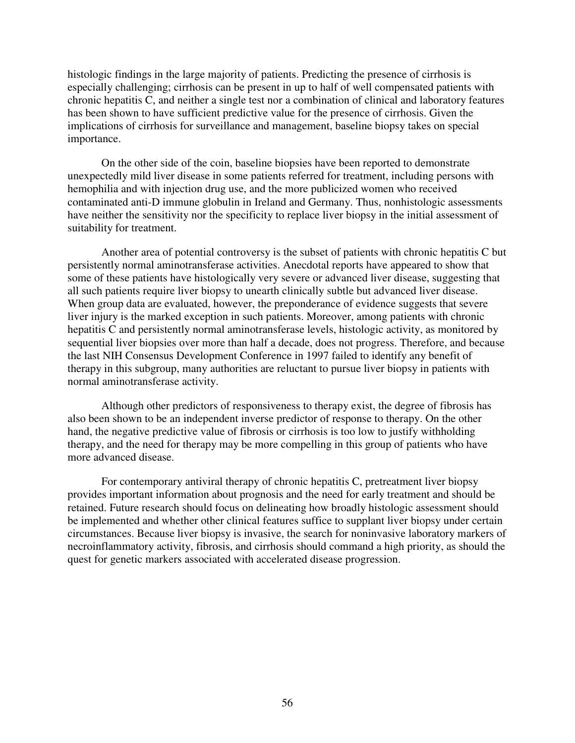histologic findings in the large majority of patients. Predicting the presence of cirrhosis is especially challenging; cirrhosis can be present in up to half of well compensated patients with chronic hepatitis C, and neither a single test nor a combination of clinical and laboratory features has been shown to have sufficient predictive value for the presence of cirrhosis. Given the implications of cirrhosis for surveillance and management, baseline biopsy takes on special importance.

On the other side of the coin, baseline biopsies have been reported to demonstrate unexpectedly mild liver disease in some patients referred for treatment, including persons with hemophilia and with injection drug use, and the more publicized women who received contaminated anti-D immune globulin in Ireland and Germany. Thus, nonhistologic assessments have neither the sensitivity nor the specificity to replace liver biopsy in the initial assessment of suitability for treatment.

Another area of potential controversy is the subset of patients with chronic hepatitis C but persistently normal aminotransferase activities. Anecdotal reports have appeared to show that some of these patients have histologically very severe or advanced liver disease, suggesting that all such patients require liver biopsy to unearth clinically subtle but advanced liver disease. When group data are evaluated, however, the preponderance of evidence suggests that severe liver injury is the marked exception in such patients. Moreover, among patients with chronic hepatitis C and persistently normal aminotransferase levels, histologic activity, as monitored by sequential liver biopsies over more than half a decade, does not progress. Therefore, and because the last NIH Consensus Development Conference in 1997 failed to identify any benefit of therapy in this subgroup, many authorities are reluctant to pursue liver biopsy in patients with normal aminotransferase activity.

Although other predictors of responsiveness to therapy exist, the degree of fibrosis has also been shown to be an independent inverse predictor of response to therapy. On the other hand, the negative predictive value of fibrosis or cirrhosis is too low to justify withholding therapy, and the need for therapy may be more compelling in this group of patients who have more advanced disease.

For contemporary antiviral therapy of chronic hepatitis C, pretreatment liver biopsy provides important information about prognosis and the need for early treatment and should be retained. Future research should focus on delineating how broadly histologic assessment should be implemented and whether other clinical features suffice to supplant liver biopsy under certain circumstances. Because liver biopsy is invasive, the search for noninvasive laboratory markers of necroinflammatory activity, fibrosis, and cirrhosis should command a high priority, as should the quest for genetic markers associated with accelerated disease progression.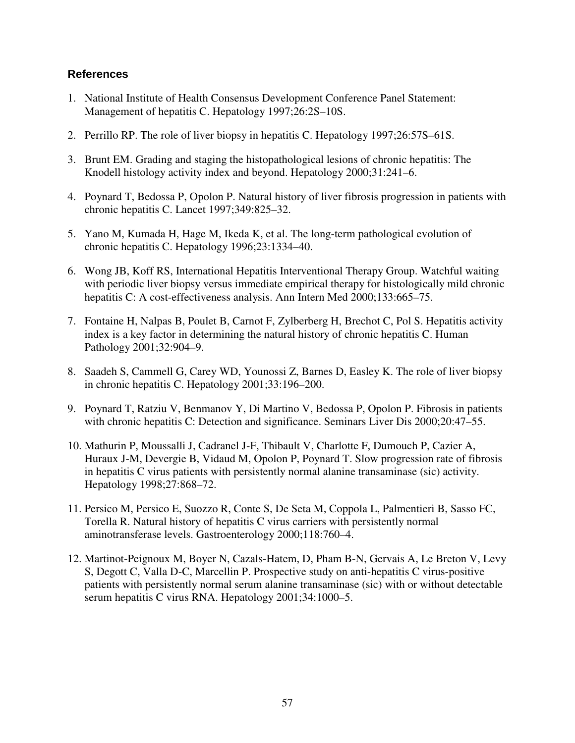- 1. National Institute of Health Consensus Development Conference Panel Statement: Management of hepatitis C. Hepatology 1997;26:2S–10S.
- 2. Perrillo RP. The role of liver biopsy in hepatitis C. Hepatology 1997;26:57S–61S.
- 3. Brunt EM. Grading and staging the histopathological lesions of chronic hepatitis: The Knodell histology activity index and beyond. Hepatology 2000;31:241–6.
- 4. Poynard T, Bedossa P, Opolon P. Natural history of liver fibrosis progression in patients with chronic hepatitis C. Lancet 1997;349:825–32.
- 5. Yano M, Kumada H, Hage M, Ikeda K, et al. The long-term pathological evolution of chronic hepatitis C. Hepatology 1996;23:1334–40.
- 6. Wong JB, Koff RS, International Hepatitis Interventional Therapy Group. Watchful waiting with periodic liver biopsy versus immediate empirical therapy for histologically mild chronic hepatitis C: A cost-effectiveness analysis. Ann Intern Med 2000;133:665–75.
- 7. Fontaine H, Nalpas B, Poulet B, Carnot F, Zylberberg H, Brechot C, Pol S. Hepatitis activity index is a key factor in determining the natural history of chronic hepatitis C. Human Pathology 2001;32:904–9.
- 8. Saadeh S, Cammell G, Carey WD, Younossi Z, Barnes D, Easley K. The role of liver biopsy in chronic hepatitis C. Hepatology 2001;33:196–200.
- 9. Poynard T, Ratziu V, Benmanov Y, Di Martino V, Bedossa P, Opolon P. Fibrosis in patients with chronic hepatitis C: Detection and significance. Seminars Liver Dis 2000;20:47–55.
- 10. Mathurin P, Moussalli J, Cadranel J-F, Thibault V, Charlotte F, Dumouch P, Cazier A, Huraux J-M, Devergie B, Vidaud M, Opolon P, Poynard T. Slow progression rate of fibrosis in hepatitis C virus patients with persistently normal alanine transaminase (sic) activity. Hepatology 1998;27:868–72.
- 11. Persico M, Persico E, Suozzo R, Conte S, De Seta M, Coppola L, Palmentieri B, Sasso FC, Torella R. Natural history of hepatitis C virus carriers with persistently normal aminotransferase levels. Gastroenterology 2000;118:760–4.
- 12. Martinot-Peignoux M, Boyer N, Cazals-Hatem, D, Pham B-N, Gervais A, Le Breton V, Levy S, Degott C, Valla D-C, Marcellin P. Prospective study on anti-hepatitis C virus-positive patients with persistently normal serum alanine transaminase (sic) with or without detectable serum hepatitis C virus RNA. Hepatology 2001;34:1000–5.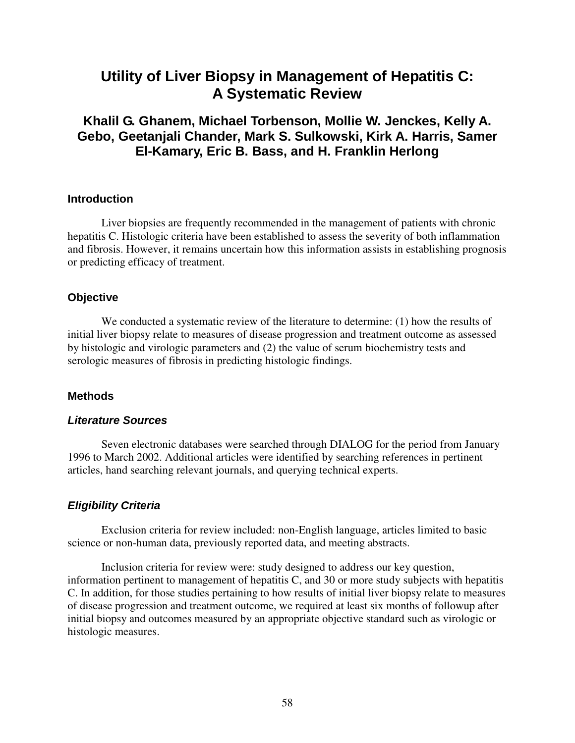# **Utility of Liver Biopsy in Management of Hepatitis C: A Systematic Review**

# **Khalil G. Ghanem, Michael Torbenson, Mollie W. Jenckes, Kelly A. Gebo, Geetanjali Chander, Mark S. Sulkowski, Kirk A. Harris, Samer El-Kamary, Eric B. Bass, and H. Franklin Herlong**

### **Introduction**

Liver biopsies are frequently recommended in the management of patients with chronic hepatitis C. Histologic criteria have been established to assess the severity of both inflammation and fibrosis. However, it remains uncertain how this information assists in establishing prognosis or predicting efficacy of treatment.

### **Objective**

We conducted a systematic review of the literature to determine: (1) how the results of initial liver biopsy relate to measures of disease progression and treatment outcome as assessed by histologic and virologic parameters and (2) the value of serum biochemistry tests and serologic measures of fibrosis in predicting histologic findings.

### **Methods**

### *Literature Sources*

Seven electronic databases were searched through DIALOG for the period from January 1996 to March 2002. Additional articles were identified by searching references in pertinent articles, hand searching relevant journals, and querying technical experts.

### *Eligibility Criteria*

Exclusion criteria for review included: non-English language, articles limited to basic science or non-human data, previously reported data, and meeting abstracts.

Inclusion criteria for review were: study designed to address our key question, information pertinent to management of hepatitis C, and 30 or more study subjects with hepatitis C. In addition, for those studies pertaining to how results of initial liver biopsy relate to measures of disease progression and treatment outcome, we required at least six months of followup after initial biopsy and outcomes measured by an appropriate objective standard such as virologic or histologic measures.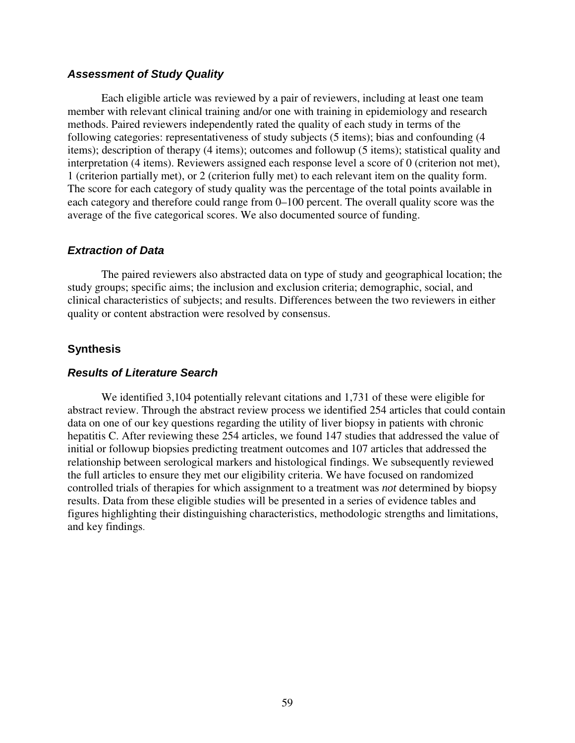### *Assessment of Study Quality*

Each eligible article was reviewed by a pair of reviewers, including at least one team member with relevant clinical training and/or one with training in epidemiology and research methods. Paired reviewers independently rated the quality of each study in terms of the following categories: representativeness of study subjects (5 items); bias and confounding (4 items); description of therapy (4 items); outcomes and followup (5 items); statistical quality and interpretation (4 items). Reviewers assigned each response level a score of 0 (criterion not met), 1 (criterion partially met), or 2 (criterion fully met) to each relevant item on the quality form. The score for each category of study quality was the percentage of the total points available in each category and therefore could range from 0–100 percent. The overall quality score was the average of the five categorical scores. We also documented source of funding.

### *Extraction of Data*

The paired reviewers also abstracted data on type of study and geographical location; the study groups; specific aims; the inclusion and exclusion criteria; demographic, social, and clinical characteristics of subjects; and results. Differences between the two reviewers in either quality or content abstraction were resolved by consensus.

### **Synthesis**

### *Results of Literature Search*

We identified 3,104 potentially relevant citations and 1,731 of these were eligible for abstract review. Through the abstract review process we identified 254 articles that could contain data on one of our key questions regarding the utility of liver biopsy in patients with chronic hepatitis C. After reviewing these 254 articles, we found 147 studies that addressed the value of initial or followup biopsies predicting treatment outcomes and 107 articles that addressed the relationship between serological markers and histological findings. We subsequently reviewed the full articles to ensure they met our eligibility criteria. We have focused on randomized controlled trials of therapies for which assignment to a treatment was *not* determined by biopsy results. Data from these eligible studies will be presented in a series of evidence tables and figures highlighting their distinguishing characteristics, methodologic strengths and limitations, and key findings.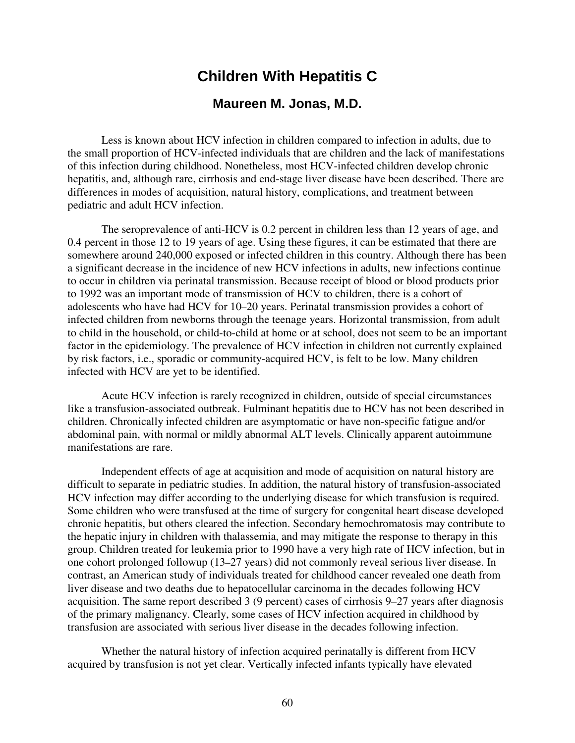# **Children With Hepatitis C**

### **Maureen M. Jonas, M.D.**

Less is known about HCV infection in children compared to infection in adults, due to the small proportion of HCV-infected individuals that are children and the lack of manifestations of this infection during childhood. Nonetheless, most HCV-infected children develop chronic hepatitis, and, although rare, cirrhosis and end-stage liver disease have been described. There are differences in modes of acquisition, natural history, complications, and treatment between pediatric and adult HCV infection.

The seroprevalence of anti-HCV is 0.2 percent in children less than 12 years of age, and 0.4 percent in those 12 to 19 years of age. Using these figures, it can be estimated that there are somewhere around 240,000 exposed or infected children in this country. Although there has been a significant decrease in the incidence of new HCV infections in adults, new infections continue to occur in children via perinatal transmission. Because receipt of blood or blood products prior to 1992 was an important mode of transmission of HCV to children, there is a cohort of adolescents who have had HCV for 10–20 years. Perinatal transmission provides a cohort of infected children from newborns through the teenage years. Horizontal transmission, from adult to child in the household, or child-to-child at home or at school, does not seem to be an important factor in the epidemiology. The prevalence of HCV infection in children not currently explained by risk factors, i.e., sporadic or community-acquired HCV, is felt to be low. Many children infected with HCV are yet to be identified.

Acute HCV infection is rarely recognized in children, outside of special circumstances like a transfusion-associated outbreak. Fulminant hepatitis due to HCV has not been described in children. Chronically infected children are asymptomatic or have non-specific fatigue and/or abdominal pain, with normal or mildly abnormal ALT levels. Clinically apparent autoimmune manifestations are rare.

Independent effects of age at acquisition and mode of acquisition on natural history are difficult to separate in pediatric studies. In addition, the natural history of transfusion-associated HCV infection may differ according to the underlying disease for which transfusion is required. Some children who were transfused at the time of surgery for congenital heart disease developed chronic hepatitis, but others cleared the infection. Secondary hemochromatosis may contribute to the hepatic injury in children with thalassemia, and may mitigate the response to therapy in this group. Children treated for leukemia prior to 1990 have a very high rate of HCV infection, but in one cohort prolonged followup (13–27 years) did not commonly reveal serious liver disease. In contrast, an American study of individuals treated for childhood cancer revealed one death from liver disease and two deaths due to hepatocellular carcinoma in the decades following HCV acquisition. The same report described 3 (9 percent) cases of cirrhosis 9–27 years after diagnosis of the primary malignancy. Clearly, some cases of HCV infection acquired in childhood by transfusion are associated with serious liver disease in the decades following infection.

Whether the natural history of infection acquired perinatally is different from HCV acquired by transfusion is not yet clear. Vertically infected infants typically have elevated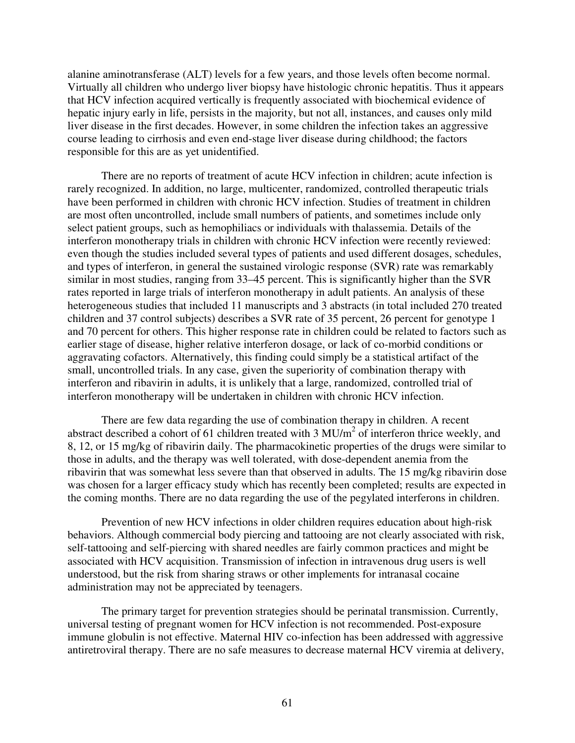alanine aminotransferase (ALT) levels for a few years, and those levels often become normal. Virtually all children who undergo liver biopsy have histologic chronic hepatitis. Thus it appears that HCV infection acquired vertically is frequently associated with biochemical evidence of hepatic injury early in life, persists in the majority, but not all, instances, and causes only mild liver disease in the first decades. However, in some children the infection takes an aggressive course leading to cirrhosis and even end-stage liver disease during childhood; the factors responsible for this are as yet unidentified.

There are no reports of treatment of acute HCV infection in children; acute infection is rarely recognized. In addition, no large, multicenter, randomized, controlled therapeutic trials have been performed in children with chronic HCV infection. Studies of treatment in children are most often uncontrolled, include small numbers of patients, and sometimes include only select patient groups, such as hemophiliacs or individuals with thalassemia. Details of the interferon monotherapy trials in children with chronic HCV infection were recently reviewed: even though the studies included several types of patients and used different dosages, schedules, and types of interferon, in general the sustained virologic response (SVR) rate was remarkably similar in most studies, ranging from 33–45 percent. This is significantly higher than the SVR rates reported in large trials of interferon monotherapy in adult patients. An analysis of these heterogeneous studies that included 11 manuscripts and 3 abstracts (in total included 270 treated children and 37 control subjects) describes a SVR rate of 35 percent, 26 percent for genotype 1 and 70 percent for others. This higher response rate in children could be related to factors such as earlier stage of disease, higher relative interferon dosage, or lack of co-morbid conditions or aggravating cofactors. Alternatively, this finding could simply be a statistical artifact of the small, uncontrolled trials. In any case, given the superiority of combination therapy with interferon and ribavirin in adults, it is unlikely that a large, randomized, controlled trial of interferon monotherapy will be undertaken in children with chronic HCV infection.

There are few data regarding the use of combination therapy in children. A recent abstract described a cohort of 61 children treated with 3  $MU/m<sup>2</sup>$  of interferon thrice weekly, and 8, 12, or 15 mg/kg of ribavirin daily. The pharmacokinetic properties of the drugs were similar to those in adults, and the therapy was well tolerated, with dose-dependent anemia from the ribavirin that was somewhat less severe than that observed in adults. The 15 mg/kg ribavirin dose was chosen for a larger efficacy study which has recently been completed; results are expected in the coming months. There are no data regarding the use of the pegylated interferons in children.

Prevention of new HCV infections in older children requires education about high-risk behaviors. Although commercial body piercing and tattooing are not clearly associated with risk, self-tattooing and self-piercing with shared needles are fairly common practices and might be associated with HCV acquisition. Transmission of infection in intravenous drug users is well understood, but the risk from sharing straws or other implements for intranasal cocaine administration may not be appreciated by teenagers.

The primary target for prevention strategies should be perinatal transmission. Currently, universal testing of pregnant women for HCV infection is not recommended. Post-exposure immune globulin is not effective. Maternal HIV co-infection has been addressed with aggressive antiretroviral therapy. There are no safe measures to decrease maternal HCV viremia at delivery,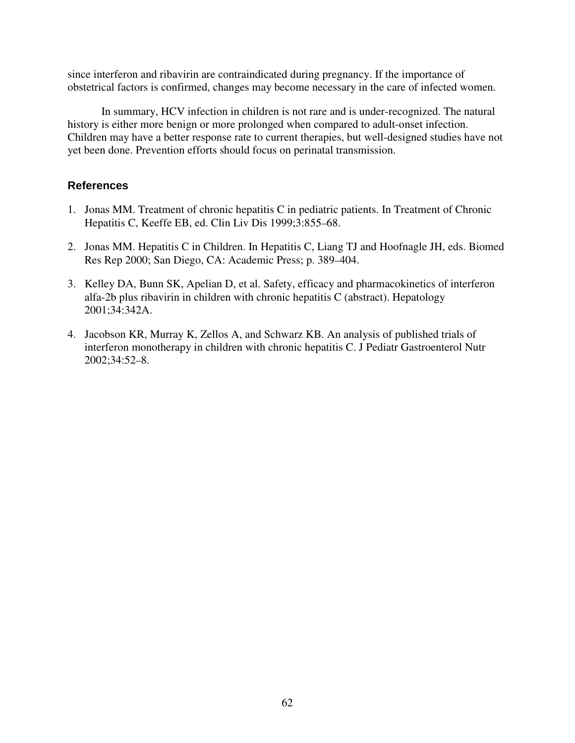since interferon and ribavirin are contraindicated during pregnancy. If the importance of obstetrical factors is confirmed, changes may become necessary in the care of infected women.

In summary, HCV infection in children is not rare and is under-recognized. The natural history is either more benign or more prolonged when compared to adult-onset infection. Children may have a better response rate to current therapies, but well-designed studies have not yet been done. Prevention efforts should focus on perinatal transmission.

- 1. Jonas MM. Treatment of chronic hepatitis C in pediatric patients. In Treatment of Chronic Hepatitis C, Keeffe EB, ed. Clin Liv Dis 1999;3:855–68.
- 2. Jonas MM. Hepatitis C in Children. In Hepatitis C, Liang TJ and Hoofnagle JH, eds. Biomed Res Rep 2000; San Diego, CA: Academic Press; p. 389–404.
- 3. Kelley DA, Bunn SK, Apelian D, et al. Safety, efficacy and pharmacokinetics of interferon alfa-2b plus ribavirin in children with chronic hepatitis C (abstract). Hepatology 2001;34:342A.
- 4. Jacobson KR, Murray K, Zellos A, and Schwarz KB. An analysis of published trials of interferon monotherapy in children with chronic hepatitis C. J Pediatr Gastroenterol Nutr 2002;34:52–8.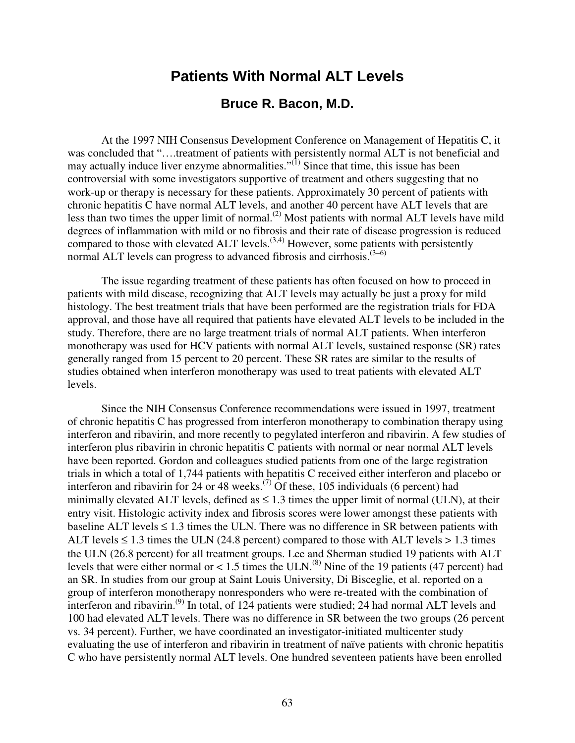# **Patients With Normal ALT Levels**

### **Bruce R. Bacon, M.D.**

At the 1997 NIH Consensus Development Conference on Management of Hepatitis C, it was concluded that "….treatment of patients with persistently normal ALT is not beneficial and may actually induce liver enzyme abnormalities." $^{(1)}$  Since that time, this issue has been controversial with some investigators supportive of treatment and others suggesting that no work-up or therapy is necessary for these patients. Approximately 30 percent of patients with chronic hepatitis C have normal ALT levels, and another 40 percent have ALT levels that are less than two times the upper limit of normal.(2) Most patients with normal ALT levels have mild degrees of inflammation with mild or no fibrosis and their rate of disease progression is reduced compared to those with elevated ALT levels.<sup> $(3,4)$ </sup> However, some patients with persistently normal ALT levels can progress to advanced fibrosis and cirrhosis.<sup> $(3-6)$ </sup>

The issue regarding treatment of these patients has often focused on how to proceed in patients with mild disease, recognizing that ALT levels may actually be just a proxy for mild histology. The best treatment trials that have been performed are the registration trials for FDA approval, and those have all required that patients have elevated ALT levels to be included in the study. Therefore, there are no large treatment trials of normal ALT patients. When interferon monotherapy was used for HCV patients with normal ALT levels, sustained response (SR) rates generally ranged from 15 percent to 20 percent. These SR rates are similar to the results of studies obtained when interferon monotherapy was used to treat patients with elevated ALT levels.

Since the NIH Consensus Conference recommendations were issued in 1997, treatment of chronic hepatitis C has progressed from interferon monotherapy to combination therapy using interferon and ribavirin, and more recently to pegylated interferon and ribavirin. A few studies of interferon plus ribavirin in chronic hepatitis C patients with normal or near normal ALT levels have been reported. Gordon and colleagues studied patients from one of the large registration trials in which a total of 1,744 patients with hepatitis C received either interferon and placebo or interferon and ribavirin for 24 or 48 weeks.<sup> $(7)$ </sup> Of these, 105 individuals (6 percent) had minimally elevated ALT levels, defined as  $\leq 1.3$  times the upper limit of normal (ULN), at their entry visit. Histologic activity index and fibrosis scores were lower amongst these patients with baseline ALT levels  $\leq 1.3$  times the ULN. There was no difference in SR between patients with ALT levels  $\leq 1.3$  times the ULN (24.8 percent) compared to those with ALT levels  $> 1.3$  times the ULN (26.8 percent) for all treatment groups. Lee and Sherman studied 19 patients with ALT levels that were either normal or  $< 1.5$  times the ULN.<sup>(8)</sup> Nine of the 19 patients (47 percent) had an SR. In studies from our group at Saint Louis University, Di Bisceglie, et al. reported on a group of interferon monotherapy nonresponders who were re-treated with the combination of interferon and ribavirin.<sup>(9)</sup> In total, of 124 patients were studied; 24 had normal ALT levels and 100 had elevated ALT levels. There was no difference in SR between the two groups (26 percent vs. 34 percent). Further, we have coordinated an investigator-initiated multicenter study evaluating the use of interferon and ribavirin in treatment of naïve patients with chronic hepatitis C who have persistently normal ALT levels. One hundred seventeen patients have been enrolled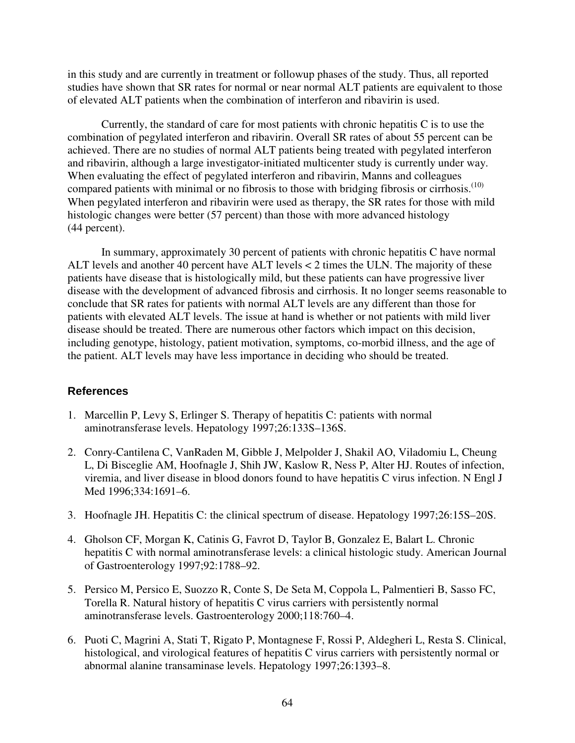in this study and are currently in treatment or followup phases of the study. Thus, all reported studies have shown that SR rates for normal or near normal ALT patients are equivalent to those of elevated ALT patients when the combination of interferon and ribavirin is used.

Currently, the standard of care for most patients with chronic hepatitis C is to use the combination of pegylated interferon and ribavirin. Overall SR rates of about 55 percent can be achieved. There are no studies of normal ALT patients being treated with pegylated interferon and ribavirin, although a large investigator-initiated multicenter study is currently under way. When evaluating the effect of pegylated interferon and ribavirin, Manns and colleagues compared patients with minimal or no fibrosis to those with bridging fibrosis or cirrhosis.<sup>(10)</sup> When pegylated interferon and ribavirin were used as therapy, the SR rates for those with mild histologic changes were better (57 percent) than those with more advanced histology (44 percent).

In summary, approximately 30 percent of patients with chronic hepatitis C have normal ALT levels and another 40 percent have ALT levels < 2 times the ULN. The majority of these patients have disease that is histologically mild, but these patients can have progressive liver disease with the development of advanced fibrosis and cirrhosis. It no longer seems reasonable to conclude that SR rates for patients with normal ALT levels are any different than those for patients with elevated ALT levels. The issue at hand is whether or not patients with mild liver disease should be treated. There are numerous other factors which impact on this decision, including genotype, histology, patient motivation, symptoms, co-morbid illness, and the age of the patient. ALT levels may have less importance in deciding who should be treated.

- 1. Marcellin P, Levy S, Erlinger S. Therapy of hepatitis C: patients with normal aminotransferase levels. Hepatology 1997;26:133S–136S.
- 2. Conry-Cantilena C, VanRaden M, Gibble J, Melpolder J, Shakil AO, Viladomiu L, Cheung L, Di Bisceglie AM, Hoofnagle J, Shih JW, Kaslow R, Ness P, Alter HJ. Routes of infection, viremia, and liver disease in blood donors found to have hepatitis C virus infection. N Engl J Med 1996;334:1691–6.
- 3. Hoofnagle JH. Hepatitis C: the clinical spectrum of disease. Hepatology 1997;26:15S–20S.
- 4. Gholson CF, Morgan K, Catinis G, Favrot D, Taylor B, Gonzalez E, Balart L. Chronic hepatitis C with normal aminotransferase levels: a clinical histologic study. American Journal of Gastroenterology 1997;92:1788–92.
- 5. Persico M, Persico E, Suozzo R, Conte S, De Seta M, Coppola L, Palmentieri B, Sasso FC, Torella R. Natural history of hepatitis C virus carriers with persistently normal aminotransferase levels. Gastroenterology 2000;118:760–4.
- 6. Puoti C, Magrini A, Stati T, Rigato P, Montagnese F, Rossi P, Aldegheri L, Resta S. Clinical, histological, and virological features of hepatitis C virus carriers with persistently normal or abnormal alanine transaminase levels. Hepatology 1997;26:1393–8.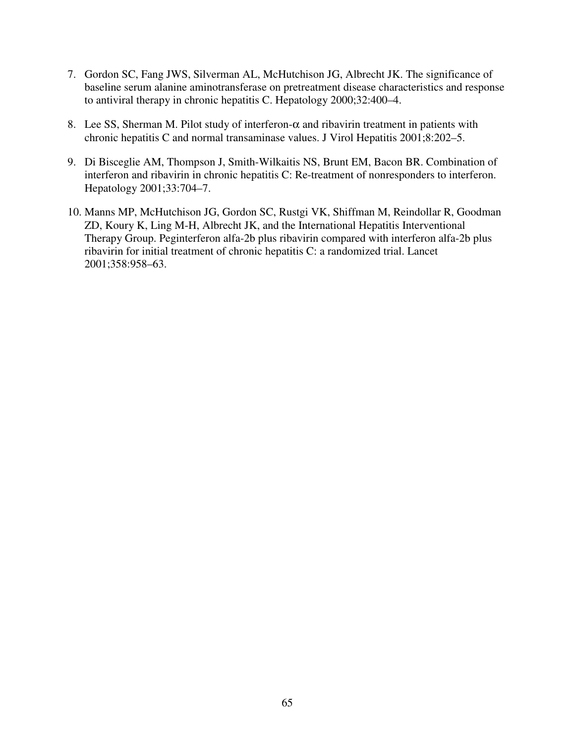- 7. Gordon SC, Fang JWS, Silverman AL, McHutchison JG, Albrecht JK. The significance of baseline serum alanine aminotransferase on pretreatment disease characteristics and response to antiviral therapy in chronic hepatitis C. Hepatology 2000;32:400–4.
- 8. Lee SS, Sherman M. Pilot study of interferon- $\alpha$  and ribavirin treatment in patients with chronic hepatitis C and normal transaminase values. J Virol Hepatitis 2001;8:202–5.
- 9. Di Bisceglie AM, Thompson J, Smith-Wilkaitis NS, Brunt EM, Bacon BR. Combination of interferon and ribavirin in chronic hepatitis C: Re-treatment of nonresponders to interferon. Hepatology 2001;33:704–7.
- 10. Manns MP, McHutchison JG, Gordon SC, Rustgi VK, Shiffman M, Reindollar R, Goodman ZD, Koury K, Ling M-H, Albrecht JK, and the International Hepatitis Interventional Therapy Group. Peginterferon alfa-2b plus ribavirin compared with interferon alfa-2b plus ribavirin for initial treatment of chronic hepatitis C: a randomized trial. Lancet 2001;358:958–63.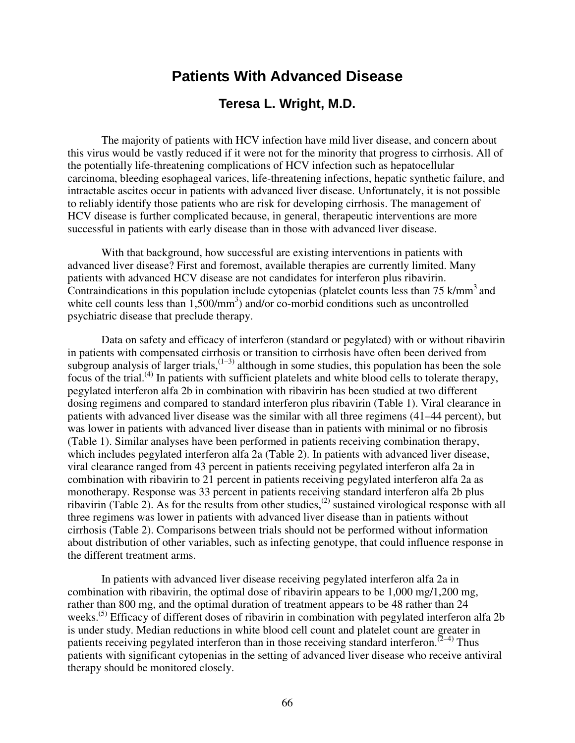# **Patients With Advanced Disease**

## **Teresa L. Wright, M.D.**

The majority of patients with HCV infection have mild liver disease, and concern about this virus would be vastly reduced if it were not for the minority that progress to cirrhosis. All of the potentially life-threatening complications of HCV infection such as hepatocellular carcinoma, bleeding esophageal varices, life-threatening infections, hepatic synthetic failure, and intractable ascites occur in patients with advanced liver disease. Unfortunately, it is not possible to reliably identify those patients who are risk for developing cirrhosis. The management of HCV disease is further complicated because, in general, therapeutic interventions are more successful in patients with early disease than in those with advanced liver disease.

With that background, how successful are existing interventions in patients with advanced liver disease? First and foremost, available therapies are currently limited. Many patients with advanced HCV disease are not candidates for interferon plus ribavirin. Contraindications in this population include cytopenias (platelet counts less than  $75 \text{ k/mm}^3$  and white cell counts less than  $1,500/\text{mm}^3$ ) and/or co-morbid conditions such as uncontrolled psychiatric disease that preclude therapy.

Data on safety and efficacy of interferon (standard or pegylated) with or without ribavirin in patients with compensated cirrhosis or transition to cirrhosis have often been derived from subgroup analysis of larger trials,  $(1-3)$  although in some studies, this population has been the sole focus of the trial.(4) In patients with sufficient platelets and white blood cells to tolerate therapy, pegylated interferon alfa 2b in combination with ribavirin has been studied at two different dosing regimens and compared to standard interferon plus ribavirin (Table 1). Viral clearance in patients with advanced liver disease was the similar with all three regimens (41–44 percent), but was lower in patients with advanced liver disease than in patients with minimal or no fibrosis (Table 1). Similar analyses have been performed in patients receiving combination therapy, which includes pegylated interferon alfa 2a (Table 2). In patients with advanced liver disease, viral clearance ranged from 43 percent in patients receiving pegylated interferon alfa 2a in combination with ribavirin to 21 percent in patients receiving pegylated interferon alfa 2a as monotherapy. Response was 33 percent in patients receiving standard interferon alfa 2b plus ribavirin (Table 2). As for the results from other studies,<sup>(2)</sup> sustained virological response with all three regimens was lower in patients with advanced liver disease than in patients without cirrhosis (Table 2). Comparisons between trials should not be performed without information about distribution of other variables, such as infecting genotype, that could influence response in the different treatment arms.

In patients with advanced liver disease receiving pegylated interferon alfa 2a in combination with ribavirin, the optimal dose of ribavirin appears to be 1,000 mg/1,200 mg, rather than 800 mg, and the optimal duration of treatment appears to be 48 rather than 24 weeks.<sup>(5)</sup> Efficacy of different doses of ribavirin in combination with pegylated interferon alfa 2b is under study. Median reductions in white blood cell count and platelet count are greater in patients receiving pegylated interferon than in those receiving standard interferon. $(2-4)$  Thus patients with significant cytopenias in the setting of advanced liver disease who receive antiviral therapy should be monitored closely.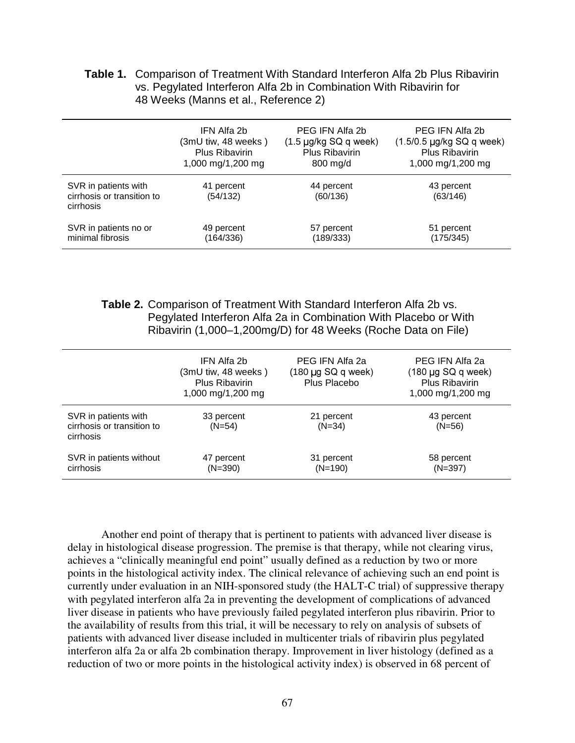|                                      | <b>Table 1.</b> Comparison of Treatment With Standard Interferon Alfa 2b Plus Ribavirin |  |  |  |
|--------------------------------------|-----------------------------------------------------------------------------------------|--|--|--|
|                                      | vs. Pegylated Interferon Alfa 2b in Combination With Ribavirin for                      |  |  |  |
| 48 Weeks (Manns et al., Reference 2) |                                                                                         |  |  |  |

|                                                                 | IFN Alfa 2b            | PEG IFN Alfa 2b            | PEG IFN Alfa 2b                |
|-----------------------------------------------------------------|------------------------|----------------------------|--------------------------------|
|                                                                 | (3mU tiw, 48 weeks)    | $(1.5 \mu g/kg SQ q week)$ | $(1.5/0.5 \mu g/kg SQ$ q week) |
|                                                                 | Plus Ribavirin         | Plus Ribavirin             | <b>Plus Ribavirin</b>          |
|                                                                 | 1,000 mg/1,200 mg      | 800 mg/d                   | 1,000 mg/1,200 mg              |
| SVR in patients with<br>cirrhosis or transition to<br>cirrhosis | 41 percent<br>(54/132) | 44 percent<br>(60/136)     | 43 percent<br>(63/146)         |
| SVR in patients no or                                           | 49 percent             | 57 percent                 | 51 percent                     |
| minimal fibrosis                                                | (164/336)              | (189/333)                  | (175/345)                      |

 **Table 2.** Comparison of Treatment With Standard Interferon Alfa 2b vs. Pegylated Interferon Alfa 2a in Combination With Placebo or With Ribavirin (1,000–1,200mg/D) for 48 Weeks (Roche Data on File)

|                                                                 | IFN Alfa 2b<br>(3mU tiw, 48 weeks)<br><b>Plus Ribavirin</b><br>1,000 mg/1,200 mg | PEG IFN Alfa 2a<br>$(180 \mu g SQ q$ week)<br>Plus Placebo | PEG IFN Alfa 2a<br>$(180 \mu g SQ q week)$<br>Plus Ribavirin<br>1,000 mg/1,200 mg |
|-----------------------------------------------------------------|----------------------------------------------------------------------------------|------------------------------------------------------------|-----------------------------------------------------------------------------------|
| SVR in patients with<br>cirrhosis or transition to<br>cirrhosis | 33 percent<br>$(N=54)$                                                           | 21 percent<br>$(N=34)$                                     | 43 percent<br>$(N=56)$                                                            |
| SVR in patients without<br>cirrhosis                            | 47 percent<br>$(N=390)$                                                          | 31 percent<br>$(N=190)$                                    | 58 percent<br>$(N=397)$                                                           |

Another end point of therapy that is pertinent to patients with advanced liver disease is delay in histological disease progression. The premise is that therapy, while not clearing virus, achieves a "clinically meaningful end point" usually defined as a reduction by two or more points in the histological activity index. The clinical relevance of achieving such an end point is currently under evaluation in an NIH-sponsored study (the HALT-C trial) of suppressive therapy with pegylated interferon alfa 2a in preventing the development of complications of advanced liver disease in patients who have previously failed pegylated interferon plus ribavirin. Prior to the availability of results from this trial, it will be necessary to rely on analysis of subsets of patients with advanced liver disease included in multicenter trials of ribavirin plus pegylated interferon alfa 2a or alfa 2b combination therapy. Improvement in liver histology (defined as a reduction of two or more points in the histological activity index) is observed in 68 percent of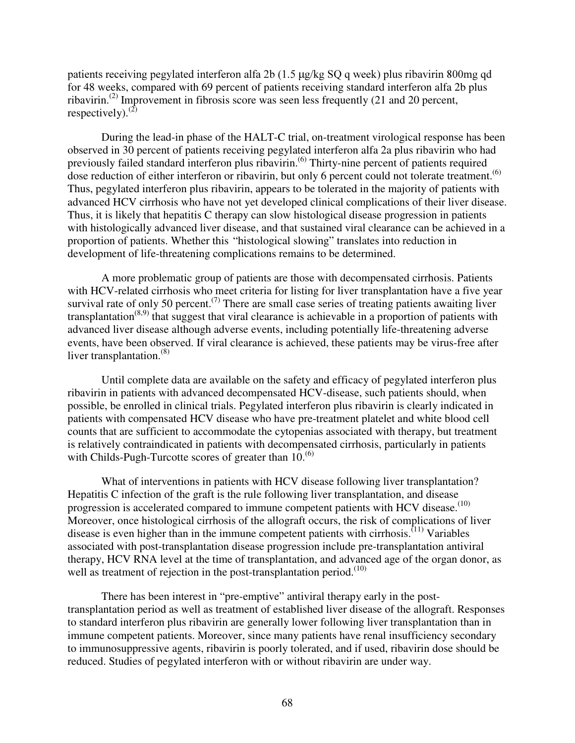patients receiving pegylated interferon alfa 2b (1.5 µg/kg SQ q week) plus ribavirin 800mg qd for 48 weeks, compared with 69 percent of patients receiving standard interferon alfa 2b plus ribavirin.(2) Improvement in fibrosis score was seen less frequently (21 and 20 percent, respectively). $^{(2)}$ 

During the lead-in phase of the HALT-C trial, on-treatment virological response has been observed in 30 percent of patients receiving pegylated interferon alfa 2a plus ribavirin who had previously failed standard interferon plus ribavirin.<sup>(6)</sup> Thirty-nine percent of patients required dose reduction of either interferon or ribavirin, but only 6 percent could not tolerate treatment.<sup>(6)</sup> Thus, pegylated interferon plus ribavirin, appears to be tolerated in the majority of patients with advanced HCV cirrhosis who have not yet developed clinical complications of their liver disease. Thus, it is likely that hepatitis C therapy can slow histological disease progression in patients with histologically advanced liver disease, and that sustained viral clearance can be achieved in a proportion of patients. Whether this "histological slowing" translates into reduction in development of life-threatening complications remains to be determined.

A more problematic group of patients are those with decompensated cirrhosis. Patients with HCV-related cirrhosis who meet criteria for listing for liver transplantation have a five year survival rate of only 50 percent.<sup>(7)</sup> There are small case series of treating patients awaiting liver transplantation<sup> $(8,9)$ </sup> that suggest that viral clearance is achievable in a proportion of patients with advanced liver disease although adverse events, including potentially life-threatening adverse events, have been observed. If viral clearance is achieved, these patients may be virus-free after liver transplantation. $(8)$ 

Until complete data are available on the safety and efficacy of pegylated interferon plus ribavirin in patients with advanced decompensated HCV-disease, such patients should, when possible, be enrolled in clinical trials. Pegylated interferon plus ribavirin is clearly indicated in patients with compensated HCV disease who have pre-treatment platelet and white blood cell counts that are sufficient to accommodate the cytopenias associated with therapy, but treatment is relatively contraindicated in patients with decompensated cirrhosis, particularly in patients with Childs-Pugh-Turcotte scores of greater than  $10^{(6)}$ .

What of interventions in patients with HCV disease following liver transplantation? Hepatitis C infection of the graft is the rule following liver transplantation, and disease progression is accelerated compared to immune competent patients with HCV disease.<sup>(10)</sup> Moreover, once histological cirrhosis of the allograft occurs, the risk of complications of liver disease is even higher than in the immune competent patients with cirrhosis.<sup>(11)</sup> Variables associated with post-transplantation disease progression include pre-transplantation antiviral therapy, HCV RNA level at the time of transplantation, and advanced age of the organ donor, as well as treatment of rejection in the post-transplantation period. $(10)$ 

There has been interest in "pre-emptive" antiviral therapy early in the posttransplantation period as well as treatment of established liver disease of the allograft. Responses to standard interferon plus ribavirin are generally lower following liver transplantation than in immune competent patients. Moreover, since many patients have renal insufficiency secondary to immunosuppressive agents, ribavirin is poorly tolerated, and if used, ribavirin dose should be reduced. Studies of pegylated interferon with or without ribavirin are under way.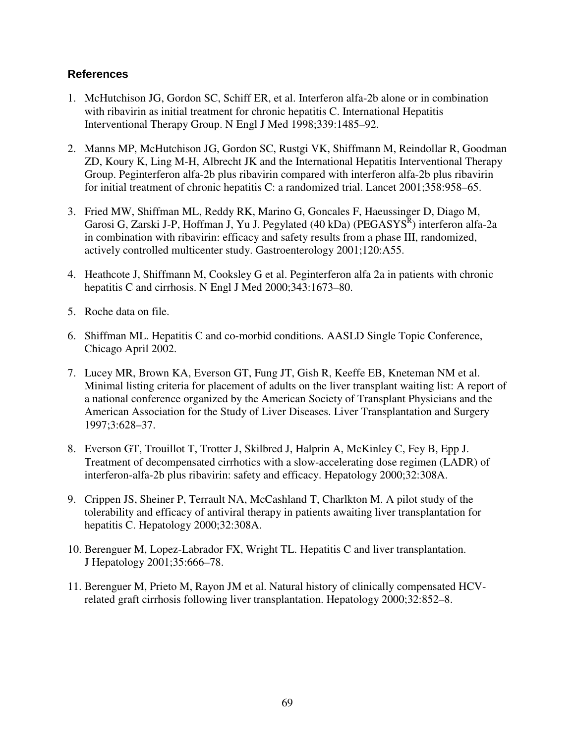- 1. McHutchison JG, Gordon SC, Schiff ER, et al. Interferon alfa-2b alone or in combination with ribavirin as initial treatment for chronic hepatitis C. International Hepatitis Interventional Therapy Group. N Engl J Med 1998;339:1485–92.
- 2. Manns MP, McHutchison JG, Gordon SC, Rustgi VK, Shiffmann M, Reindollar R, Goodman ZD, Koury K, Ling M-H, Albrecht JK and the International Hepatitis Interventional Therapy Group. Peginterferon alfa-2b plus ribavirin compared with interferon alfa-2b plus ribavirin for initial treatment of chronic hepatitis C: a randomized trial. Lancet 2001;358:958–65.
- 3. Fried MW, Shiffman ML, Reddy RK, Marino G, Goncales F, Haeussinger D, Diago M, Garosi G, Zarski J-P, Hoffman J, Yu J. Pegylated (40 kDa) (PEGASYS<sup>R</sup>) interferon alfa-2a in combination with ribavirin: efficacy and safety results from a phase III, randomized, actively controlled multicenter study. Gastroenterology 2001;120:A55.
- 4. Heathcote J, Shiffmann M, Cooksley G et al. Peginterferon alfa 2a in patients with chronic hepatitis C and cirrhosis. N Engl J Med 2000;343:1673–80.
- 5. Roche data on file.
- 6. Shiffman ML. Hepatitis C and co-morbid conditions. AASLD Single Topic Conference, Chicago April 2002.
- 7. Lucey MR, Brown KA, Everson GT, Fung JT, Gish R, Keeffe EB, Kneteman NM et al. Minimal listing criteria for placement of adults on the liver transplant waiting list: A report of a national conference organized by the American Society of Transplant Physicians and the American Association for the Study of Liver Diseases. Liver Transplantation and Surgery 1997;3:628–37.
- 8. Everson GT, Trouillot T, Trotter J, Skilbred J, Halprin A, McKinley C, Fey B, Epp J. Treatment of decompensated cirrhotics with a slow-accelerating dose regimen (LADR) of interferon-alfa-2b plus ribavirin: safety and efficacy. Hepatology 2000;32:308A.
- 9. Crippen JS, Sheiner P, Terrault NA, McCashland T, Charlkton M. A pilot study of the tolerability and efficacy of antiviral therapy in patients awaiting liver transplantation for hepatitis C. Hepatology 2000;32:308A.
- 10. Berenguer M, Lopez-Labrador FX, Wright TL. Hepatitis C and liver transplantation. J Hepatology 2001;35:666–78.
- 11. Berenguer M, Prieto M, Rayon JM et al. Natural history of clinically compensated HCVrelated graft cirrhosis following liver transplantation. Hepatology 2000;32:852–8.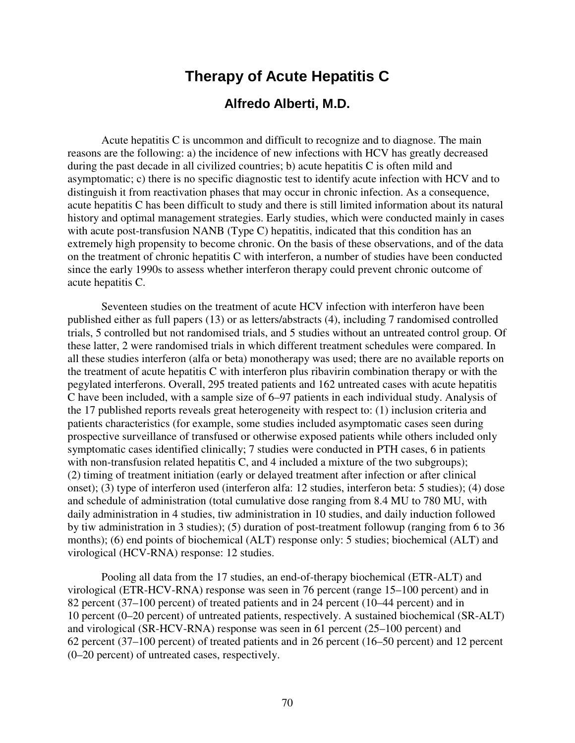# **Therapy of Acute Hepatitis C**

### **Alfredo Alberti, M.D.**

Acute hepatitis C is uncommon and difficult to recognize and to diagnose. The main reasons are the following: a) the incidence of new infections with HCV has greatly decreased during the past decade in all civilized countries; b) acute hepatitis C is often mild and asymptomatic; c) there is no specific diagnostic test to identify acute infection with HCV and to distinguish it from reactivation phases that may occur in chronic infection. As a consequence, acute hepatitis C has been difficult to study and there is still limited information about its natural history and optimal management strategies. Early studies, which were conducted mainly in cases with acute post-transfusion NANB (Type C) hepatitis, indicated that this condition has an extremely high propensity to become chronic. On the basis of these observations, and of the data on the treatment of chronic hepatitis C with interferon, a number of studies have been conducted since the early 1990s to assess whether interferon therapy could prevent chronic outcome of acute hepatitis C.

Seventeen studies on the treatment of acute HCV infection with interferon have been published either as full papers (13) or as letters/abstracts (4), including 7 randomised controlled trials, 5 controlled but not randomised trials, and 5 studies without an untreated control group. Of these latter, 2 were randomised trials in which different treatment schedules were compared. In all these studies interferon (alfa or beta) monotherapy was used; there are no available reports on the treatment of acute hepatitis C with interferon plus ribavirin combination therapy or with the pegylated interferons. Overall, 295 treated patients and 162 untreated cases with acute hepatitis C have been included, with a sample size of 6–97 patients in each individual study. Analysis of the 17 published reports reveals great heterogeneity with respect to: (1) inclusion criteria and patients characteristics (for example, some studies included asymptomatic cases seen during prospective surveillance of transfused or otherwise exposed patients while others included only symptomatic cases identified clinically; 7 studies were conducted in PTH cases, 6 in patients with non-transfusion related hepatitis C, and 4 included a mixture of the two subgroups); (2) timing of treatment initiation (early or delayed treatment after infection or after clinical onset); (3) type of interferon used (interferon alfa: 12 studies, interferon beta: 5 studies); (4) dose and schedule of administration (total cumulative dose ranging from 8.4 MU to 780 MU, with daily administration in 4 studies, tiw administration in 10 studies, and daily induction followed by tiw administration in 3 studies); (5) duration of post-treatment followup (ranging from 6 to 36 months); (6) end points of biochemical (ALT) response only: 5 studies; biochemical (ALT) and virological (HCV-RNA) response: 12 studies.

Pooling all data from the 17 studies, an end-of-therapy biochemical (ETR-ALT) and virological (ETR-HCV-RNA) response was seen in 76 percent (range 15–100 percent) and in 82 percent (37–100 percent) of treated patients and in 24 percent (10–44 percent) and in 10 percent (0–20 percent) of untreated patients, respectively. A sustained biochemical (SR-ALT) and virological (SR-HCV-RNA) response was seen in 61 percent (25–100 percent) and 62 percent (37–100 percent) of treated patients and in 26 percent (16–50 percent) and 12 percent (0–20 percent) of untreated cases, respectively.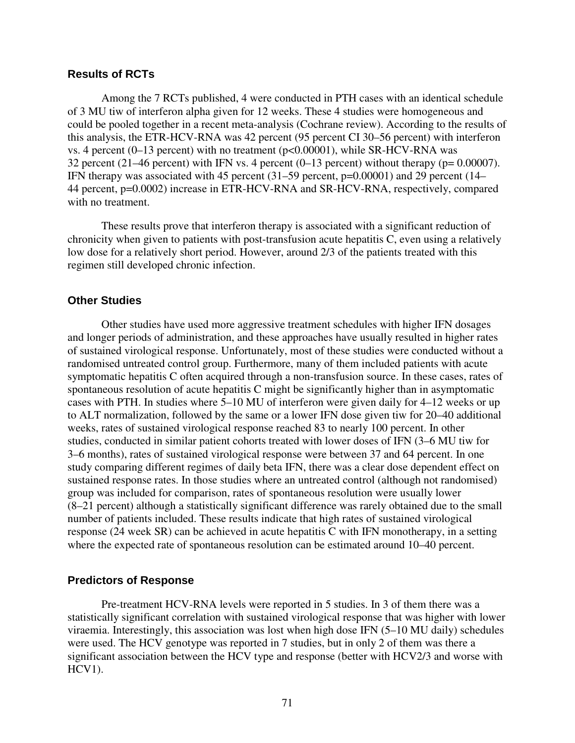### **Results of RCTs**

Among the 7 RCTs published, 4 were conducted in PTH cases with an identical schedule of 3 MU tiw of interferon alpha given for 12 weeks. These 4 studies were homogeneous and could be pooled together in a recent meta-analysis (Cochrane review). According to the results of this analysis, the ETR-HCV-RNA was 42 percent (95 percent CI 30–56 percent) with interferon vs. 4 percent (0–13 percent) with no treatment (p<0.00001), while SR-HCV-RNA was 32 percent (21–46 percent) with IFN vs. 4 percent (0–13 percent) without therapy ( $p= 0.00007$ ). IFN therapy was associated with 45 percent (31–59 percent, p=0.00001) and 29 percent (14– 44 percent, p=0.0002) increase in ETR-HCV-RNA and SR-HCV-RNA, respectively, compared with no treatment.

These results prove that interferon therapy is associated with a significant reduction of chronicity when given to patients with post-transfusion acute hepatitis C, even using a relatively low dose for a relatively short period. However, around 2/3 of the patients treated with this regimen still developed chronic infection.

### **Other Studies**

Other studies have used more aggressive treatment schedules with higher IFN dosages and longer periods of administration, and these approaches have usually resulted in higher rates of sustained virological response. Unfortunately, most of these studies were conducted without a randomised untreated control group. Furthermore, many of them included patients with acute symptomatic hepatitis C often acquired through a non-transfusion source. In these cases, rates of spontaneous resolution of acute hepatitis C might be significantly higher than in asymptomatic cases with PTH. In studies where 5–10 MU of interferon were given daily for 4–12 weeks or up to ALT normalization, followed by the same or a lower IFN dose given tiw for 20–40 additional weeks, rates of sustained virological response reached 83 to nearly 100 percent. In other studies, conducted in similar patient cohorts treated with lower doses of IFN (3–6 MU tiw for 3–6 months), rates of sustained virological response were between 37 and 64 percent. In one study comparing different regimes of daily beta IFN, there was a clear dose dependent effect on sustained response rates. In those studies where an untreated control (although not randomised) group was included for comparison, rates of spontaneous resolution were usually lower (8–21 percent) although a statistically significant difference was rarely obtained due to the small number of patients included. These results indicate that high rates of sustained virological response (24 week SR) can be achieved in acute hepatitis C with IFN monotherapy, in a setting where the expected rate of spontaneous resolution can be estimated around 10–40 percent.

#### **Predictors of Response**

Pre-treatment HCV-RNA levels were reported in 5 studies. In 3 of them there was a statistically significant correlation with sustained virological response that was higher with lower viraemia. Interestingly, this association was lost when high dose IFN (5–10 MU daily) schedules were used. The HCV genotype was reported in 7 studies, but in only 2 of them was there a significant association between the HCV type and response (better with HCV2/3 and worse with  $HCV1$ ).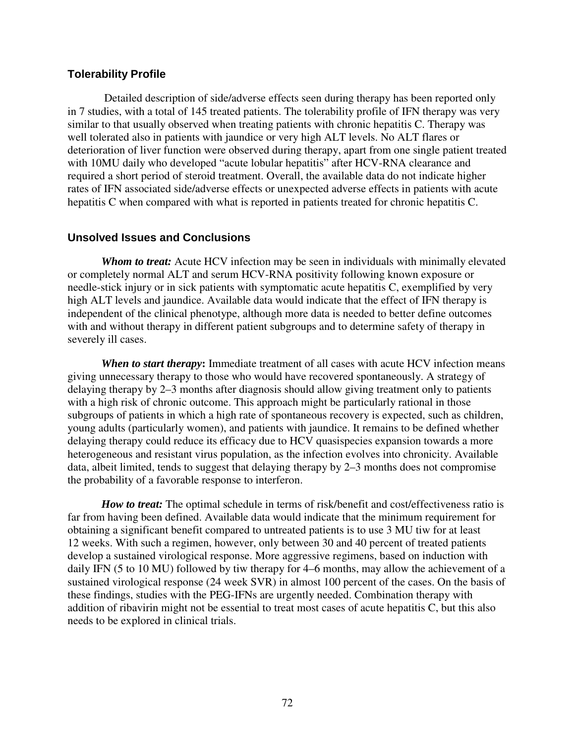### **Tolerability Profile**

 Detailed description of side/adverse effects seen during therapy has been reported only in 7 studies, with a total of 145 treated patients. The tolerability profile of IFN therapy was very similar to that usually observed when treating patients with chronic hepatitis C. Therapy was well tolerated also in patients with jaundice or very high ALT levels. No ALT flares or deterioration of liver function were observed during therapy, apart from one single patient treated with 10MU daily who developed "acute lobular hepatitis" after HCV-RNA clearance and required a short period of steroid treatment. Overall, the available data do not indicate higher rates of IFN associated side/adverse effects or unexpected adverse effects in patients with acute hepatitis C when compared with what is reported in patients treated for chronic hepatitis C.

### **Unsolved Issues and Conclusions**

*Whom to treat:* Acute HCV infection may be seen in individuals with minimally elevated or completely normal ALT and serum HCV-RNA positivity following known exposure or needle-stick injury or in sick patients with symptomatic acute hepatitis C, exemplified by very high ALT levels and jaundice. Available data would indicate that the effect of IFN therapy is independent of the clinical phenotype, although more data is needed to better define outcomes with and without therapy in different patient subgroups and to determine safety of therapy in severely ill cases.

*When to start therapy***:** Immediate treatment of all cases with acute HCV infection means giving unnecessary therapy to those who would have recovered spontaneously. A strategy of delaying therapy by 2–3 months after diagnosis should allow giving treatment only to patients with a high risk of chronic outcome. This approach might be particularly rational in those subgroups of patients in which a high rate of spontaneous recovery is expected, such as children, young adults (particularly women), and patients with jaundice. It remains to be defined whether delaying therapy could reduce its efficacy due to HCV quasispecies expansion towards a more heterogeneous and resistant virus population, as the infection evolves into chronicity. Available data, albeit limited, tends to suggest that delaying therapy by 2–3 months does not compromise the probability of a favorable response to interferon.

*How to treat:* The optimal schedule in terms of risk/benefit and cost/effectiveness ratio is far from having been defined. Available data would indicate that the minimum requirement for obtaining a significant benefit compared to untreated patients is to use 3 MU tiw for at least 12 weeks. With such a regimen, however, only between 30 and 40 percent of treated patients develop a sustained virological response. More aggressive regimens, based on induction with daily IFN (5 to 10 MU) followed by tiw therapy for 4–6 months, may allow the achievement of a sustained virological response (24 week SVR) in almost 100 percent of the cases. On the basis of these findings, studies with the PEG-IFNs are urgently needed. Combination therapy with addition of ribavirin might not be essential to treat most cases of acute hepatitis C, but this also needs to be explored in clinical trials.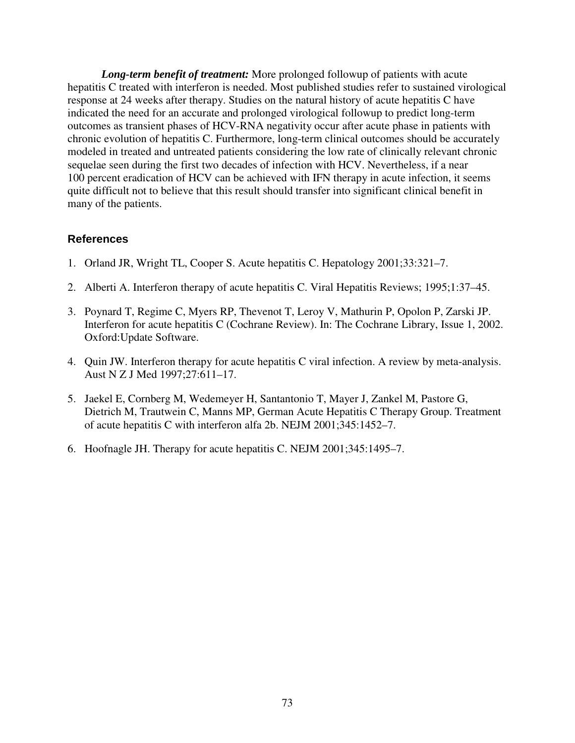*Long-term benefit of treatment:* More prolonged followup of patients with acute hepatitis C treated with interferon is needed. Most published studies refer to sustained virological response at 24 weeks after therapy. Studies on the natural history of acute hepatitis C have indicated the need for an accurate and prolonged virological followup to predict long-term outcomes as transient phases of HCV-RNA negativity occur after acute phase in patients with chronic evolution of hepatitis C. Furthermore, long-term clinical outcomes should be accurately modeled in treated and untreated patients considering the low rate of clinically relevant chronic sequelae seen during the first two decades of infection with HCV. Nevertheless, if a near 100 percent eradication of HCV can be achieved with IFN therapy in acute infection, it seems quite difficult not to believe that this result should transfer into significant clinical benefit in many of the patients.

- 1. Orland JR, Wright TL, Cooper S. Acute hepatitis C. Hepatology 2001;33:321–7.
- 2. Alberti A. Interferon therapy of acute hepatitis C. Viral Hepatitis Reviews; 1995;1:37–45.
- 3. Poynard T, Regime C, Myers RP, Thevenot T, Leroy V, Mathurin P, Opolon P, Zarski JP. Interferon for acute hepatitis C (Cochrane Review). In: The Cochrane Library, Issue 1, 2002. Oxford:Update Software.
- 4. Quin JW. Interferon therapy for acute hepatitis C viral infection. A review by meta-analysis. Aust N Z J Med 1997;27:611–17.
- 5. Jaekel E, Cornberg M, Wedemeyer H, Santantonio T, Mayer J, Zankel M, Pastore G, Dietrich M, Trautwein C, Manns MP, German Acute Hepatitis C Therapy Group. Treatment of acute hepatitis C with interferon alfa 2b. NEJM 2001;345:1452–7.
- 6. Hoofnagle JH. Therapy for acute hepatitis C. NEJM 2001;345:1495–7.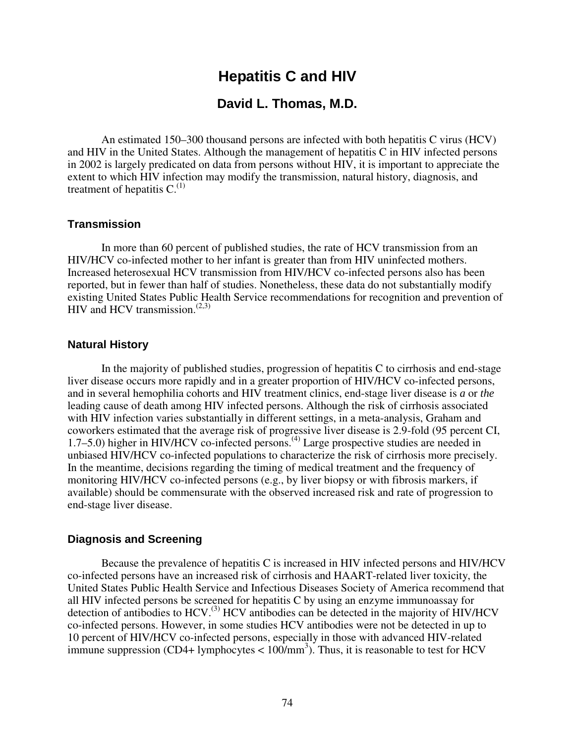# **Hepatitis C and HIV**

# **David L. Thomas, M.D.**

An estimated 150–300 thousand persons are infected with both hepatitis C virus (HCV) and HIV in the United States. Although the management of hepatitis C in HIV infected persons in 2002 is largely predicated on data from persons without HIV, it is important to appreciate the extent to which HIV infection may modify the transmission, natural history, diagnosis, and treatment of hepatitis  $C^{(1)}$ .

### **Transmission**

In more than 60 percent of published studies, the rate of HCV transmission from an HIV/HCV co-infected mother to her infant is greater than from HIV uninfected mothers. Increased heterosexual HCV transmission from HIV/HCV co-infected persons also has been reported, but in fewer than half of studies. Nonetheless, these data do not substantially modify existing United States Public Health Service recommendations for recognition and prevention of HIV and HCV transmission. $(2,3)$ 

#### **Natural History**

In the majority of published studies, progression of hepatitis C to cirrhosis and end-stage liver disease occurs more rapidly and in a greater proportion of HIV/HCV co-infected persons, and in several hemophilia cohorts and HIV treatment clinics, end-stage liver disease is *a* or *the* leading cause of death among HIV infected persons. Although the risk of cirrhosis associated with HIV infection varies substantially in different settings, in a meta-analysis, Graham and coworkers estimated that the average risk of progressive liver disease is 2.9-fold (95 percent CI, 1.7–5.0) higher in HIV/HCV co-infected persons.<sup>(4)</sup> Large prospective studies are needed in unbiased HIV/HCV co-infected populations to characterize the risk of cirrhosis more precisely. In the meantime, decisions regarding the timing of medical treatment and the frequency of monitoring HIV/HCV co-infected persons (e.g., by liver biopsy or with fibrosis markers, if available) should be commensurate with the observed increased risk and rate of progression to end-stage liver disease.

#### **Diagnosis and Screening**

Because the prevalence of hepatitis C is increased in HIV infected persons and HIV/HCV co-infected persons have an increased risk of cirrhosis and HAART-related liver toxicity, the United States Public Health Service and Infectious Diseases Society of America recommend that all HIV infected persons be screened for hepatitis C by using an enzyme immunoassay for detection of antibodies to HCV.<sup>(3)</sup> HCV antibodies can be detected in the majority of HIV/HCV co-infected persons. However, in some studies HCV antibodies were not be detected in up to 10 percent of HIV/HCV co-infected persons, especially in those with advanced HIV-related immune suppression (CD4+ lymphocytes  $< 100/\text{mm}^3$ ). Thus, it is reasonable to test for HCV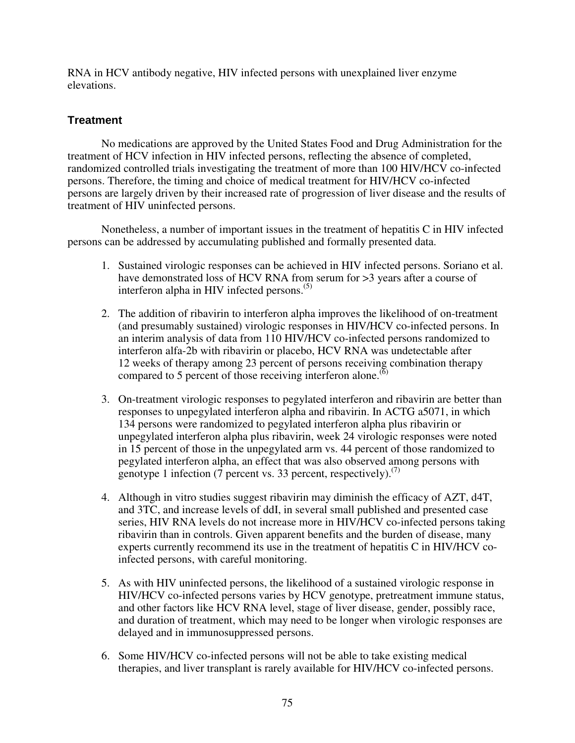RNA in HCV antibody negative, HIV infected persons with unexplained liver enzyme elevations.

## **Treatment**

No medications are approved by the United States Food and Drug Administration for the treatment of HCV infection in HIV infected persons, reflecting the absence of completed, randomized controlled trials investigating the treatment of more than 100 HIV/HCV co-infected persons. Therefore, the timing and choice of medical treatment for HIV/HCV co-infected persons are largely driven by their increased rate of progression of liver disease and the results of treatment of HIV uninfected persons.

Nonetheless, a number of important issues in the treatment of hepatitis C in HIV infected persons can be addressed by accumulating published and formally presented data.

- 1. Sustained virologic responses can be achieved in HIV infected persons. Soriano et al. have demonstrated loss of HCV RNA from serum for >3 years after a course of interferon alpha in HIV infected persons.<sup>(5)</sup>
- 2. The addition of ribavirin to interferon alpha improves the likelihood of on-treatment (and presumably sustained) virologic responses in HIV/HCV co-infected persons. In an interim analysis of data from 110 HIV/HCV co-infected persons randomized to interferon alfa-2b with ribavirin or placebo, HCV RNA was undetectable after 12 weeks of therapy among 23 percent of persons receiving combination therapy compared to 5 percent of those receiving interferon alone.<sup> $(6)$ </sup>
- 3. On-treatment virologic responses to pegylated interferon and ribavirin are better than responses to unpegylated interferon alpha and ribavirin. In ACTG a5071, in which 134 persons were randomized to pegylated interferon alpha plus ribavirin or unpegylated interferon alpha plus ribavirin, week 24 virologic responses were noted in 15 percent of those in the unpegylated arm vs. 44 percent of those randomized to pegylated interferon alpha, an effect that was also observed among persons with genotype 1 infection (7 percent vs. 33 percent, respectively). $(7)$
- 4. Although in vitro studies suggest ribavirin may diminish the efficacy of AZT, d4T, and 3TC, and increase levels of ddI, in several small published and presented case series, HIV RNA levels do not increase more in HIV/HCV co-infected persons taking ribavirin than in controls. Given apparent benefits and the burden of disease, many experts currently recommend its use in the treatment of hepatitis C in HIV/HCV coinfected persons, with careful monitoring.
- 5. As with HIV uninfected persons, the likelihood of a sustained virologic response in HIV/HCV co-infected persons varies by HCV genotype, pretreatment immune status, and other factors like HCV RNA level, stage of liver disease, gender, possibly race, and duration of treatment, which may need to be longer when virologic responses are delayed and in immunosuppressed persons.
- 6. Some HIV/HCV co-infected persons will not be able to take existing medical therapies, and liver transplant is rarely available for HIV/HCV co-infected persons.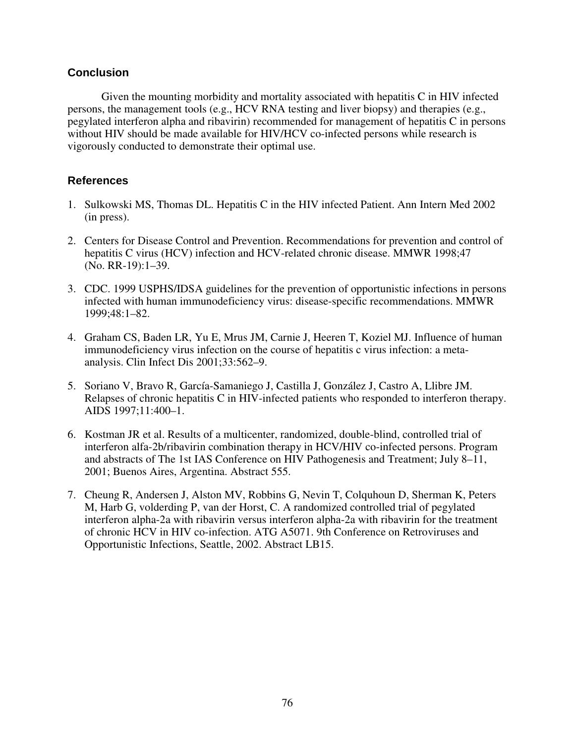## **Conclusion**

Given the mounting morbidity and mortality associated with hepatitis C in HIV infected persons, the management tools (e.g., HCV RNA testing and liver biopsy) and therapies (e.g., pegylated interferon alpha and ribavirin) recommended for management of hepatitis C in persons without HIV should be made available for HIV/HCV co-infected persons while research is vigorously conducted to demonstrate their optimal use.

- 1. Sulkowski MS, Thomas DL. Hepatitis C in the HIV infected Patient. Ann Intern Med 2002 (in press).
- 2. Centers for Disease Control and Prevention. Recommendations for prevention and control of hepatitis C virus (HCV) infection and HCV-related chronic disease. MMWR 1998;47 (No. RR-19):1–39.
- 3. CDC. 1999 USPHS/IDSA guidelines for the prevention of opportunistic infections in persons infected with human immunodeficiency virus: disease-specific recommendations. MMWR 1999;48:1–82.
- 4. Graham CS, Baden LR, Yu E, Mrus JM, Carnie J, Heeren T, Koziel MJ. Influence of human immunodeficiency virus infection on the course of hepatitis c virus infection: a metaanalysis. Clin Infect Dis 2001;33:562–9.
- 5. Soriano V, Bravo R, García-Samaniego J, Castilla J, González J, Castro A, Llibre JM. Relapses of chronic hepatitis C in HIV-infected patients who responded to interferon therapy. AIDS 1997;11:400–1.
- 6. Kostman JR et al. Results of a multicenter, randomized, double-blind, controlled trial of interferon alfa-2b/ribavirin combination therapy in HCV/HIV co-infected persons. Program and abstracts of The 1st IAS Conference on HIV Pathogenesis and Treatment; July 8–11, 2001; Buenos Aires, Argentina. Abstract 555.
- 7. Cheung R, Andersen J, Alston MV, Robbins G, Nevin T, Colquhoun D, Sherman K, Peters M, Harb G, volderding P, van der Horst, C. A randomized controlled trial of pegylated interferon alpha-2a with ribavirin versus interferon alpha-2a with ribavirin for the treatment of chronic HCV in HIV co-infection. ATG A5071. 9th Conference on Retroviruses and Opportunistic Infections, Seattle, 2002. Abstract LB15.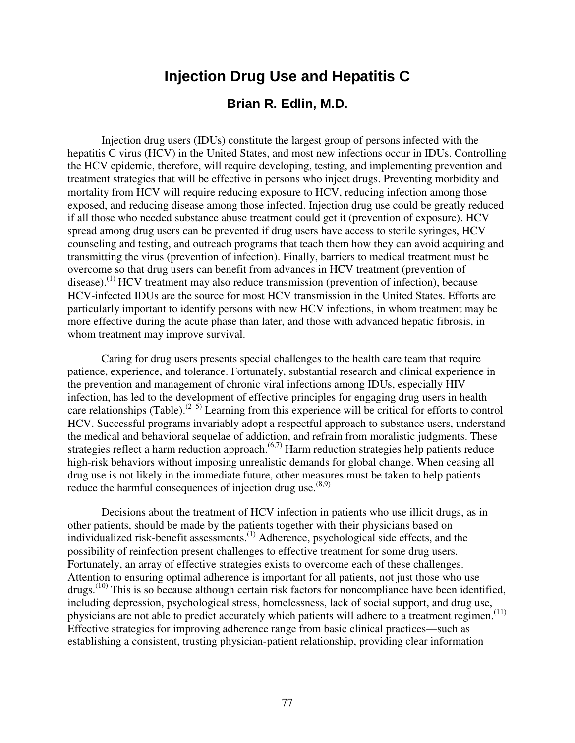# **Injection Drug Use and Hepatitis C**

# **Brian R. Edlin, M.D.**

Injection drug users (IDUs) constitute the largest group of persons infected with the hepatitis C virus (HCV) in the United States, and most new infections occur in IDUs. Controlling the HCV epidemic, therefore, will require developing, testing, and implementing prevention and treatment strategies that will be effective in persons who inject drugs. Preventing morbidity and mortality from HCV will require reducing exposure to HCV, reducing infection among those exposed, and reducing disease among those infected. Injection drug use could be greatly reduced if all those who needed substance abuse treatment could get it (prevention of exposure). HCV spread among drug users can be prevented if drug users have access to sterile syringes, HCV counseling and testing, and outreach programs that teach them how they can avoid acquiring and transmitting the virus (prevention of infection). Finally, barriers to medical treatment must be overcome so that drug users can benefit from advances in HCV treatment (prevention of disease).<sup>(1)</sup> HCV treatment may also reduce transmission (prevention of infection), because HCV-infected IDUs are the source for most HCV transmission in the United States. Efforts are particularly important to identify persons with new HCV infections, in whom treatment may be more effective during the acute phase than later, and those with advanced hepatic fibrosis, in whom treatment may improve survival.

Caring for drug users presents special challenges to the health care team that require patience, experience, and tolerance. Fortunately, substantial research and clinical experience in the prevention and management of chronic viral infections among IDUs, especially HIV infection, has led to the development of effective principles for engaging drug users in health care relationships (Table).<sup>(2–5)</sup> Learning from this experience will be critical for efforts to control HCV. Successful programs invariably adopt a respectful approach to substance users, understand the medical and behavioral sequelae of addiction, and refrain from moralistic judgments. These strategies reflect a harm reduction approach.<sup> $(6,7)$ </sup> Harm reduction strategies help patients reduce high-risk behaviors without imposing unrealistic demands for global change. When ceasing all drug use is not likely in the immediate future, other measures must be taken to help patients reduce the harmful consequences of injection drug use.  $(8,9)$ 

Decisions about the treatment of HCV infection in patients who use illicit drugs, as in other patients, should be made by the patients together with their physicians based on individualized risk-benefit assessments.<sup>(1)</sup> Adherence, psychological side effects, and the possibility of reinfection present challenges to effective treatment for some drug users. Fortunately, an array of effective strategies exists to overcome each of these challenges. Attention to ensuring optimal adherence is important for all patients, not just those who use drugs.<sup>(10)</sup> This is so because although certain risk factors for noncompliance have been identified, including depression, psychological stress, homelessness, lack of social support, and drug use, physicians are not able to predict accurately which patients will adhere to a treatment regimen.<sup>(11)</sup> Effective strategies for improving adherence range from basic clinical practices—such as establishing a consistent, trusting physician-patient relationship, providing clear information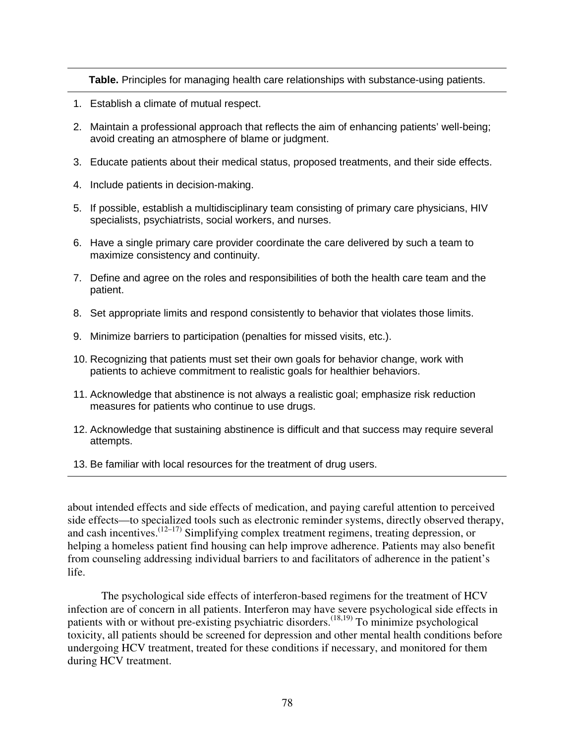**Table.** Principles for managing health care relationships with substance-using patients.

- 1. Establish a climate of mutual respect.
- 2. Maintain a professional approach that reflects the aim of enhancing patients' well-being; avoid creating an atmosphere of blame or judgment.
- 3. Educate patients about their medical status, proposed treatments, and their side effects.
- 4. Include patients in decision-making.
- 5. If possible, establish a multidisciplinary team consisting of primary care physicians, HIV specialists, psychiatrists, social workers, and nurses.
- 6. Have a single primary care provider coordinate the care delivered by such a team to maximize consistency and continuity.
- 7. Define and agree on the roles and responsibilities of both the health care team and the patient.
- 8. Set appropriate limits and respond consistently to behavior that violates those limits.
- 9. Minimize barriers to participation (penalties for missed visits, etc.).
- 10. Recognizing that patients must set their own goals for behavior change, work with patients to achieve commitment to realistic goals for healthier behaviors.
- 11. Acknowledge that abstinence is not always a realistic goal; emphasize risk reduction measures for patients who continue to use drugs.
- 12. Acknowledge that sustaining abstinence is difficult and that success may require several attempts.
- 13. Be familiar with local resources for the treatment of drug users.

about intended effects and side effects of medication, and paying careful attention to perceived side effects—to specialized tools such as electronic reminder systems, directly observed therapy, and cash incentives.  $(12-17)$  Simplifying complex treatment regimens, treating depression, or helping a homeless patient find housing can help improve adherence. Patients may also benefit from counseling addressing individual barriers to and facilitators of adherence in the patient's life.

The psychological side effects of interferon-based regimens for the treatment of HCV infection are of concern in all patients. Interferon may have severe psychological side effects in patients with or without pre-existing psychiatric disorders.<sup> $(18,19)$ </sup> To minimize psychological toxicity, all patients should be screened for depression and other mental health conditions before undergoing HCV treatment, treated for these conditions if necessary, and monitored for them during HCV treatment.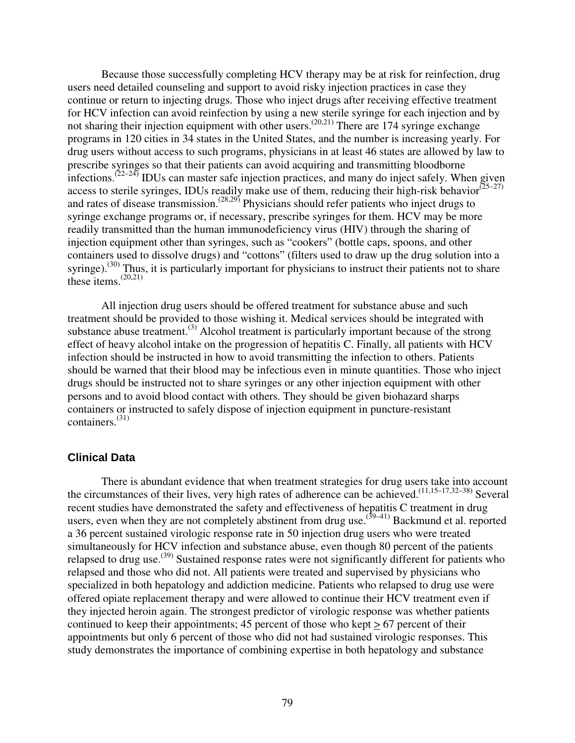Because those successfully completing HCV therapy may be at risk for reinfection, drug users need detailed counseling and support to avoid risky injection practices in case they continue or return to injecting drugs. Those who inject drugs after receiving effective treatment for HCV infection can avoid reinfection by using a new sterile syringe for each injection and by not sharing their injection equipment with other users.<sup> $(20,21)$ </sup> There are 174 syringe exchange programs in 120 cities in 34 states in the United States, and the number is increasing yearly. For drug users without access to such programs, physicians in at least 46 states are allowed by law to prescribe syringes so that their patients can avoid acquiring and transmitting bloodborne infections.<sup> $(22-24)$ </sup> IDUs can master safe injection practices, and many do inject safely. When given access to sterile syringes, IDUs readily make use of them, reducing their high-risk behavior $(25-27)$ and rates of disease transmission.<sup> $(28,29)$ </sup> Physicians should refer patients who inject drugs to syringe exchange programs or, if necessary, prescribe syringes for them. HCV may be more readily transmitted than the human immunodeficiency virus (HIV) through the sharing of injection equipment other than syringes, such as "cookers" (bottle caps, spoons, and other containers used to dissolve drugs) and "cottons" (filters used to draw up the drug solution into a syringe).<sup>(30)</sup> Thus, it is particularly important for physicians to instruct their patients not to share these items. $^{(20,21)}$ 

All injection drug users should be offered treatment for substance abuse and such treatment should be provided to those wishing it. Medical services should be integrated with substance abuse treatment.<sup>(3)</sup> Alcohol treatment is particularly important because of the strong effect of heavy alcohol intake on the progression of hepatitis C. Finally, all patients with HCV infection should be instructed in how to avoid transmitting the infection to others. Patients should be warned that their blood may be infectious even in minute quantities. Those who inject drugs should be instructed not to share syringes or any other injection equipment with other persons and to avoid blood contact with others. They should be given biohazard sharps containers or instructed to safely dispose of injection equipment in puncture-resistant containers.(31)

### **Clinical Data**

There is abundant evidence that when treatment strategies for drug users take into account the circumstances of their lives, very high rates of adherence can be achieved.(11,15–17,32–38) Several recent studies have demonstrated the safety and effectiveness of hepatitis C treatment in drug users, even when they are not completely abstinent from drug use.<sup> $(39-41)$ </sup> Backmund et al. reported a 36 percent sustained virologic response rate in 50 injection drug users who were treated simultaneously for HCV infection and substance abuse, even though 80 percent of the patients relapsed to drug use.<sup>(39)</sup> Sustained response rates were not significantly different for patients who relapsed and those who did not. All patients were treated and supervised by physicians who specialized in both hepatology and addiction medicine. Patients who relapsed to drug use were offered opiate replacement therapy and were allowed to continue their HCV treatment even if they injected heroin again. The strongest predictor of virologic response was whether patients continued to keep their appointments; 45 percent of those who kept > 67 percent of their appointments but only 6 percent of those who did not had sustained virologic responses. This study demonstrates the importance of combining expertise in both hepatology and substance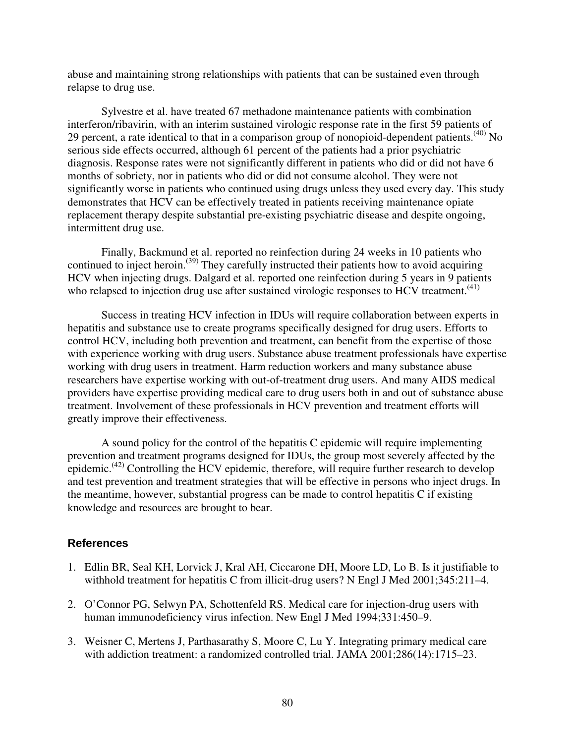abuse and maintaining strong relationships with patients that can be sustained even through relapse to drug use.

Sylvestre et al. have treated 67 methadone maintenance patients with combination interferon/ribavirin, with an interim sustained virologic response rate in the first 59 patients of 29 percent, a rate identical to that in a comparison group of nonopioid-dependent patients.<sup> $(40)$ </sup> No serious side effects occurred, although 61 percent of the patients had a prior psychiatric diagnosis. Response rates were not significantly different in patients who did or did not have 6 months of sobriety, nor in patients who did or did not consume alcohol. They were not significantly worse in patients who continued using drugs unless they used every day. This study demonstrates that HCV can be effectively treated in patients receiving maintenance opiate replacement therapy despite substantial pre-existing psychiatric disease and despite ongoing, intermittent drug use.

Finally, Backmund et al. reported no reinfection during 24 weeks in 10 patients who continued to inject heroin.<sup>(39)</sup> They carefully instructed their patients how to avoid acquiring HCV when injecting drugs. Dalgard et al. reported one reinfection during 5 years in 9 patients who relapsed to injection drug use after sustained virologic responses to HCV treatment.<sup> $(41)$ </sup>

Success in treating HCV infection in IDUs will require collaboration between experts in hepatitis and substance use to create programs specifically designed for drug users. Efforts to control HCV, including both prevention and treatment, can benefit from the expertise of those with experience working with drug users. Substance abuse treatment professionals have expertise working with drug users in treatment. Harm reduction workers and many substance abuse researchers have expertise working with out-of-treatment drug users. And many AIDS medical providers have expertise providing medical care to drug users both in and out of substance abuse treatment. Involvement of these professionals in HCV prevention and treatment efforts will greatly improve their effectiveness.

A sound policy for the control of the hepatitis C epidemic will require implementing prevention and treatment programs designed for IDUs, the group most severely affected by the epidemic.<sup>(42)</sup> Controlling the HCV epidemic, therefore, will require further research to develop and test prevention and treatment strategies that will be effective in persons who inject drugs. In the meantime, however, substantial progress can be made to control hepatitis C if existing knowledge and resources are brought to bear.

- 1. Edlin BR, Seal KH, Lorvick J, Kral AH, Ciccarone DH, Moore LD, Lo B. Is it justifiable to withhold treatment for hepatitis C from illicit-drug users? N Engl J Med 2001;345:211-4.
- 2. O'Connor PG, Selwyn PA, Schottenfeld RS. Medical care for injection-drug users with human immunodeficiency virus infection. New Engl J Med 1994;331:450–9.
- 3. Weisner C, Mertens J, Parthasarathy S, Moore C, Lu Y. Integrating primary medical care with addiction treatment: a randomized controlled trial. JAMA 2001;286(14):1715–23.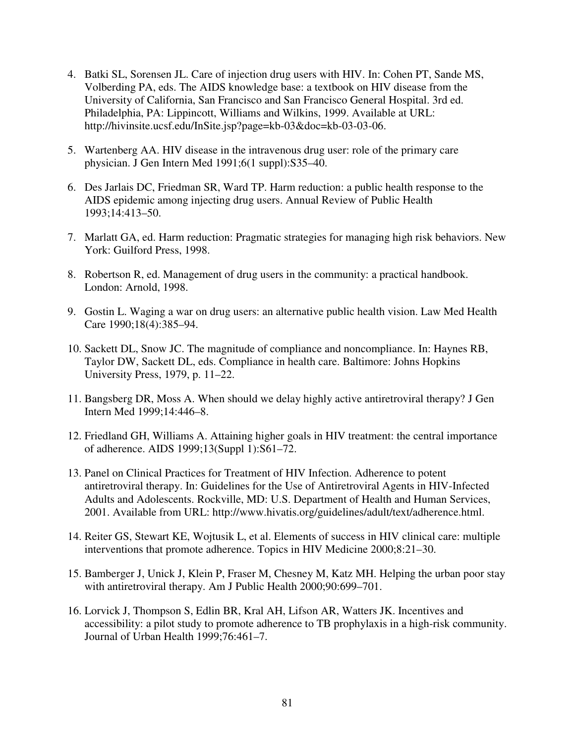- 4. Batki SL, Sorensen JL. Care of injection drug users with HIV. In: Cohen PT, Sande MS, Volberding PA, eds. The AIDS knowledge base: a textbook on HIV disease from the University of California, San Francisco and San Francisco General Hospital. 3rd ed. Philadelphia, PA: Lippincott, Williams and Wilkins, 1999. Available at URL: http://hivinsite.ucsf.edu/InSite.jsp?page=kb-03&doc=kb-03-03-06.
- 5. Wartenberg AA. HIV disease in the intravenous drug user: role of the primary care physician. J Gen Intern Med 1991;6(1 suppl):S35–40.
- 6. Des Jarlais DC, Friedman SR, Ward TP. Harm reduction: a public health response to the AIDS epidemic among injecting drug users. Annual Review of Public Health 1993;14:413–50.
- 7. Marlatt GA, ed. Harm reduction: Pragmatic strategies for managing high risk behaviors. New York: Guilford Press, 1998.
- 8. Robertson R, ed. Management of drug users in the community: a practical handbook. London: Arnold, 1998.
- 9. Gostin L. Waging a war on drug users: an alternative public health vision. Law Med Health Care 1990;18(4):385–94.
- 10. Sackett DL, Snow JC. The magnitude of compliance and noncompliance. In: Haynes RB, Taylor DW, Sackett DL, eds. Compliance in health care. Baltimore: Johns Hopkins University Press, 1979, p. 11–22.
- 11. Bangsberg DR, Moss A. When should we delay highly active antiretroviral therapy? J Gen Intern Med 1999;14:446–8.
- 12. Friedland GH, Williams A. Attaining higher goals in HIV treatment: the central importance of adherence. AIDS 1999;13(Suppl 1):S61–72.
- 13. Panel on Clinical Practices for Treatment of HIV Infection. Adherence to potent antiretroviral therapy. In: Guidelines for the Use of Antiretroviral Agents in HIV-Infected Adults and Adolescents. Rockville, MD: U.S. Department of Health and Human Services, 2001. Available from URL: http://www.hivatis.org/guidelines/adult/text/adherence.html.
- 14. Reiter GS, Stewart KE, Wojtusik L, et al. Elements of success in HIV clinical care: multiple interventions that promote adherence. Topics in HIV Medicine 2000;8:21–30.
- 15. Bamberger J, Unick J, Klein P, Fraser M, Chesney M, Katz MH. Helping the urban poor stay with antiretroviral therapy. Am J Public Health 2000;90:699–701.
- 16. Lorvick J, Thompson S, Edlin BR, Kral AH, Lifson AR, Watters JK. Incentives and accessibility: a pilot study to promote adherence to TB prophylaxis in a high-risk community. Journal of Urban Health 1999;76:461–7.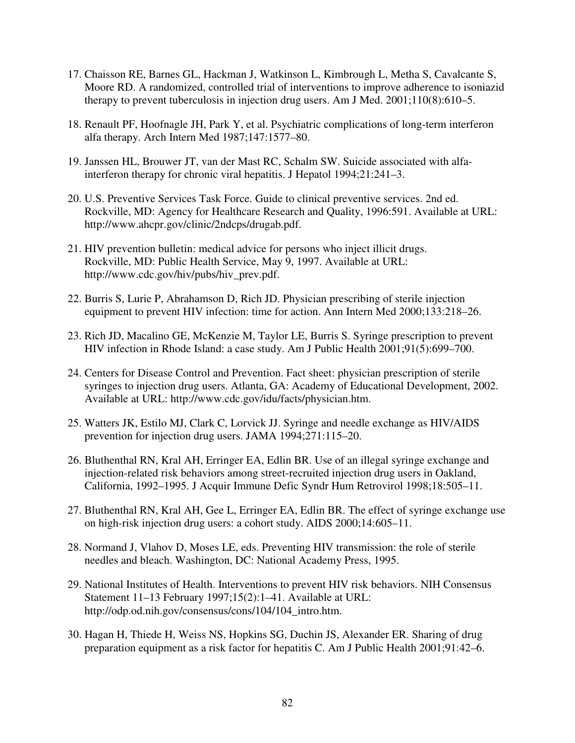- 17. Chaisson RE, Barnes GL, Hackman J, Watkinson L, Kimbrough L, Metha S, Cavalcante S, Moore RD. A randomized, controlled trial of interventions to improve adherence to isoniazid therapy to prevent tuberculosis in injection drug users. Am J Med. 2001;110(8):610–5.
- 18. Renault PF, Hoofnagle JH, Park Y, et al. Psychiatric complications of long-term interferon alfa therapy. Arch Intern Med 1987;147:1577–80.
- 19. Janssen HL, Brouwer JT, van der Mast RC, Schalm SW. Suicide associated with alfainterferon therapy for chronic viral hepatitis. J Hepatol 1994;21:241–3.
- 20. U.S. Preventive Services Task Force. Guide to clinical preventive services. 2nd ed. Rockville, MD: Agency for Healthcare Research and Quality, 1996:591. Available at URL: http://www.ahcpr.gov/clinic/2ndcps/drugab.pdf.
- 21. HIV prevention bulletin: medical advice for persons who inject illicit drugs. Rockville, MD: Public Health Service, May 9, 1997. Available at URL: http://www.cdc.gov/hiv/pubs/hiv\_prev.pdf.
- 22. Burris S, Lurie P, Abrahamson D, Rich JD. Physician prescribing of sterile injection equipment to prevent HIV infection: time for action. Ann Intern Med 2000;133:218–26.
- 23. Rich JD, Macalino GE, McKenzie M, Taylor LE, Burris S. Syringe prescription to prevent HIV infection in Rhode Island: a case study. Am J Public Health 2001;91(5):699–700.
- 24. Centers for Disease Control and Prevention. Fact sheet: physician prescription of sterile syringes to injection drug users. Atlanta, GA: Academy of Educational Development, 2002. Available at URL: http://www.cdc.gov/idu/facts/physician.htm.
- 25. Watters JK, Estilo MJ, Clark C, Lorvick JJ. Syringe and needle exchange as HIV/AIDS prevention for injection drug users. JAMA 1994;271:115–20.
- 26. Bluthenthal RN, Kral AH, Erringer EA, Edlin BR. Use of an illegal syringe exchange and injection-related risk behaviors among street-recruited injection drug users in Oakland, California, 1992–1995. J Acquir Immune Defic Syndr Hum Retrovirol 1998;18:505–11.
- 27. Bluthenthal RN, Kral AH, Gee L, Erringer EA, Edlin BR. The effect of syringe exchange use on high-risk injection drug users: a cohort study. AIDS 2000;14:605–11.
- 28. Normand J, Vlahov D, Moses LE, eds. Preventing HIV transmission: the role of sterile needles and bleach. Washington, DC: National Academy Press, 1995.
- 29. National Institutes of Health. Interventions to prevent HIV risk behaviors. NIH Consensus Statement 11–13 February 1997;15(2):1–41. Available at URL: http://odp.od.nih.gov/consensus/cons/104/104\_intro.htm.
- 30. Hagan H, Thiede H, Weiss NS, Hopkins SG, Duchin JS, Alexander ER. Sharing of drug preparation equipment as a risk factor for hepatitis C. Am J Public Health 2001;91:42–6.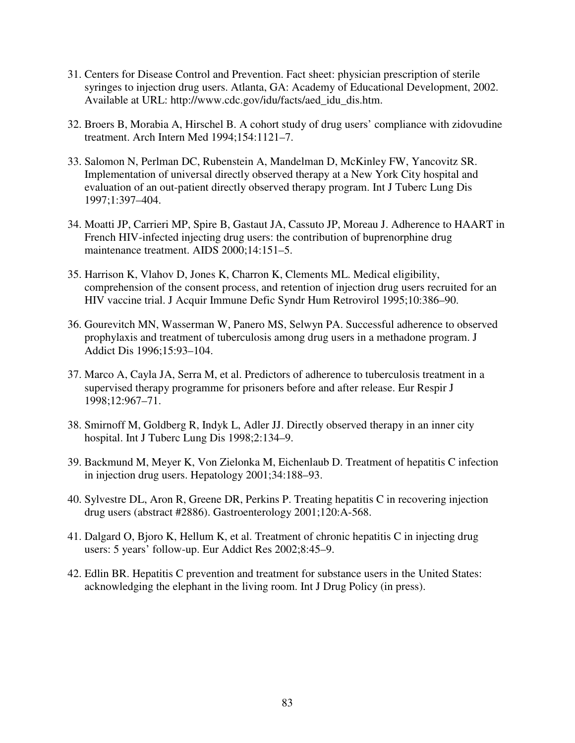- 31. Centers for Disease Control and Prevention. Fact sheet: physician prescription of sterile syringes to injection drug users. Atlanta, GA: Academy of Educational Development, 2002. Available at URL: http://www.cdc.gov/idu/facts/aed\_idu\_dis.htm.
- 32. Broers B, Morabia A, Hirschel B. A cohort study of drug users' compliance with zidovudine treatment. Arch Intern Med 1994;154:1121–7.
- 33. Salomon N, Perlman DC, Rubenstein A, Mandelman D, McKinley FW, Yancovitz SR. Implementation of universal directly observed therapy at a New York City hospital and evaluation of an out-patient directly observed therapy program. Int J Tuberc Lung Dis 1997;1:397–404.
- 34. Moatti JP, Carrieri MP, Spire B, Gastaut JA, Cassuto JP, Moreau J. Adherence to HAART in French HIV-infected injecting drug users: the contribution of buprenorphine drug maintenance treatment. AIDS 2000;14:151–5.
- 35. Harrison K, Vlahov D, Jones K, Charron K, Clements ML. Medical eligibility, comprehension of the consent process, and retention of injection drug users recruited for an HIV vaccine trial. J Acquir Immune Defic Syndr Hum Retrovirol 1995;10:386–90.
- 36. Gourevitch MN, Wasserman W, Panero MS, Selwyn PA. Successful adherence to observed prophylaxis and treatment of tuberculosis among drug users in a methadone program. J Addict Dis 1996;15:93–104.
- 37. Marco A, Cayla JA, Serra M, et al. Predictors of adherence to tuberculosis treatment in a supervised therapy programme for prisoners before and after release. Eur Respir J 1998;12:967–71.
- 38. Smirnoff M, Goldberg R, Indyk L, Adler JJ. Directly observed therapy in an inner city hospital. Int J Tuberc Lung Dis 1998;2:134–9.
- 39. Backmund M, Meyer K, Von Zielonka M, Eichenlaub D. Treatment of hepatitis C infection in injection drug users. Hepatology 2001;34:188–93.
- 40. Sylvestre DL, Aron R, Greene DR, Perkins P. Treating hepatitis C in recovering injection drug users (abstract #2886). Gastroenterology 2001;120:A-568.
- 41. Dalgard O, Bjoro K, Hellum K, et al. Treatment of chronic hepatitis C in injecting drug users: 5 years' follow-up. Eur Addict Res 2002;8:45–9.
- 42. Edlin BR. Hepatitis C prevention and treatment for substance users in the United States: acknowledging the elephant in the living room. Int J Drug Policy (in press).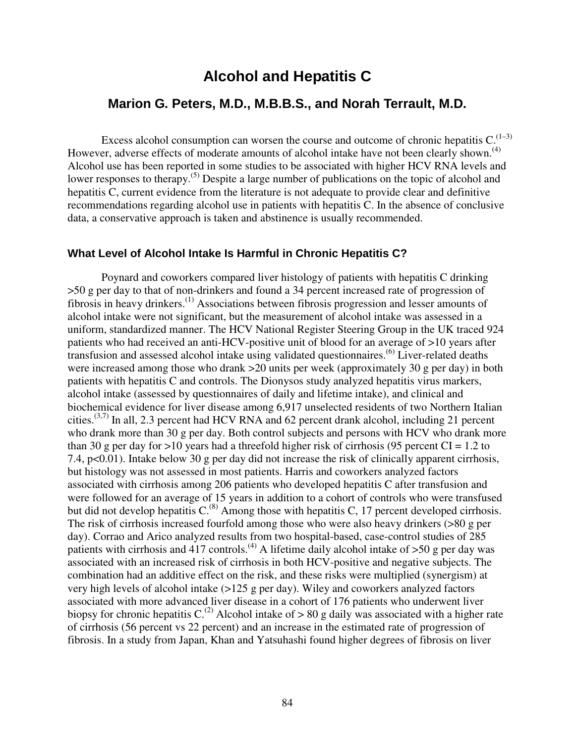# **Alcohol and Hepatitis C**

## **Marion G. Peters, M.D., M.B.B.S., and Norah Terrault, M.D.**

Excess alcohol consumption can worsen the course and outcome of chronic hepatitis  $C^{(1-3)}$ . However, adverse effects of moderate amounts of alcohol intake have not been clearly shown.<sup>(4)</sup> Alcohol use has been reported in some studies to be associated with higher HCV RNA levels and lower responses to therapy.<sup>(5)</sup> Despite a large number of publications on the topic of alcohol and hepatitis C, current evidence from the literature is not adequate to provide clear and definitive recommendations regarding alcohol use in patients with hepatitis C. In the absence of conclusive data, a conservative approach is taken and abstinence is usually recommended.

#### **What Level of Alcohol Intake Is Harmful in Chronic Hepatitis C?**

Poynard and coworkers compared liver histology of patients with hepatitis C drinking >50 g per day to that of non-drinkers and found a 34 percent increased rate of progression of fibrosis in heavy drinkers.<sup>(1)</sup> Associations between fibrosis progression and lesser amounts of alcohol intake were not significant, but the measurement of alcohol intake was assessed in a uniform, standardized manner. The HCV National Register Steering Group in the UK traced 924 patients who had received an anti-HCV-positive unit of blood for an average of >10 years after transfusion and assessed alcohol intake using validated questionnaires.<sup>(6)</sup> Liver-related deaths were increased among those who drank >20 units per week (approximately 30 g per day) in both patients with hepatitis C and controls. The Dionysos study analyzed hepatitis virus markers, alcohol intake (assessed by questionnaires of daily and lifetime intake), and clinical and biochemical evidence for liver disease among 6,917 unselected residents of two Northern Italian cities.<sup> $(3,7)$ </sup> In all, 2.3 percent had HCV RNA and 62 percent drank alcohol, including 21 percent who drank more than 30 g per day. Both control subjects and persons with HCV who drank more than 30 g per day for  $>10$  years had a threefold higher risk of cirrhosis (95 percent CI = 1.2 to 7.4, p<0.01). Intake below 30 g per day did not increase the risk of clinically apparent cirrhosis, but histology was not assessed in most patients. Harris and coworkers analyzed factors associated with cirrhosis among 206 patients who developed hepatitis C after transfusion and were followed for an average of 15 years in addition to a cohort of controls who were transfused but did not develop hepatitis  $C^{(8)}$ . Among those with hepatitis C, 17 percent developed cirrhosis. The risk of cirrhosis increased fourfold among those who were also heavy drinkers (>80 g per day). Corrao and Arico analyzed results from two hospital-based, case-control studies of 285 patients with cirrhosis and 417 controls.<sup>(4)</sup> A lifetime daily alcohol intake of  $>50$  g per day was associated with an increased risk of cirrhosis in both HCV-positive and negative subjects. The combination had an additive effect on the risk, and these risks were multiplied (synergism) at very high levels of alcohol intake (>125 g per day). Wiley and coworkers analyzed factors associated with more advanced liver disease in a cohort of 176 patients who underwent liver biopsy for chronic hepatitis C.<sup>(2)</sup> Alcohol intake of  $> 80$  g daily was associated with a higher rate of cirrhosis (56 percent vs 22 percent) and an increase in the estimated rate of progression of fibrosis. In a study from Japan, Khan and Yatsuhashi found higher degrees of fibrosis on liver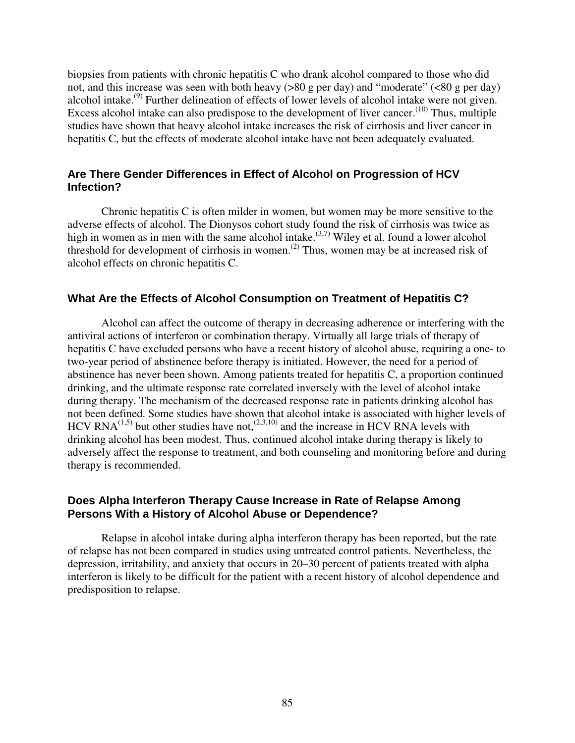biopsies from patients with chronic hepatitis C who drank alcohol compared to those who did not, and this increase was seen with both heavy ( $>80$  g per day) and "moderate" ( $< 80$  g per day) alcohol intake.<sup>(9)</sup> Further delineation of effects of lower levels of alcohol intake were not given. Excess alcohol intake can also predispose to the development of liver cancer.<sup> $(10)$ </sup> Thus, multiple studies have shown that heavy alcohol intake increases the risk of cirrhosis and liver cancer in hepatitis C, but the effects of moderate alcohol intake have not been adequately evaluated.

## **Are There Gender Differences in Effect of Alcohol on Progression of HCV Infection?**

Chronic hepatitis C is often milder in women, but women may be more sensitive to the adverse effects of alcohol. The Dionysos cohort study found the risk of cirrhosis was twice as high in women as in men with the same alcohol intake.<sup> $(3,7)$ </sup> Wiley et al. found a lower alcohol threshold for development of cirrhosis in women.<sup>(2)</sup> Thus, women may be at increased risk of alcohol effects on chronic hepatitis C.

### **What Are the Effects of Alcohol Consumption on Treatment of Hepatitis C?**

Alcohol can affect the outcome of therapy in decreasing adherence or interfering with the antiviral actions of interferon or combination therapy. Virtually all large trials of therapy of hepatitis C have excluded persons who have a recent history of alcohol abuse, requiring a one- to two-year period of abstinence before therapy is initiated. However, the need for a period of abstinence has never been shown. Among patients treated for hepatitis C, a proportion continued drinking, and the ultimate response rate correlated inversely with the level of alcohol intake during therapy. The mechanism of the decreased response rate in patients drinking alcohol has not been defined. Some studies have shown that alcohol intake is associated with higher levels of HCV RNA $^{(1,5)}$  but other studies have not,<sup> $^{(2,3,10)}$ </sup> and the increase in HCV RNA levels with drinking alcohol has been modest. Thus, continued alcohol intake during therapy is likely to adversely affect the response to treatment, and both counseling and monitoring before and during therapy is recommended.

### **Does Alpha Interferon Therapy Cause Increase in Rate of Relapse Among Persons With a History of Alcohol Abuse or Dependence?**

Relapse in alcohol intake during alpha interferon therapy has been reported, but the rate of relapse has not been compared in studies using untreated control patients. Nevertheless, the depression, irritability, and anxiety that occurs in 20–30 percent of patients treated with alpha interferon is likely to be difficult for the patient with a recent history of alcohol dependence and predisposition to relapse.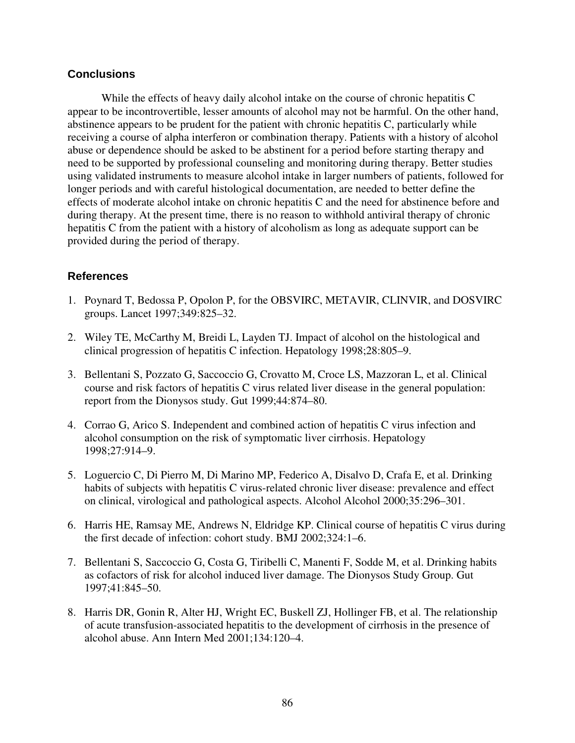## **Conclusions**

While the effects of heavy daily alcohol intake on the course of chronic hepatitis C appear to be incontrovertible, lesser amounts of alcohol may not be harmful. On the other hand, abstinence appears to be prudent for the patient with chronic hepatitis C, particularly while receiving a course of alpha interferon or combination therapy. Patients with a history of alcohol abuse or dependence should be asked to be abstinent for a period before starting therapy and need to be supported by professional counseling and monitoring during therapy. Better studies using validated instruments to measure alcohol intake in larger numbers of patients, followed for longer periods and with careful histological documentation, are needed to better define the effects of moderate alcohol intake on chronic hepatitis C and the need for abstinence before and during therapy. At the present time, there is no reason to withhold antiviral therapy of chronic hepatitis C from the patient with a history of alcoholism as long as adequate support can be provided during the period of therapy.

- 1. Poynard T, Bedossa P, Opolon P, for the OBSVIRC, METAVIR, CLINVIR, and DOSVIRC groups. Lancet 1997;349:825–32.
- 2. Wiley TE, McCarthy M, Breidi L, Layden TJ. Impact of alcohol on the histological and clinical progression of hepatitis C infection. Hepatology 1998;28:805–9.
- 3. Bellentani S, Pozzato G, Saccoccio G, Crovatto M, Croce LS, Mazzoran L, et al. Clinical course and risk factors of hepatitis C virus related liver disease in the general population: report from the Dionysos study. Gut 1999;44:874–80.
- 4. Corrao G, Arico S. Independent and combined action of hepatitis C virus infection and alcohol consumption on the risk of symptomatic liver cirrhosis. Hepatology 1998;27:914–9.
- 5. Loguercio C, Di Pierro M, Di Marino MP, Federico A, Disalvo D, Crafa E, et al. Drinking habits of subjects with hepatitis C virus-related chronic liver disease: prevalence and effect on clinical, virological and pathological aspects. Alcohol Alcohol 2000;35:296–301.
- 6. Harris HE, Ramsay ME, Andrews N, Eldridge KP. Clinical course of hepatitis C virus during the first decade of infection: cohort study. BMJ 2002;324:1–6.
- 7. Bellentani S, Saccoccio G, Costa G, Tiribelli C, Manenti F, Sodde M, et al. Drinking habits as cofactors of risk for alcohol induced liver damage. The Dionysos Study Group. Gut 1997;41:845–50.
- 8. Harris DR, Gonin R, Alter HJ, Wright EC, Buskell ZJ, Hollinger FB, et al. The relationship of acute transfusion-associated hepatitis to the development of cirrhosis in the presence of alcohol abuse. Ann Intern Med 2001;134:120–4.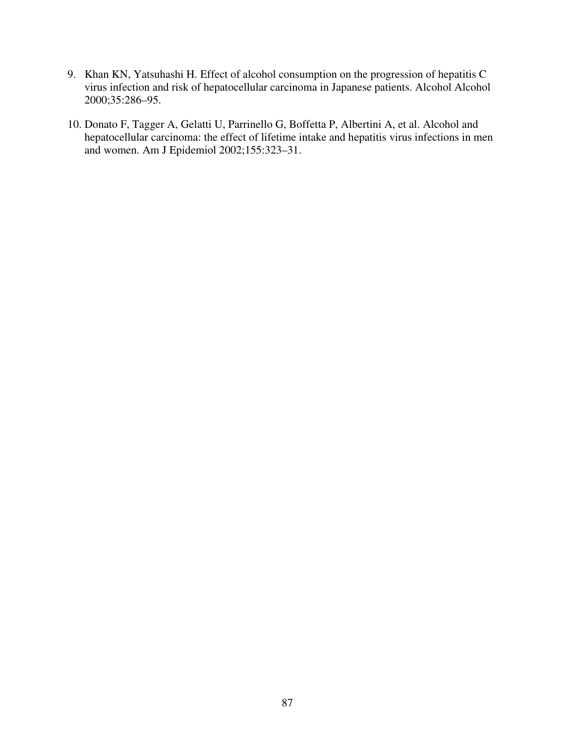- 9. Khan KN, Yatsuhashi H. Effect of alcohol consumption on the progression of hepatitis C virus infection and risk of hepatocellular carcinoma in Japanese patients. Alcohol Alcohol 2000;35:286–95.
- 10. Donato F, Tagger A, Gelatti U, Parrinello G, Boffetta P, Albertini A, et al. Alcohol and hepatocellular carcinoma: the effect of lifetime intake and hepatitis virus infections in men and women. Am J Epidemiol 2002;155:323–31.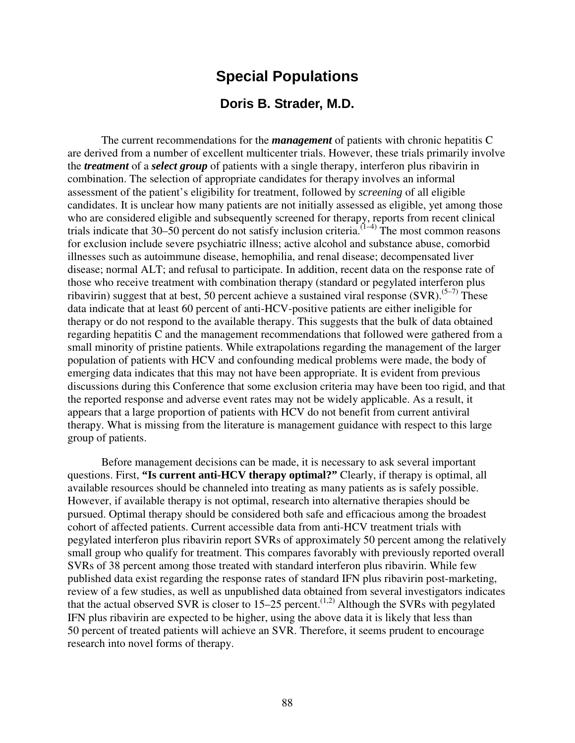# **Special Populations**

# **Doris B. Strader, M.D.**

The current recommendations for the *management* of patients with chronic hepatitis C are derived from a number of excellent multicenter trials. However, these trials primarily involve the *treatment* of a *select group* of patients with a single therapy, interferon plus ribavirin in combination. The selection of appropriate candidates for therapy involves an informal assessment of the patient's eligibility for treatment, followed by *screening* of all eligible candidates. It is unclear how many patients are not initially assessed as eligible, yet among those who are considered eligible and subsequently screened for therapy, reports from recent clinical trials indicate that 30–50 percent do not satisfy inclusion criteria.<sup> $(1-4)$ </sup> The most common reasons for exclusion include severe psychiatric illness; active alcohol and substance abuse, comorbid illnesses such as autoimmune disease, hemophilia, and renal disease; decompensated liver disease; normal ALT; and refusal to participate. In addition, recent data on the response rate of those who receive treatment with combination therapy (standard or pegylated interferon plus ribavirin) suggest that at best, 50 percent achieve a sustained viral response  $(SVR)$ .<sup>(5–7)</sup> These data indicate that at least 60 percent of anti-HCV-positive patients are either ineligible for therapy or do not respond to the available therapy. This suggests that the bulk of data obtained regarding hepatitis C and the management recommendations that followed were gathered from a small minority of pristine patients. While extrapolations regarding the management of the larger population of patients with HCV and confounding medical problems were made, the body of emerging data indicates that this may not have been appropriate. It is evident from previous discussions during this Conference that some exclusion criteria may have been too rigid, and that the reported response and adverse event rates may not be widely applicable. As a result, it appears that a large proportion of patients with HCV do not benefit from current antiviral therapy. What is missing from the literature is management guidance with respect to this large group of patients.

Before management decisions can be made, it is necessary to ask several important questions. First, **"Is current anti-HCV therapy optimal?"** Clearly, if therapy is optimal, all available resources should be channeled into treating as many patients as is safely possible. However, if available therapy is not optimal, research into alternative therapies should be pursued. Optimal therapy should be considered both safe and efficacious among the broadest cohort of affected patients. Current accessible data from anti-HCV treatment trials with pegylated interferon plus ribavirin report SVRs of approximately 50 percent among the relatively small group who qualify for treatment. This compares favorably with previously reported overall SVRs of 38 percent among those treated with standard interferon plus ribavirin. While few published data exist regarding the response rates of standard IFN plus ribavirin post-marketing, review of a few studies, as well as unpublished data obtained from several investigators indicates that the actual observed SVR is closer to 15–25 percent.<sup>(1,2)</sup> Although the SVRs with pegylated IFN plus ribavirin are expected to be higher, using the above data it is likely that less than 50 percent of treated patients will achieve an SVR. Therefore, it seems prudent to encourage research into novel forms of therapy.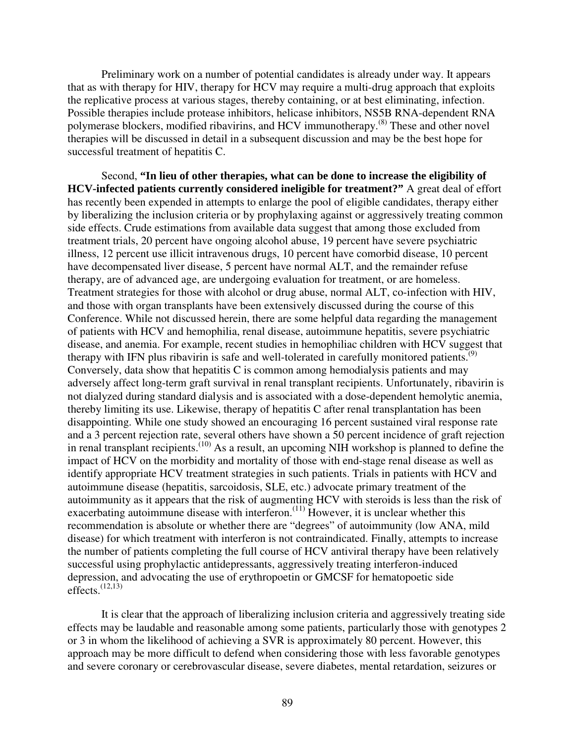Preliminary work on a number of potential candidates is already under way. It appears that as with therapy for HIV, therapy for HCV may require a multi-drug approach that exploits the replicative process at various stages, thereby containing, or at best eliminating, infection. Possible therapies include protease inhibitors, helicase inhibitors, NS5B RNA-dependent RNA polymerase blockers, modified ribavirins, and HCV immunotherapy.(8) These and other novel therapies will be discussed in detail in a subsequent discussion and may be the best hope for successful treatment of hepatitis C.

Second, **"In lieu of other therapies, what can be done to increase the eligibility of HCV-infected patients currently considered ineligible for treatment?"** A great deal of effort has recently been expended in attempts to enlarge the pool of eligible candidates, therapy either by liberalizing the inclusion criteria or by prophylaxing against or aggressively treating common side effects. Crude estimations from available data suggest that among those excluded from treatment trials, 20 percent have ongoing alcohol abuse, 19 percent have severe psychiatric illness, 12 percent use illicit intravenous drugs, 10 percent have comorbid disease, 10 percent have decompensated liver disease, 5 percent have normal ALT, and the remainder refuse therapy, are of advanced age, are undergoing evaluation for treatment, or are homeless. Treatment strategies for those with alcohol or drug abuse, normal ALT, co-infection with HIV, and those with organ transplants have been extensively discussed during the course of this Conference. While not discussed herein, there are some helpful data regarding the management of patients with HCV and hemophilia, renal disease, autoimmune hepatitis, severe psychiatric disease, and anemia. For example, recent studies in hemophiliac children with HCV suggest that therapy with IFN plus ribavirin is safe and well-tolerated in carefully monitored patients.<sup>(9)</sup> Conversely, data show that hepatitis C is common among hemodialysis patients and may adversely affect long-term graft survival in renal transplant recipients. Unfortunately, ribavirin is not dialyzed during standard dialysis and is associated with a dose-dependent hemolytic anemia, thereby limiting its use. Likewise, therapy of hepatitis C after renal transplantation has been disappointing. While one study showed an encouraging 16 percent sustained viral response rate and a 3 percent rejection rate, several others have shown a 50 percent incidence of graft rejection in renal transplant recipients.<sup>(10)</sup> As a result, an upcoming NIH workshop is planned to define the impact of HCV on the morbidity and mortality of those with end-stage renal disease as well as identify appropriate HCV treatment strategies in such patients. Trials in patients with HCV and autoimmune disease (hepatitis, sarcoidosis, SLE, etc.) advocate primary treatment of the autoimmunity as it appears that the risk of augmenting HCV with steroids is less than the risk of exacerbating autoimmune disease with interferon.<sup> $(11)$ </sup> However, it is unclear whether this recommendation is absolute or whether there are "degrees" of autoimmunity (low ANA, mild disease) for which treatment with interferon is not contraindicated. Finally, attempts to increase the number of patients completing the full course of HCV antiviral therapy have been relatively successful using prophylactic antidepressants, aggressively treating interferon-induced depression, and advocating the use of erythropoetin or GMCSF for hematopoetic side effects. $(12,13)$ 

It is clear that the approach of liberalizing inclusion criteria and aggressively treating side effects may be laudable and reasonable among some patients, particularly those with genotypes 2 or 3 in whom the likelihood of achieving a SVR is approximately 80 percent. However, this approach may be more difficult to defend when considering those with less favorable genotypes and severe coronary or cerebrovascular disease, severe diabetes, mental retardation, seizures or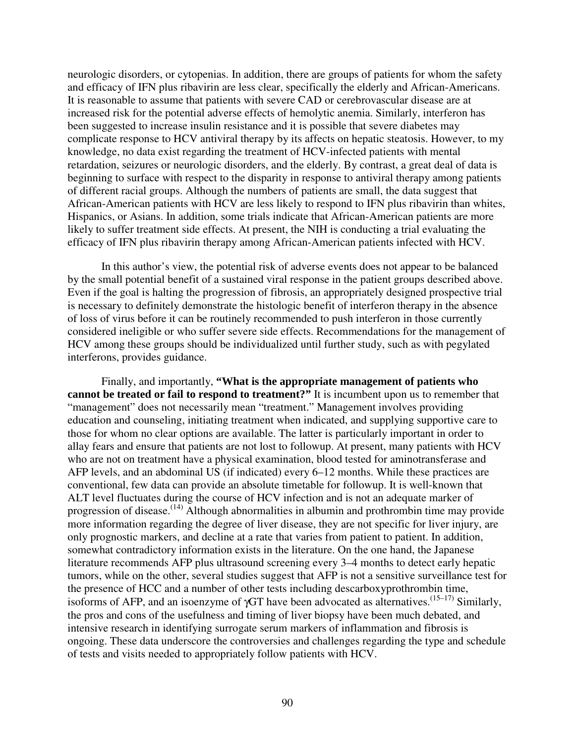neurologic disorders, or cytopenias. In addition, there are groups of patients for whom the safety and efficacy of IFN plus ribavirin are less clear, specifically the elderly and African-Americans. It is reasonable to assume that patients with severe CAD or cerebrovascular disease are at increased risk for the potential adverse effects of hemolytic anemia. Similarly, interferon has been suggested to increase insulin resistance and it is possible that severe diabetes may complicate response to HCV antiviral therapy by its affects on hepatic steatosis. However, to my knowledge, no data exist regarding the treatment of HCV-infected patients with mental retardation, seizures or neurologic disorders, and the elderly. By contrast, a great deal of data is beginning to surface with respect to the disparity in response to antiviral therapy among patients of different racial groups. Although the numbers of patients are small, the data suggest that African-American patients with HCV are less likely to respond to IFN plus ribavirin than whites, Hispanics, or Asians. In addition, some trials indicate that African-American patients are more likely to suffer treatment side effects. At present, the NIH is conducting a trial evaluating the efficacy of IFN plus ribavirin therapy among African-American patients infected with HCV.

In this author's view, the potential risk of adverse events does not appear to be balanced by the small potential benefit of a sustained viral response in the patient groups described above. Even if the goal is halting the progression of fibrosis, an appropriately designed prospective trial is necessary to definitely demonstrate the histologic benefit of interferon therapy in the absence of loss of virus before it can be routinely recommended to push interferon in those currently considered ineligible or who suffer severe side effects. Recommendations for the management of HCV among these groups should be individualized until further study, such as with pegylated interferons, provides guidance.

Finally, and importantly, **"What is the appropriate management of patients who cannot be treated or fail to respond to treatment?"** It is incumbent upon us to remember that "management" does not necessarily mean "treatment." Management involves providing education and counseling, initiating treatment when indicated, and supplying supportive care to those for whom no clear options are available. The latter is particularly important in order to allay fears and ensure that patients are not lost to followup. At present, many patients with HCV who are not on treatment have a physical examination, blood tested for aminotransferase and AFP levels, and an abdominal US (if indicated) every 6–12 months. While these practices are conventional, few data can provide an absolute timetable for followup. It is well-known that ALT level fluctuates during the course of HCV infection and is not an adequate marker of progression of disease.<sup> $(14)$ </sup> Although abnormalities in albumin and prothrombin time may provide more information regarding the degree of liver disease, they are not specific for liver injury, are only prognostic markers, and decline at a rate that varies from patient to patient. In addition, somewhat contradictory information exists in the literature. On the one hand, the Japanese literature recommends AFP plus ultrasound screening every 3–4 months to detect early hepatic tumors, while on the other, several studies suggest that AFP is not a sensitive surveillance test for the presence of HCC and a number of other tests including descarboxyprothrombin time, isoforms of AFP, and an isoenzyme of  $\gamma$ GT have been advocated as alternatives.<sup>(15-17)</sup> Similarly, the pros and cons of the usefulness and timing of liver biopsy have been much debated, and intensive research in identifying surrogate serum markers of inflammation and fibrosis is ongoing. These data underscore the controversies and challenges regarding the type and schedule of tests and visits needed to appropriately follow patients with HCV.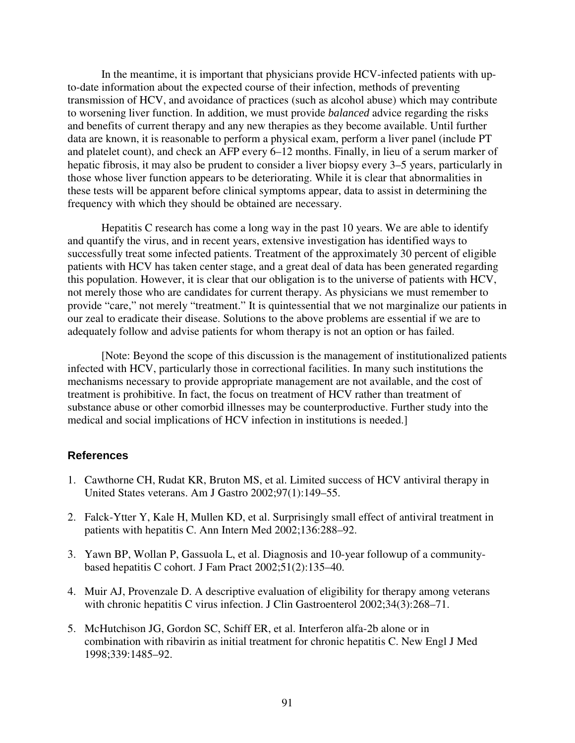In the meantime, it is important that physicians provide HCV-infected patients with upto-date information about the expected course of their infection, methods of preventing transmission of HCV, and avoidance of practices (such as alcohol abuse) which may contribute to worsening liver function. In addition, we must provide *balanced* advice regarding the risks and benefits of current therapy and any new therapies as they become available. Until further data are known, it is reasonable to perform a physical exam, perform a liver panel (include PT and platelet count), and check an AFP every 6–12 months. Finally, in lieu of a serum marker of hepatic fibrosis, it may also be prudent to consider a liver biopsy every 3–5 years, particularly in those whose liver function appears to be deteriorating. While it is clear that abnormalities in these tests will be apparent before clinical symptoms appear, data to assist in determining the frequency with which they should be obtained are necessary.

Hepatitis C research has come a long way in the past 10 years. We are able to identify and quantify the virus, and in recent years, extensive investigation has identified ways to successfully treat some infected patients. Treatment of the approximately 30 percent of eligible patients with HCV has taken center stage, and a great deal of data has been generated regarding this population. However, it is clear that our obligation is to the universe of patients with HCV, not merely those who are candidates for current therapy. As physicians we must remember to provide "care," not merely "treatment." It is quintessential that we not marginalize our patients in our zeal to eradicate their disease. Solutions to the above problems are essential if we are to adequately follow and advise patients for whom therapy is not an option or has failed.

[Note: Beyond the scope of this discussion is the management of institutionalized patients infected with HCV, particularly those in correctional facilities. In many such institutions the mechanisms necessary to provide appropriate management are not available, and the cost of treatment is prohibitive. In fact, the focus on treatment of HCV rather than treatment of substance abuse or other comorbid illnesses may be counterproductive. Further study into the medical and social implications of HCV infection in institutions is needed.]

- 1. Cawthorne CH, Rudat KR, Bruton MS, et al. Limited success of HCV antiviral therapy in United States veterans. Am J Gastro 2002;97(1):149–55.
- 2. Falck-Ytter Y, Kale H, Mullen KD, et al. Surprisingly small effect of antiviral treatment in patients with hepatitis C. Ann Intern Med 2002;136:288–92.
- 3. Yawn BP, Wollan P, Gassuola L, et al. Diagnosis and 10-year followup of a communitybased hepatitis C cohort. J Fam Pract 2002;51(2):135–40.
- 4. Muir AJ, Provenzale D. A descriptive evaluation of eligibility for therapy among veterans with chronic hepatitis C virus infection. J Clin Gastroenterol 2002;34(3):268-71.
- 5. McHutchison JG, Gordon SC, Schiff ER, et al. Interferon alfa-2b alone or in combination with ribavirin as initial treatment for chronic hepatitis C. New Engl J Med 1998;339:1485–92.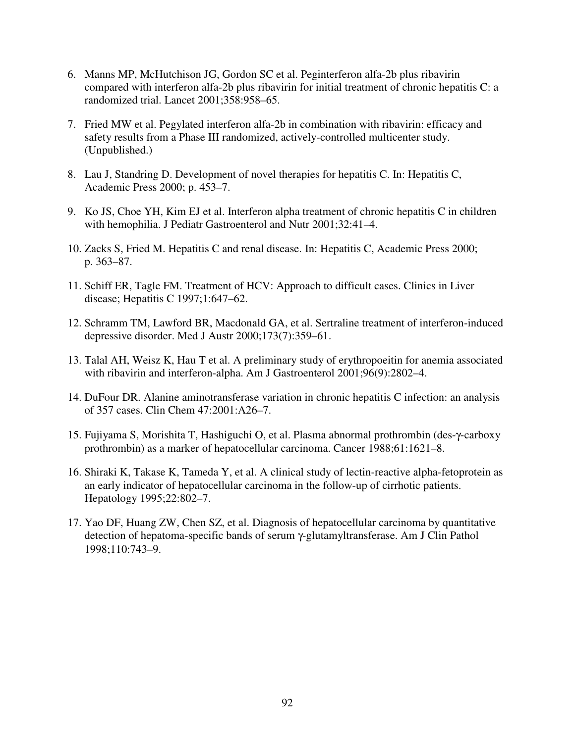- 6. Manns MP, McHutchison JG, Gordon SC et al. Peginterferon alfa-2b plus ribavirin compared with interferon alfa-2b plus ribavirin for initial treatment of chronic hepatitis C: a randomized trial. Lancet 2001;358:958–65.
- 7. Fried MW et al. Pegylated interferon alfa-2b in combination with ribavirin: efficacy and safety results from a Phase III randomized, actively-controlled multicenter study. (Unpublished.)
- 8. Lau J, Standring D. Development of novel therapies for hepatitis C. In: Hepatitis C, Academic Press 2000; p. 453–7.
- 9. Ko JS, Choe YH, Kim EJ et al. Interferon alpha treatment of chronic hepatitis C in children with hemophilia. J Pediatr Gastroenterol and Nutr 2001;32:41–4.
- 10. Zacks S, Fried M. Hepatitis C and renal disease. In: Hepatitis C, Academic Press 2000; p. 363–87.
- 11. Schiff ER, Tagle FM. Treatment of HCV: Approach to difficult cases. Clinics in Liver disease; Hepatitis C 1997;1:647–62.
- 12. Schramm TM, Lawford BR, Macdonald GA, et al. Sertraline treatment of interferon-induced depressive disorder. Med J Austr 2000;173(7):359–61.
- 13. Talal AH, Weisz K, Hau T et al. A preliminary study of erythropoeitin for anemia associated with ribavirin and interferon-alpha. Am J Gastroenterol 2001;96(9):2802–4.
- 14. DuFour DR. Alanine aminotransferase variation in chronic hepatitis C infection: an analysis of 357 cases. Clin Chem 47:2001:A26–7.
- 15. Fujiyama S, Morishita T, Hashiguchi O, et al. Plasma abnormal prothrombin (des-γ-carboxy prothrombin) as a marker of hepatocellular carcinoma. Cancer 1988;61:1621–8.
- 16. Shiraki K, Takase K, Tameda Y, et al. A clinical study of lectin-reactive alpha-fetoprotein as an early indicator of hepatocellular carcinoma in the follow-up of cirrhotic patients. Hepatology 1995;22:802–7.
- 17. Yao DF, Huang ZW, Chen SZ, et al. Diagnosis of hepatocellular carcinoma by quantitative detection of hepatoma-specific bands of serum γ-glutamyltransferase. Am J Clin Pathol 1998;110:743–9.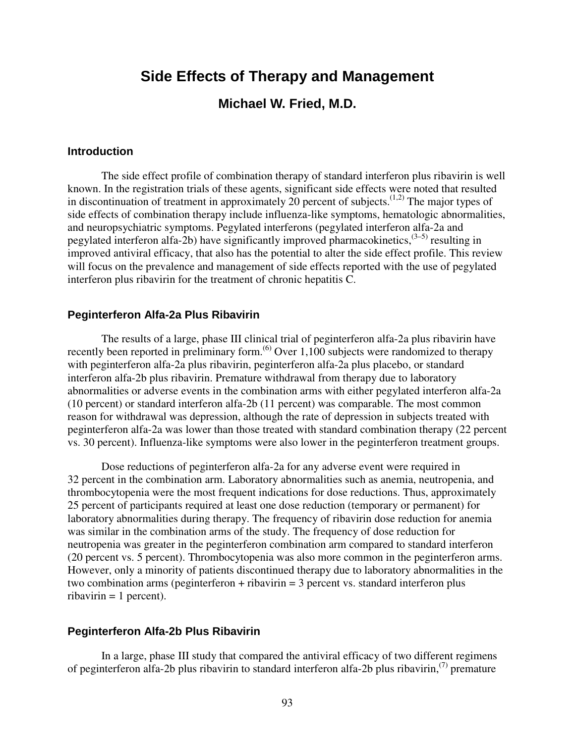# **Side Effects of Therapy and Management**

# **Michael W. Fried, M.D.**

#### **Introduction**

The side effect profile of combination therapy of standard interferon plus ribavirin is well known. In the registration trials of these agents, significant side effects were noted that resulted in discontinuation of treatment in approximately 20 percent of subjects.<sup> $(1,2)$ </sup> The major types of side effects of combination therapy include influenza-like symptoms, hematologic abnormalities, and neuropsychiatric symptoms. Pegylated interferons (pegylated interferon alfa-2a and pegylated interferon alfa-2b) have significantly improved pharmacokinetics,  $(3-5)$  resulting in improved antiviral efficacy, that also has the potential to alter the side effect profile. This review will focus on the prevalence and management of side effects reported with the use of pegylated interferon plus ribavirin for the treatment of chronic hepatitis C.

### **Peginterferon Alfa-2a Plus Ribavirin**

The results of a large, phase III clinical trial of peginterferon alfa-2a plus ribavirin have recently been reported in preliminary form.<sup> $(6)$ </sup> Over 1,100 subjects were randomized to therapy with peginterferon alfa-2a plus ribavirin, peginterferon alfa-2a plus placebo, or standard interferon alfa-2b plus ribavirin. Premature withdrawal from therapy due to laboratory abnormalities or adverse events in the combination arms with either pegylated interferon alfa-2a (10 percent) or standard interferon alfa-2b (11 percent) was comparable. The most common reason for withdrawal was depression, although the rate of depression in subjects treated with peginterferon alfa-2a was lower than those treated with standard combination therapy (22 percent vs. 30 percent). Influenza-like symptoms were also lower in the peginterferon treatment groups.

Dose reductions of peginterferon alfa-2a for any adverse event were required in 32 percent in the combination arm. Laboratory abnormalities such as anemia, neutropenia, and thrombocytopenia were the most frequent indications for dose reductions. Thus, approximately 25 percent of participants required at least one dose reduction (temporary or permanent) for laboratory abnormalities during therapy. The frequency of ribavirin dose reduction for anemia was similar in the combination arms of the study. The frequency of dose reduction for neutropenia was greater in the peginterferon combination arm compared to standard interferon (20 percent vs. 5 percent). Thrombocytopenia was also more common in the peginterferon arms. However, only a minority of patients discontinued therapy due to laboratory abnormalities in the two combination arms (peginterferon + ribavirin = 3 percent vs. standard interferon plus  $ribavirin = 1$  percent).

### **Peginterferon Alfa-2b Plus Ribavirin**

In a large, phase III study that compared the antiviral efficacy of two different regimens of peginterferon alfa-2b plus ribavirin to standard interferon alfa-2b plus ribavirin,<sup> $(7)$ </sup> premature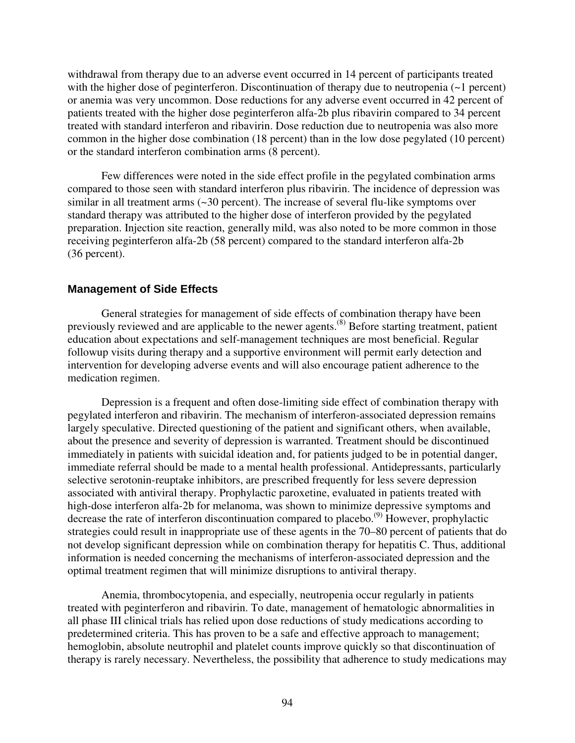withdrawal from therapy due to an adverse event occurred in 14 percent of participants treated with the higher dose of peginterferon. Discontinuation of therapy due to neutropenia (~1 percent) or anemia was very uncommon. Dose reductions for any adverse event occurred in 42 percent of patients treated with the higher dose peginterferon alfa-2b plus ribavirin compared to 34 percent treated with standard interferon and ribavirin. Dose reduction due to neutropenia was also more common in the higher dose combination (18 percent) than in the low dose pegylated (10 percent) or the standard interferon combination arms (8 percent).

Few differences were noted in the side effect profile in the pegylated combination arms compared to those seen with standard interferon plus ribavirin. The incidence of depression was similar in all treatment arms (~30 percent). The increase of several flu-like symptoms over standard therapy was attributed to the higher dose of interferon provided by the pegylated preparation. Injection site reaction, generally mild, was also noted to be more common in those receiving peginterferon alfa-2b (58 percent) compared to the standard interferon alfa-2b (36 percent).

### **Management of Side Effects**

General strategies for management of side effects of combination therapy have been previously reviewed and are applicable to the newer agents.(8) Before starting treatment, patient education about expectations and self-management techniques are most beneficial. Regular followup visits during therapy and a supportive environment will permit early detection and intervention for developing adverse events and will also encourage patient adherence to the medication regimen.

Depression is a frequent and often dose-limiting side effect of combination therapy with pegylated interferon and ribavirin. The mechanism of interferon-associated depression remains largely speculative. Directed questioning of the patient and significant others, when available, about the presence and severity of depression is warranted. Treatment should be discontinued immediately in patients with suicidal ideation and, for patients judged to be in potential danger, immediate referral should be made to a mental health professional. Antidepressants, particularly selective serotonin-reuptake inhibitors, are prescribed frequently for less severe depression associated with antiviral therapy. Prophylactic paroxetine, evaluated in patients treated with high-dose interferon alfa-2b for melanoma, was shown to minimize depressive symptoms and decrease the rate of interferon discontinuation compared to placebo.<sup>(9)</sup> However, prophylactic strategies could result in inappropriate use of these agents in the 70–80 percent of patients that do not develop significant depression while on combination therapy for hepatitis C. Thus, additional information is needed concerning the mechanisms of interferon-associated depression and the optimal treatment regimen that will minimize disruptions to antiviral therapy.

Anemia, thrombocytopenia, and especially, neutropenia occur regularly in patients treated with peginterferon and ribavirin. To date, management of hematologic abnormalities in all phase III clinical trials has relied upon dose reductions of study medications according to predetermined criteria. This has proven to be a safe and effective approach to management; hemoglobin, absolute neutrophil and platelet counts improve quickly so that discontinuation of therapy is rarely necessary. Nevertheless, the possibility that adherence to study medications may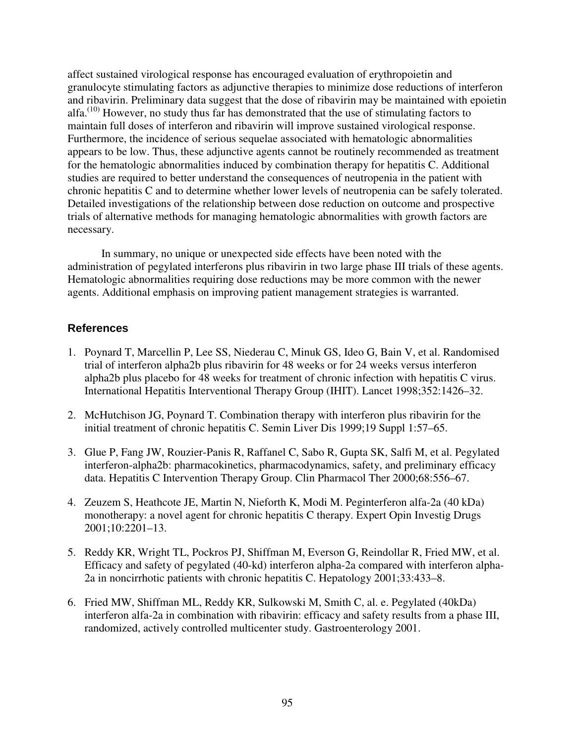affect sustained virological response has encouraged evaluation of erythropoietin and granulocyte stimulating factors as adjunctive therapies to minimize dose reductions of interferon and ribavirin. Preliminary data suggest that the dose of ribavirin may be maintained with epoietin alfa.<sup> $(10)$ </sup> However, no study thus far has demonstrated that the use of stimulating factors to maintain full doses of interferon and ribavirin will improve sustained virological response. Furthermore, the incidence of serious sequelae associated with hematologic abnormalities appears to be low. Thus, these adjunctive agents cannot be routinely recommended as treatment for the hematologic abnormalities induced by combination therapy for hepatitis C. Additional studies are required to better understand the consequences of neutropenia in the patient with chronic hepatitis C and to determine whether lower levels of neutropenia can be safely tolerated. Detailed investigations of the relationship between dose reduction on outcome and prospective trials of alternative methods for managing hematologic abnormalities with growth factors are necessary.

In summary, no unique or unexpected side effects have been noted with the administration of pegylated interferons plus ribavirin in two large phase III trials of these agents. Hematologic abnormalities requiring dose reductions may be more common with the newer agents. Additional emphasis on improving patient management strategies is warranted.

- 1. Poynard T, Marcellin P, Lee SS, Niederau C, Minuk GS, Ideo G, Bain V, et al. Randomised trial of interferon alpha2b plus ribavirin for 48 weeks or for 24 weeks versus interferon alpha2b plus placebo for 48 weeks for treatment of chronic infection with hepatitis C virus. International Hepatitis Interventional Therapy Group (IHIT). Lancet 1998;352:1426–32.
- 2. McHutchison JG, Poynard T. Combination therapy with interferon plus ribavirin for the initial treatment of chronic hepatitis C. Semin Liver Dis 1999;19 Suppl 1:57–65.
- 3. Glue P, Fang JW, Rouzier-Panis R, Raffanel C, Sabo R, Gupta SK, Salfi M, et al. Pegylated interferon-alpha2b: pharmacokinetics, pharmacodynamics, safety, and preliminary efficacy data. Hepatitis C Intervention Therapy Group. Clin Pharmacol Ther 2000;68:556–67.
- 4. Zeuzem S, Heathcote JE, Martin N, Nieforth K, Modi M. Peginterferon alfa-2a (40 kDa) monotherapy: a novel agent for chronic hepatitis C therapy. Expert Opin Investig Drugs 2001;10:2201–13.
- 5. Reddy KR, Wright TL, Pockros PJ, Shiffman M, Everson G, Reindollar R, Fried MW, et al. Efficacy and safety of pegylated (40-kd) interferon alpha-2a compared with interferon alpha-2a in noncirrhotic patients with chronic hepatitis C. Hepatology 2001;33:433–8.
- 6. Fried MW, Shiffman ML, Reddy KR, Sulkowski M, Smith C, al. e. Pegylated (40kDa) interferon alfa-2a in combination with ribavirin: efficacy and safety results from a phase III, randomized, actively controlled multicenter study. Gastroenterology 2001.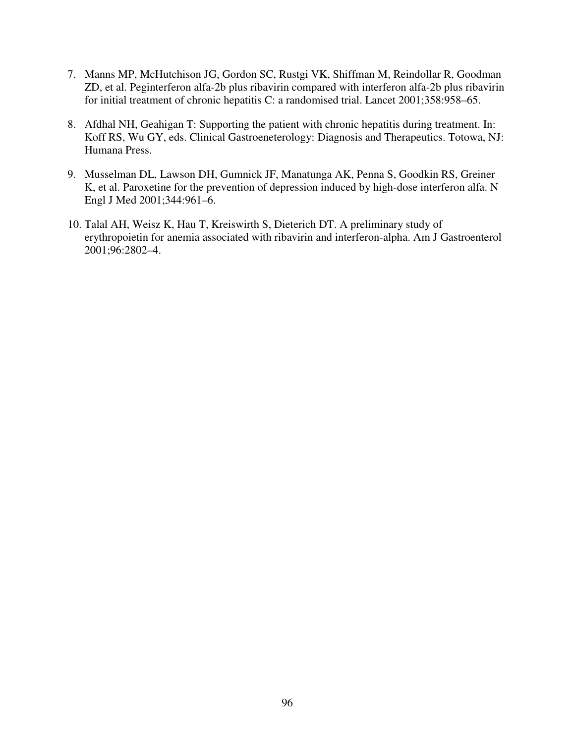- 7. Manns MP, McHutchison JG, Gordon SC, Rustgi VK, Shiffman M, Reindollar R, Goodman ZD, et al. Peginterferon alfa-2b plus ribavirin compared with interferon alfa-2b plus ribavirin for initial treatment of chronic hepatitis C: a randomised trial. Lancet 2001;358:958–65.
- 8. Afdhal NH, Geahigan T: Supporting the patient with chronic hepatitis during treatment. In: Koff RS, Wu GY, eds. Clinical Gastroeneterology: Diagnosis and Therapeutics. Totowa, NJ: Humana Press.
- 9. Musselman DL, Lawson DH, Gumnick JF, Manatunga AK, Penna S, Goodkin RS, Greiner K, et al. Paroxetine for the prevention of depression induced by high-dose interferon alfa. N Engl J Med 2001;344:961–6.
- 10. Talal AH, Weisz K, Hau T, Kreiswirth S, Dieterich DT. A preliminary study of erythropoietin for anemia associated with ribavirin and interferon-alpha. Am J Gastroenterol 2001;96:2802–4.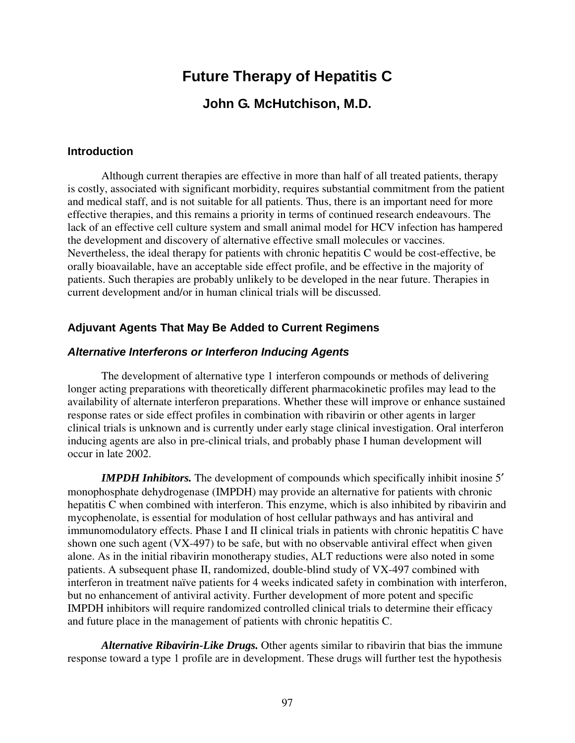# **Future Therapy of Hepatitis C**

# **John G. McHutchison, M.D.**

### **Introduction**

Although current therapies are effective in more than half of all treated patients, therapy is costly, associated with significant morbidity, requires substantial commitment from the patient and medical staff, and is not suitable for all patients. Thus, there is an important need for more effective therapies, and this remains a priority in terms of continued research endeavours. The lack of an effective cell culture system and small animal model for HCV infection has hampered the development and discovery of alternative effective small molecules or vaccines. Nevertheless, the ideal therapy for patients with chronic hepatitis C would be cost-effective, be orally bioavailable, have an acceptable side effect profile, and be effective in the majority of patients. Such therapies are probably unlikely to be developed in the near future. Therapies in current development and/or in human clinical trials will be discussed.

## **Adjuvant Agents That May Be Added to Current Regimens**

### *Alternative Interferons or Interferon Inducing Agents*

The development of alternative type 1 interferon compounds or methods of delivering longer acting preparations with theoretically different pharmacokinetic profiles may lead to the availability of alternate interferon preparations. Whether these will improve or enhance sustained response rates or side effect profiles in combination with ribavirin or other agents in larger clinical trials is unknown and is currently under early stage clinical investigation. Oral interferon inducing agents are also in pre-clinical trials, and probably phase I human development will occur in late 2002.

*IMPDH Inhibitors.* The development of compounds which specifically inhibit inosine 5' monophosphate dehydrogenase (IMPDH) may provide an alternative for patients with chronic hepatitis C when combined with interferon. This enzyme, which is also inhibited by ribavirin and mycophenolate, is essential for modulation of host cellular pathways and has antiviral and immunomodulatory effects. Phase I and II clinical trials in patients with chronic hepatitis C have shown one such agent (VX-497) to be safe, but with no observable antiviral effect when given alone. As in the initial ribavirin monotherapy studies, ALT reductions were also noted in some patients. A subsequent phase II, randomized, double-blind study of VX-497 combined with interferon in treatment naïve patients for 4 weeks indicated safety in combination with interferon, but no enhancement of antiviral activity. Further development of more potent and specific IMPDH inhibitors will require randomized controlled clinical trials to determine their efficacy and future place in the management of patients with chronic hepatitis C.

*Alternative Ribavirin-Like Drugs.* Other agents similar to ribavirin that bias the immune response toward a type 1 profile are in development. These drugs will further test the hypothesis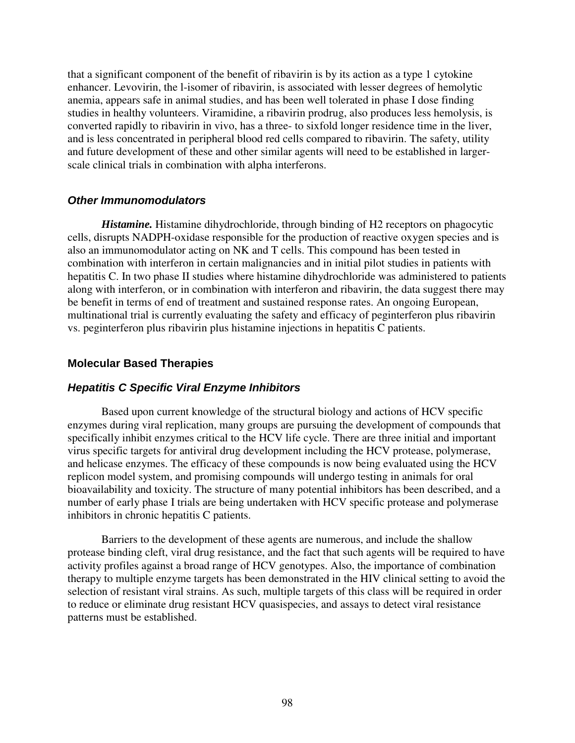that a significant component of the benefit of ribavirin is by its action as a type 1 cytokine enhancer. Levovirin, the l-isomer of ribavirin, is associated with lesser degrees of hemolytic anemia, appears safe in animal studies, and has been well tolerated in phase I dose finding studies in healthy volunteers. Viramidine, a ribavirin prodrug, also produces less hemolysis, is converted rapidly to ribavirin in vivo, has a three- to sixfold longer residence time in the liver, and is less concentrated in peripheral blood red cells compared to ribavirin. The safety, utility and future development of these and other similar agents will need to be established in largerscale clinical trials in combination with alpha interferons.

### *Other Immunomodulators*

*Histamine.* Histamine dihydrochloride, through binding of H2 receptors on phagocytic cells, disrupts NADPH-oxidase responsible for the production of reactive oxygen species and is also an immunomodulator acting on NK and T cells. This compound has been tested in combination with interferon in certain malignancies and in initial pilot studies in patients with hepatitis C. In two phase II studies where histamine dihydrochloride was administered to patients along with interferon, or in combination with interferon and ribavirin, the data suggest there may be benefit in terms of end of treatment and sustained response rates. An ongoing European, multinational trial is currently evaluating the safety and efficacy of peginterferon plus ribavirin vs. peginterferon plus ribavirin plus histamine injections in hepatitis C patients.

### **Molecular Based Therapies**

### *Hepatitis C Specific Viral Enzyme Inhibitors*

Based upon current knowledge of the structural biology and actions of HCV specific enzymes during viral replication, many groups are pursuing the development of compounds that specifically inhibit enzymes critical to the HCV life cycle. There are three initial and important virus specific targets for antiviral drug development including the HCV protease, polymerase, and helicase enzymes. The efficacy of these compounds is now being evaluated using the HCV replicon model system, and promising compounds will undergo testing in animals for oral bioavailability and toxicity. The structure of many potential inhibitors has been described, and a number of early phase I trials are being undertaken with HCV specific protease and polymerase inhibitors in chronic hepatitis C patients.

Barriers to the development of these agents are numerous, and include the shallow protease binding cleft, viral drug resistance, and the fact that such agents will be required to have activity profiles against a broad range of HCV genotypes. Also, the importance of combination therapy to multiple enzyme targets has been demonstrated in the HIV clinical setting to avoid the selection of resistant viral strains. As such, multiple targets of this class will be required in order to reduce or eliminate drug resistant HCV quasispecies, and assays to detect viral resistance patterns must be established.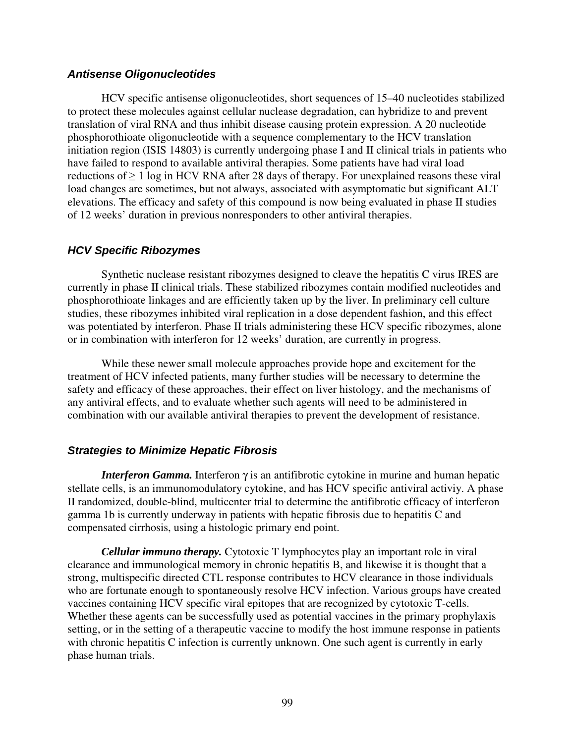### *Antisense Oligonucleotides*

HCV specific antisense oligonucleotides, short sequences of 15–40 nucleotides stabilized to protect these molecules against cellular nuclease degradation, can hybridize to and prevent translation of viral RNA and thus inhibit disease causing protein expression. A 20 nucleotide phosphorothioate oligonucleotide with a sequence complementary to the HCV translation initiation region (ISIS 14803) is currently undergoing phase I and II clinical trials in patients who have failed to respond to available antiviral therapies. Some patients have had viral load reductions of  $\geq 1$  log in HCV RNA after 28 days of therapy. For unexplained reasons these viral load changes are sometimes, but not always, associated with asymptomatic but significant ALT elevations. The efficacy and safety of this compound is now being evaluated in phase II studies of 12 weeks' duration in previous nonresponders to other antiviral therapies.

## *HCV Specific Ribozymes*

Synthetic nuclease resistant ribozymes designed to cleave the hepatitis C virus IRES are currently in phase II clinical trials. These stabilized ribozymes contain modified nucleotides and phosphorothioate linkages and are efficiently taken up by the liver. In preliminary cell culture studies, these ribozymes inhibited viral replication in a dose dependent fashion, and this effect was potentiated by interferon. Phase II trials administering these HCV specific ribozymes, alone or in combination with interferon for 12 weeks' duration, are currently in progress.

While these newer small molecule approaches provide hope and excitement for the treatment of HCV infected patients, many further studies will be necessary to determine the safety and efficacy of these approaches, their effect on liver histology, and the mechanisms of any antiviral effects, and to evaluate whether such agents will need to be administered in combination with our available antiviral therapies to prevent the development of resistance.

## *Strategies to Minimize Hepatic Fibrosis*

*Interferon Gamma*. Interferon γ is an antifibrotic cytokine in murine and human hepatic stellate cells, is an immunomodulatory cytokine, and has HCV specific antiviral activiy. A phase II randomized, double-blind, multicenter trial to determine the antifibrotic efficacy of interferon gamma 1b is currently underway in patients with hepatic fibrosis due to hepatitis C and compensated cirrhosis, using a histologic primary end point.

*Cellular immuno therapy.* Cytotoxic T lymphocytes play an important role in viral clearance and immunological memory in chronic hepatitis B, and likewise it is thought that a strong, multispecific directed CTL response contributes to HCV clearance in those individuals who are fortunate enough to spontaneously resolve HCV infection. Various groups have created vaccines containing HCV specific viral epitopes that are recognized by cytotoxic T-cells. Whether these agents can be successfully used as potential vaccines in the primary prophylaxis setting, or in the setting of a therapeutic vaccine to modify the host immune response in patients with chronic hepatitis C infection is currently unknown. One such agent is currently in early phase human trials.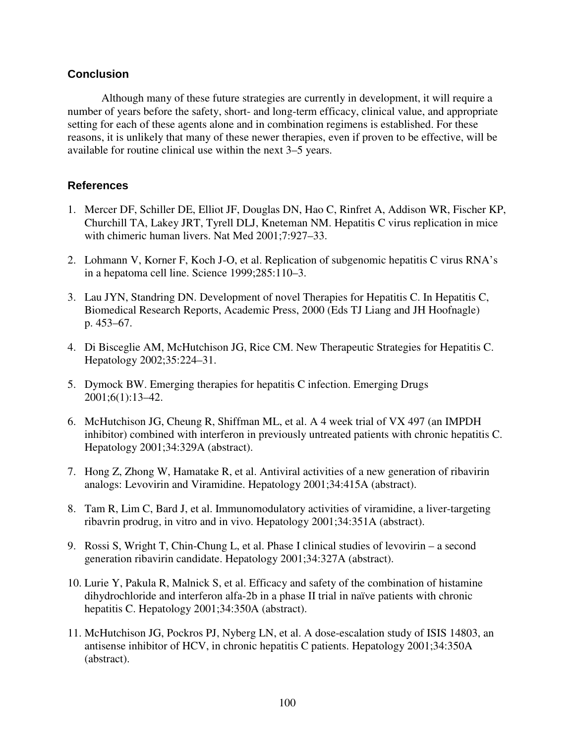## **Conclusion**

Although many of these future strategies are currently in development, it will require a number of years before the safety, short- and long-term efficacy, clinical value, and appropriate setting for each of these agents alone and in combination regimens is established. For these reasons, it is unlikely that many of these newer therapies, even if proven to be effective, will be available for routine clinical use within the next 3–5 years.

- 1. Mercer DF, Schiller DE, Elliot JF, Douglas DN, Hao C, Rinfret A, Addison WR, Fischer KP, Churchill TA, Lakey JRT, Tyrell DLJ, Kneteman NM. Hepatitis C virus replication in mice with chimeric human livers. Nat Med 2001;7:927–33.
- 2. Lohmann V, Korner F, Koch J-O, et al. Replication of subgenomic hepatitis C virus RNA's in a hepatoma cell line. Science 1999;285:110–3.
- 3. Lau JYN, Standring DN. Development of novel Therapies for Hepatitis C. In Hepatitis C, Biomedical Research Reports, Academic Press, 2000 (Eds TJ Liang and JH Hoofnagle) p. 453–67.
- 4. Di Bisceglie AM, McHutchison JG, Rice CM. New Therapeutic Strategies for Hepatitis C. Hepatology 2002;35:224–31.
- 5. Dymock BW. Emerging therapies for hepatitis C infection. Emerging Drugs 2001;6(1):13–42.
- 6. McHutchison JG, Cheung R, Shiffman ML, et al. A 4 week trial of VX 497 (an IMPDH inhibitor) combined with interferon in previously untreated patients with chronic hepatitis C. Hepatology 2001;34:329A (abstract).
- 7. Hong Z, Zhong W, Hamatake R, et al. Antiviral activities of a new generation of ribavirin analogs: Levovirin and Viramidine. Hepatology 2001;34:415A (abstract).
- 8. Tam R, Lim C, Bard J, et al. Immunomodulatory activities of viramidine, a liver-targeting ribavrin prodrug, in vitro and in vivo. Hepatology 2001;34:351A (abstract).
- 9. Rossi S, Wright T, Chin-Chung L, et al. Phase I clinical studies of levovirin a second generation ribavirin candidate. Hepatology 2001;34:327A (abstract).
- 10. Lurie Y, Pakula R, Malnick S, et al. Efficacy and safety of the combination of histamine dihydrochloride and interferon alfa-2b in a phase II trial in naïve patients with chronic hepatitis C. Hepatology 2001;34:350A (abstract).
- 11. McHutchison JG, Pockros PJ, Nyberg LN, et al. A dose-escalation study of ISIS 14803, an antisense inhibitor of HCV, in chronic hepatitis C patients. Hepatology 2001;34:350A (abstract).